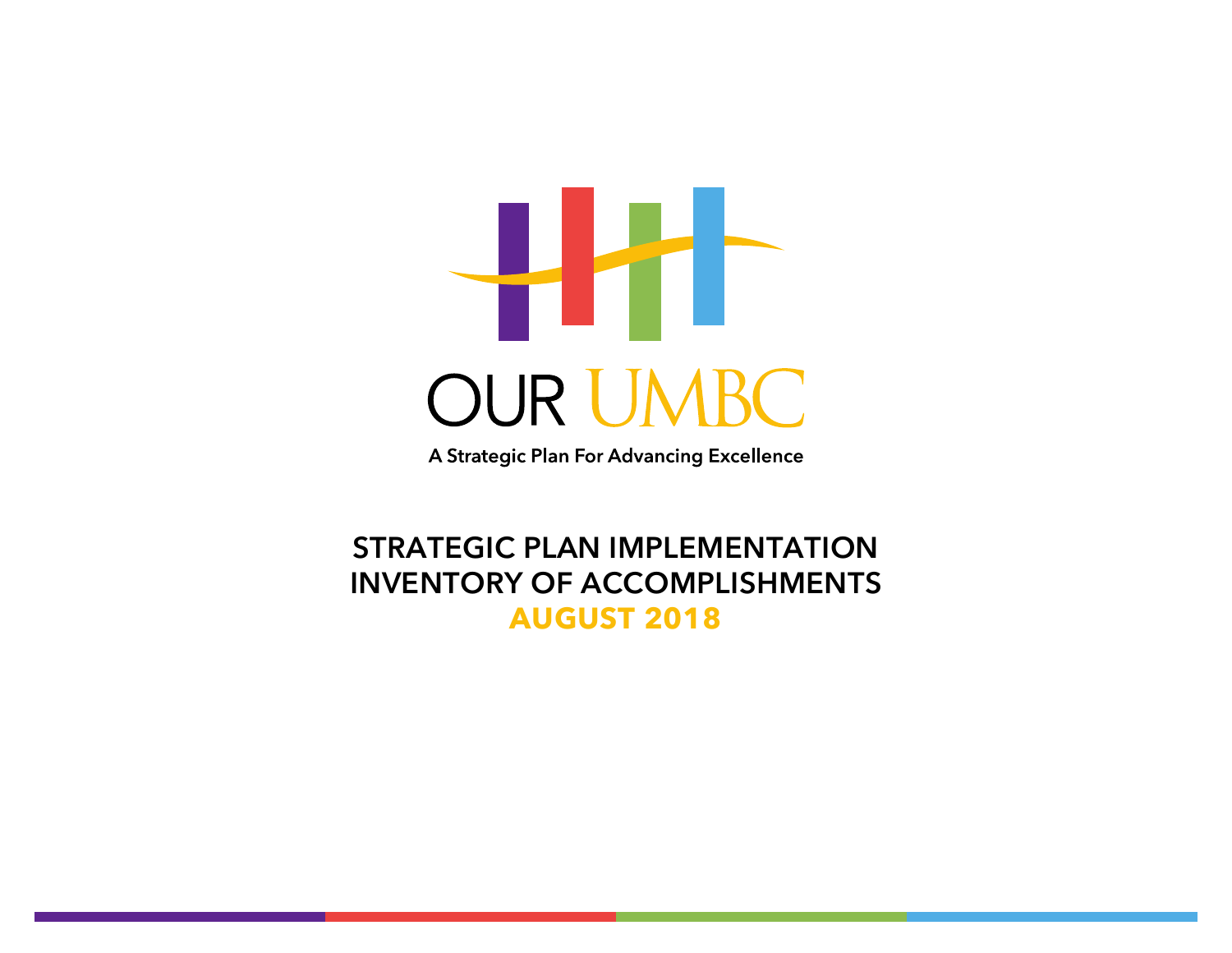

A Strategic Plan For Advancing Excellence

## **STRATEGIC PLAN IMPLEMENTATION INVENTORY OF ACCOMPLISHMENTS AUGUST 2018**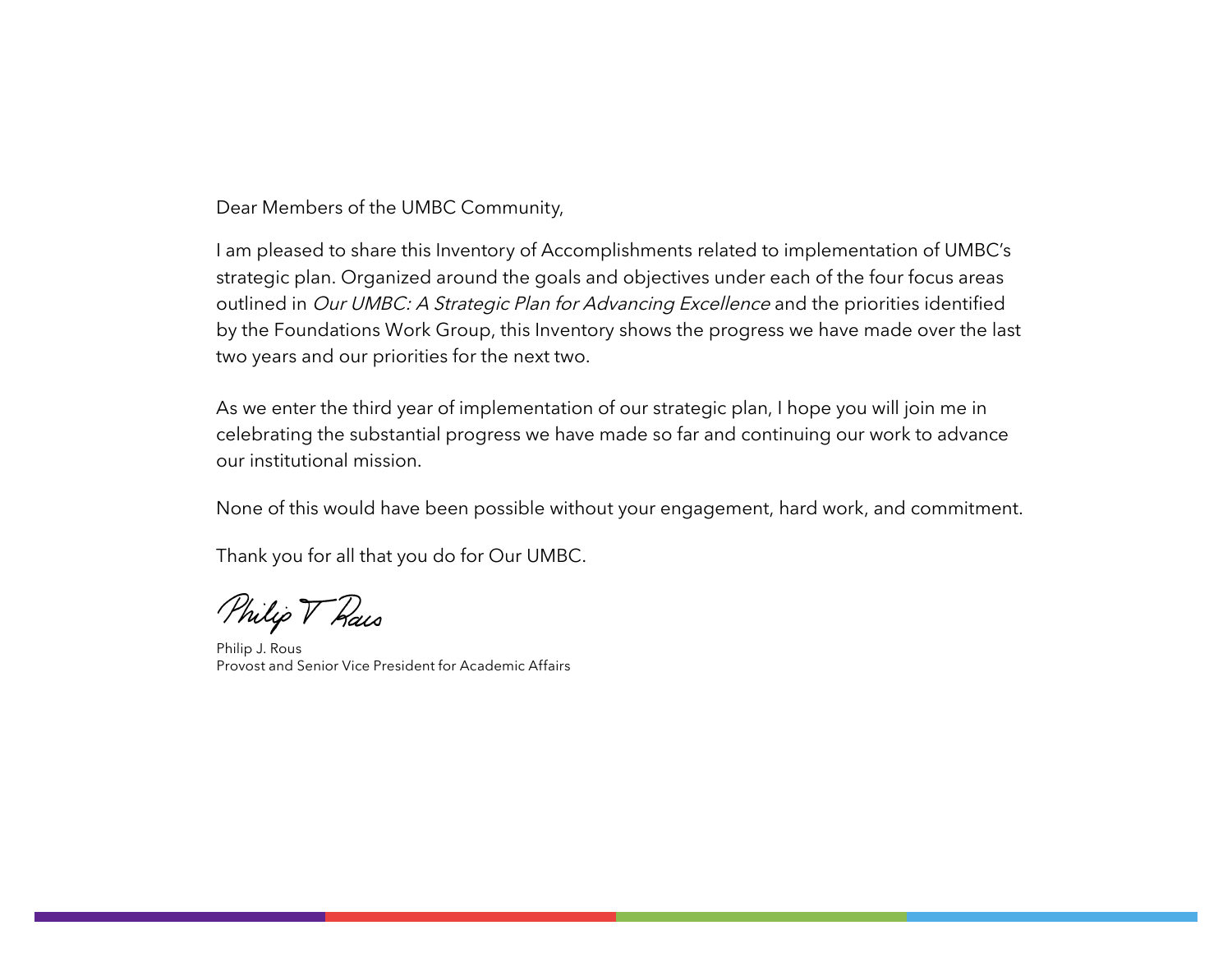Dear Members of the UMBC Community,

I am pleased to share this Inventory of Accomplishments related to implementation of UMBC's strategic plan. Organized around the goals and objectives under each of the four focus areas outlined in Our UMBC: A Strategic Plan for Advancing Excellence and the priorities identified by the Foundations Work Group, this Inventory shows the progress we have made over the last two years and our priorities for the next two.

As we enter the third year of implementation of our strategic plan, I hope you will join me in celebrating the substantial progress we have made so far and continuing our work to advance our institutional mission.

None of this would have been possible without your engagement, hard work, and commitment.

Thank you for all that you do for Our UMBC.

Philip V Rais

Philip J. Rous Provost and Senior Vice President for Academic Affairs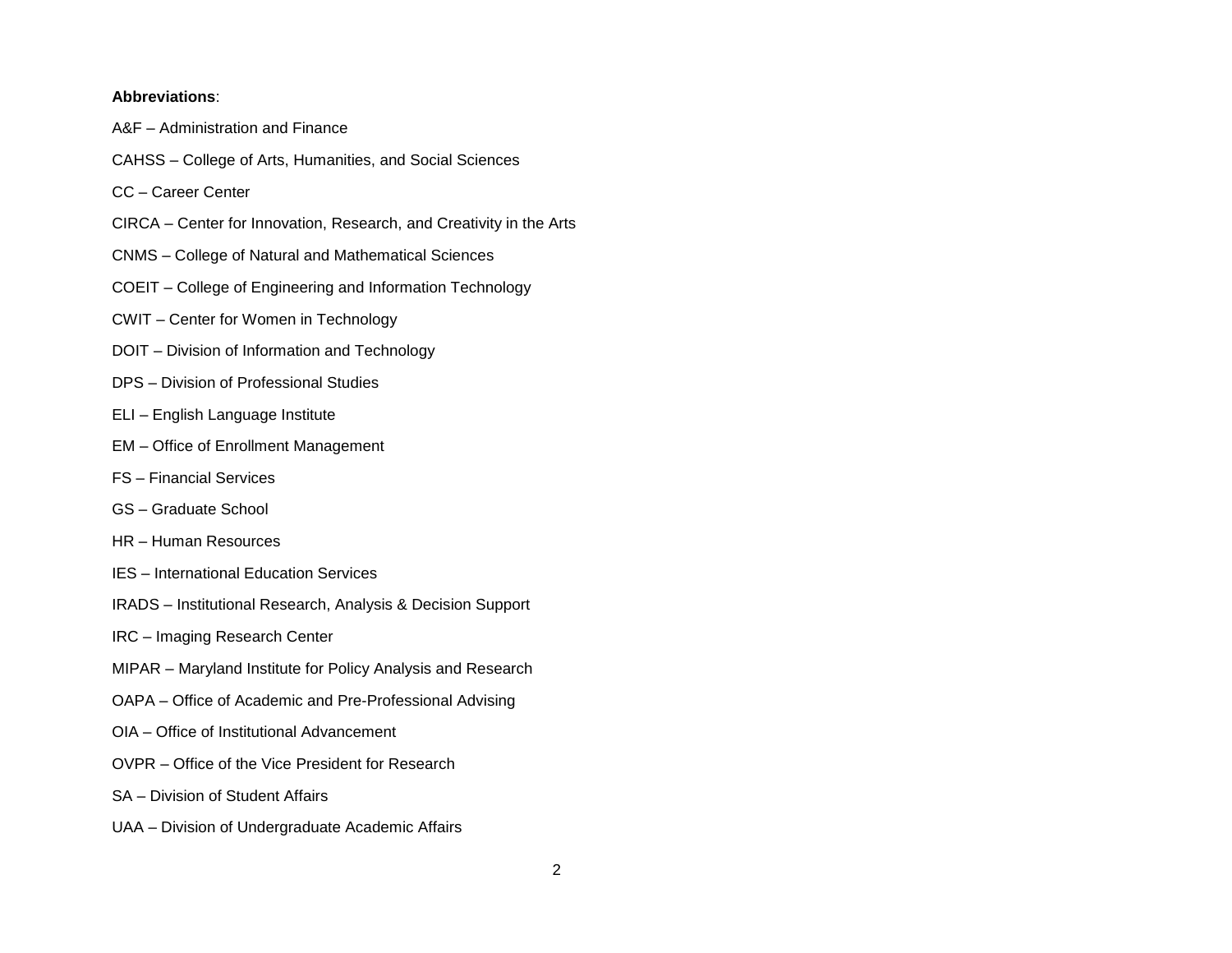#### **Abbreviations**:

- A&F Administration and Finance
- CAHSS College of Arts, Humanities, and Social Sciences
- CC Career Center
- CIRCA Center for Innovation, Research, and Creativity in the Arts
- CNMS College of Natural and Mathematical Sciences
- COEIT College of Engineering and Information Technology
- CWIT Center for Women in Technology
- DOIT Division of Information and Technology
- DPS Division of Professional Studies
- ELI English Language Institute
- EM Office of Enrollment Management
- FS Financial Services
- GS Graduate School
- HR Human Resources
- IES International Education Services
- IRADS Institutional Research, Analysis & Decision Support
- IRC Imaging Research Center
- MIPAR Maryland Institute for Policy Analysis and Research
- OAPA Office of Academic and Pre-Professional Advising
- OIA Office of Institutional Advancement
- OVPR Office of the Vice President for Research
- SA Division of Student Affairs
- UAA Division of Undergraduate Academic Affairs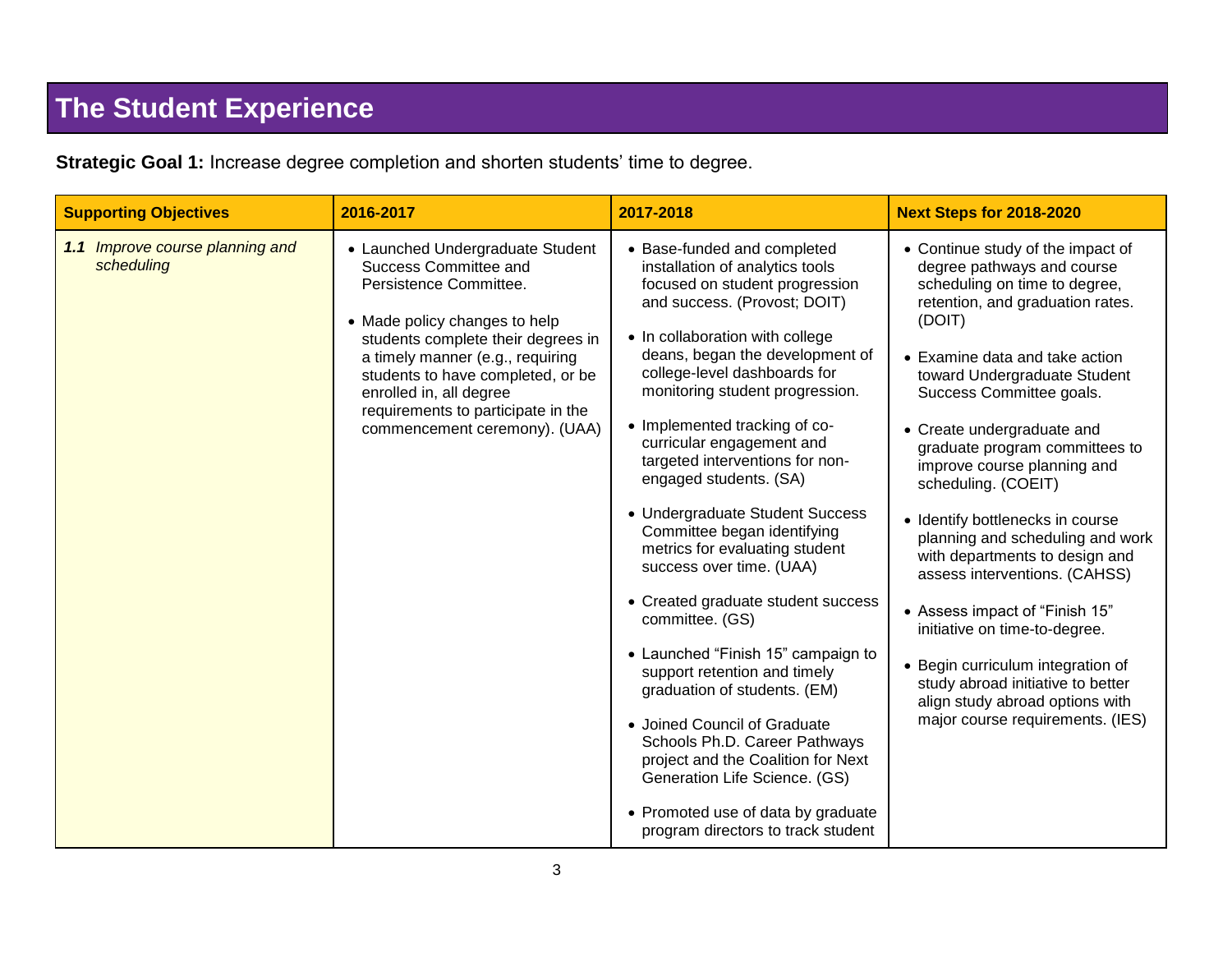# **The Student Experience**

**Strategic Goal 1:** Increase degree completion and shorten students' time to degree.

| <b>Supporting Objectives</b>                  | 2016-2017                                                                                                                                                                                                                                                                                                                             | 2017-2018                                                                                                                                                                                                                                                                                                                                                                                                                                                                                                                                                                                                                                                                                                                                                                                                                                                                                                               | <b>Next Steps for 2018-2020</b>                                                                                                                                                                                                                                                                                                                                                                                                                                                                                                                                                                                                                                                                                                   |
|-----------------------------------------------|---------------------------------------------------------------------------------------------------------------------------------------------------------------------------------------------------------------------------------------------------------------------------------------------------------------------------------------|-------------------------------------------------------------------------------------------------------------------------------------------------------------------------------------------------------------------------------------------------------------------------------------------------------------------------------------------------------------------------------------------------------------------------------------------------------------------------------------------------------------------------------------------------------------------------------------------------------------------------------------------------------------------------------------------------------------------------------------------------------------------------------------------------------------------------------------------------------------------------------------------------------------------------|-----------------------------------------------------------------------------------------------------------------------------------------------------------------------------------------------------------------------------------------------------------------------------------------------------------------------------------------------------------------------------------------------------------------------------------------------------------------------------------------------------------------------------------------------------------------------------------------------------------------------------------------------------------------------------------------------------------------------------------|
| 1.1 Improve course planning and<br>scheduling | • Launched Undergraduate Student<br>Success Committee and<br>Persistence Committee.<br>• Made policy changes to help<br>students complete their degrees in<br>a timely manner (e.g., requiring<br>students to have completed, or be<br>enrolled in, all degree<br>requirements to participate in the<br>commencement ceremony). (UAA) | • Base-funded and completed<br>installation of analytics tools<br>focused on student progression<br>and success. (Provost; DOIT)<br>• In collaboration with college<br>deans, began the development of<br>college-level dashboards for<br>monitoring student progression.<br>• Implemented tracking of co-<br>curricular engagement and<br>targeted interventions for non-<br>engaged students. (SA)<br>• Undergraduate Student Success<br>Committee began identifying<br>metrics for evaluating student<br>success over time. (UAA)<br>• Created graduate student success<br>committee. (GS)<br>• Launched "Finish 15" campaign to<br>support retention and timely<br>graduation of students. (EM)<br>• Joined Council of Graduate<br>Schools Ph.D. Career Pathways<br>project and the Coalition for Next<br>Generation Life Science. (GS)<br>• Promoted use of data by graduate<br>program directors to track student | • Continue study of the impact of<br>degree pathways and course<br>scheduling on time to degree,<br>retention, and graduation rates.<br>(DOIT)<br>• Examine data and take action<br>toward Undergraduate Student<br>Success Committee goals.<br>• Create undergraduate and<br>graduate program committees to<br>improve course planning and<br>scheduling. (COEIT)<br>• Identify bottlenecks in course<br>planning and scheduling and work<br>with departments to design and<br>assess interventions. (CAHSS)<br>• Assess impact of "Finish 15"<br>initiative on time-to-degree.<br>• Begin curriculum integration of<br>study abroad initiative to better<br>align study abroad options with<br>major course requirements. (IES) |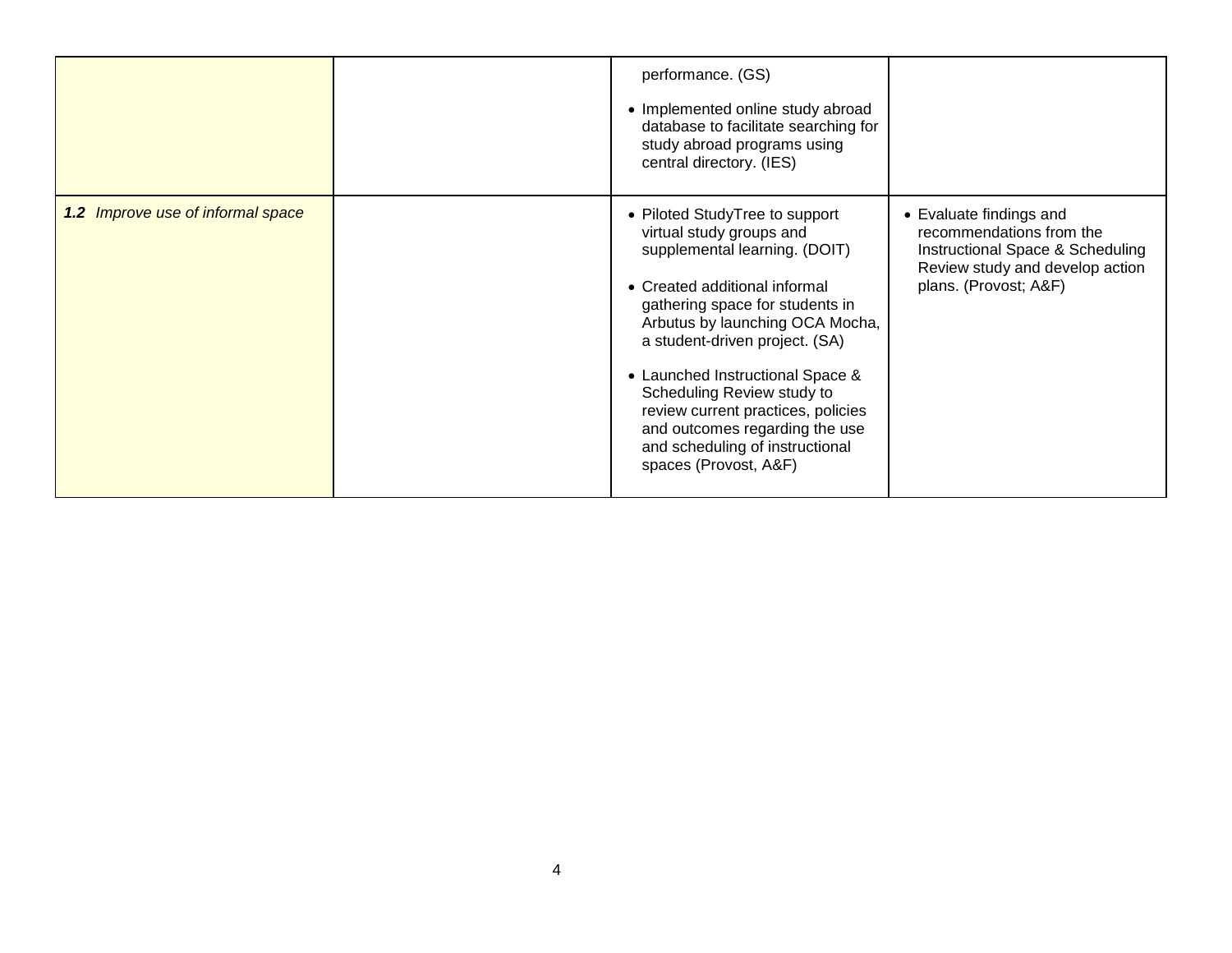|                                   | performance. (GS)<br>• Implemented online study abroad<br>database to facilitate searching for<br>study abroad programs using<br>central directory. (IES)                                                                                                                                                                                                                                                                                  |                                                                                                                                                     |
|-----------------------------------|--------------------------------------------------------------------------------------------------------------------------------------------------------------------------------------------------------------------------------------------------------------------------------------------------------------------------------------------------------------------------------------------------------------------------------------------|-----------------------------------------------------------------------------------------------------------------------------------------------------|
| 1.2 Improve use of informal space | • Piloted StudyTree to support<br>virtual study groups and<br>supplemental learning. (DOIT)<br>• Created additional informal<br>gathering space for students in<br>Arbutus by launching OCA Mocha,<br>a student-driven project. (SA)<br>• Launched Instructional Space &<br>Scheduling Review study to<br>review current practices, policies<br>and outcomes regarding the use<br>and scheduling of instructional<br>spaces (Provost, A&F) | • Evaluate findings and<br>recommendations from the<br>Instructional Space & Scheduling<br>Review study and develop action<br>plans. (Provost; A&F) |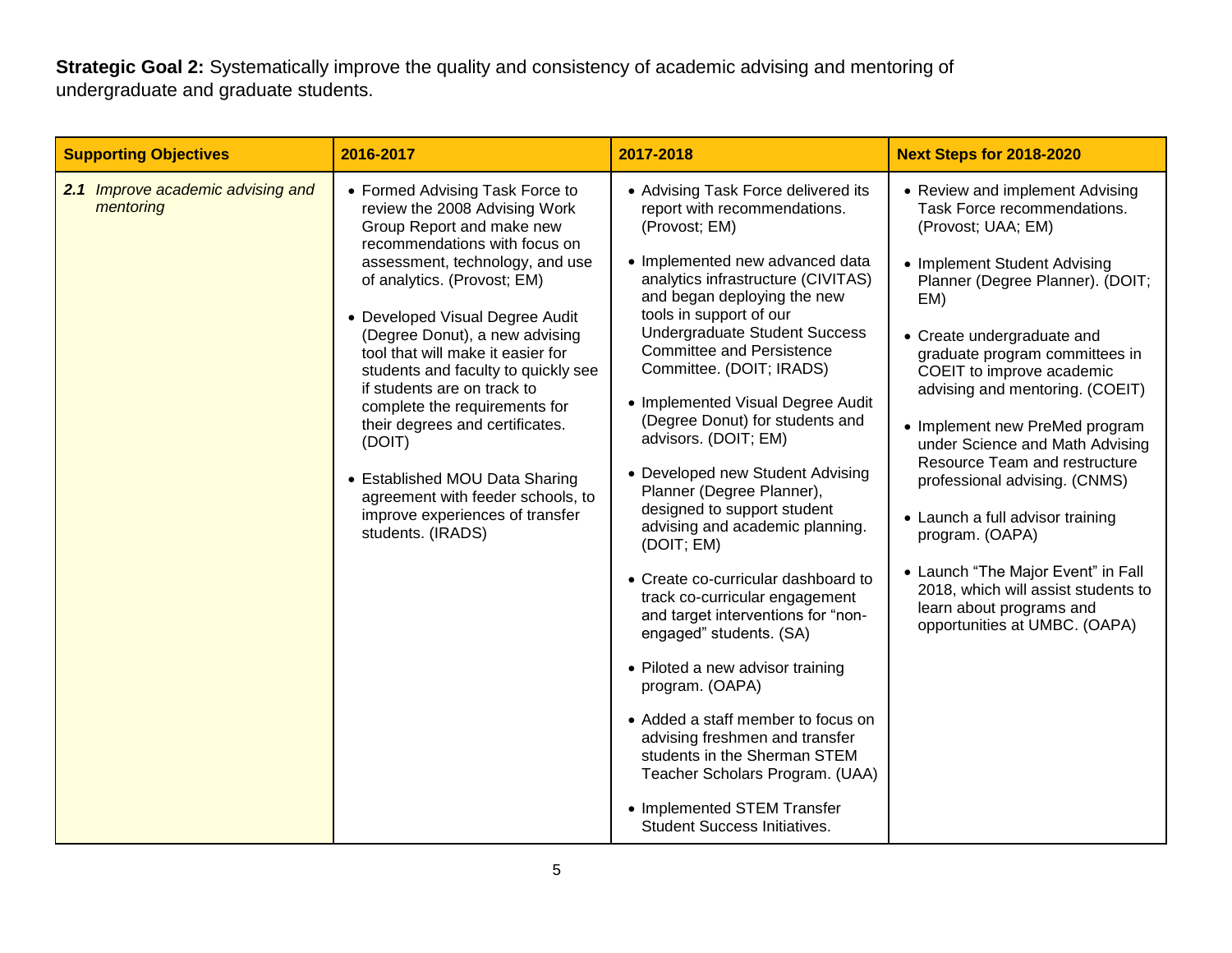**Strategic Goal 2:** Systematically improve the quality and consistency of academic advising and mentoring of undergraduate and graduate students.

| <b>Supporting Objectives</b>                   | 2016-2017                                                                                                                                                                                                                                                                                                                                                                                                                                                                                                                                                                                     | 2017-2018                                                                                                                                                                                                                                                                                                                                                                                                                                                                                                                                                                                                                                                                                                                                                                                                                                                                                                                                                                                          | <b>Next Steps for 2018-2020</b>                                                                                                                                                                                                                                                                                                                                                                                                                                                                                                                                                                                                         |
|------------------------------------------------|-----------------------------------------------------------------------------------------------------------------------------------------------------------------------------------------------------------------------------------------------------------------------------------------------------------------------------------------------------------------------------------------------------------------------------------------------------------------------------------------------------------------------------------------------------------------------------------------------|----------------------------------------------------------------------------------------------------------------------------------------------------------------------------------------------------------------------------------------------------------------------------------------------------------------------------------------------------------------------------------------------------------------------------------------------------------------------------------------------------------------------------------------------------------------------------------------------------------------------------------------------------------------------------------------------------------------------------------------------------------------------------------------------------------------------------------------------------------------------------------------------------------------------------------------------------------------------------------------------------|-----------------------------------------------------------------------------------------------------------------------------------------------------------------------------------------------------------------------------------------------------------------------------------------------------------------------------------------------------------------------------------------------------------------------------------------------------------------------------------------------------------------------------------------------------------------------------------------------------------------------------------------|
| 2.1 Improve academic advising and<br>mentoring | • Formed Advising Task Force to<br>review the 2008 Advising Work<br>Group Report and make new<br>recommendations with focus on<br>assessment, technology, and use<br>of analytics. (Provost; EM)<br>• Developed Visual Degree Audit<br>(Degree Donut), a new advising<br>tool that will make it easier for<br>students and faculty to quickly see<br>if students are on track to<br>complete the requirements for<br>their degrees and certificates.<br>(DOIT)<br>• Established MOU Data Sharing<br>agreement with feeder schools, to<br>improve experiences of transfer<br>students. (IRADS) | • Advising Task Force delivered its<br>report with recommendations.<br>(Provost; EM)<br>• Implemented new advanced data<br>analytics infrastructure (CIVITAS)<br>and began deploying the new<br>tools in support of our<br><b>Undergraduate Student Success</b><br><b>Committee and Persistence</b><br>Committee. (DOIT; IRADS)<br>• Implemented Visual Degree Audit<br>(Degree Donut) for students and<br>advisors. (DOIT; EM)<br>• Developed new Student Advising<br>Planner (Degree Planner),<br>designed to support student<br>advising and academic planning.<br>(DOIT; EM)<br>• Create co-curricular dashboard to<br>track co-curricular engagement<br>and target interventions for "non-<br>engaged" students. (SA)<br>• Piloted a new advisor training<br>program. (OAPA)<br>• Added a staff member to focus on<br>advising freshmen and transfer<br>students in the Sherman STEM<br>Teacher Scholars Program. (UAA)<br>• Implemented STEM Transfer<br><b>Student Success Initiatives.</b> | • Review and implement Advising<br>Task Force recommendations.<br>(Provost; UAA; EM)<br>• Implement Student Advising<br>Planner (Degree Planner). (DOIT;<br>EM)<br>• Create undergraduate and<br>graduate program committees in<br>COEIT to improve academic<br>advising and mentoring. (COEIT)<br>• Implement new PreMed program<br>under Science and Math Advising<br>Resource Team and restructure<br>professional advising. (CNMS)<br>• Launch a full advisor training<br>program. (OAPA)<br>• Launch "The Major Event" in Fall<br>2018, which will assist students to<br>learn about programs and<br>opportunities at UMBC. (OAPA) |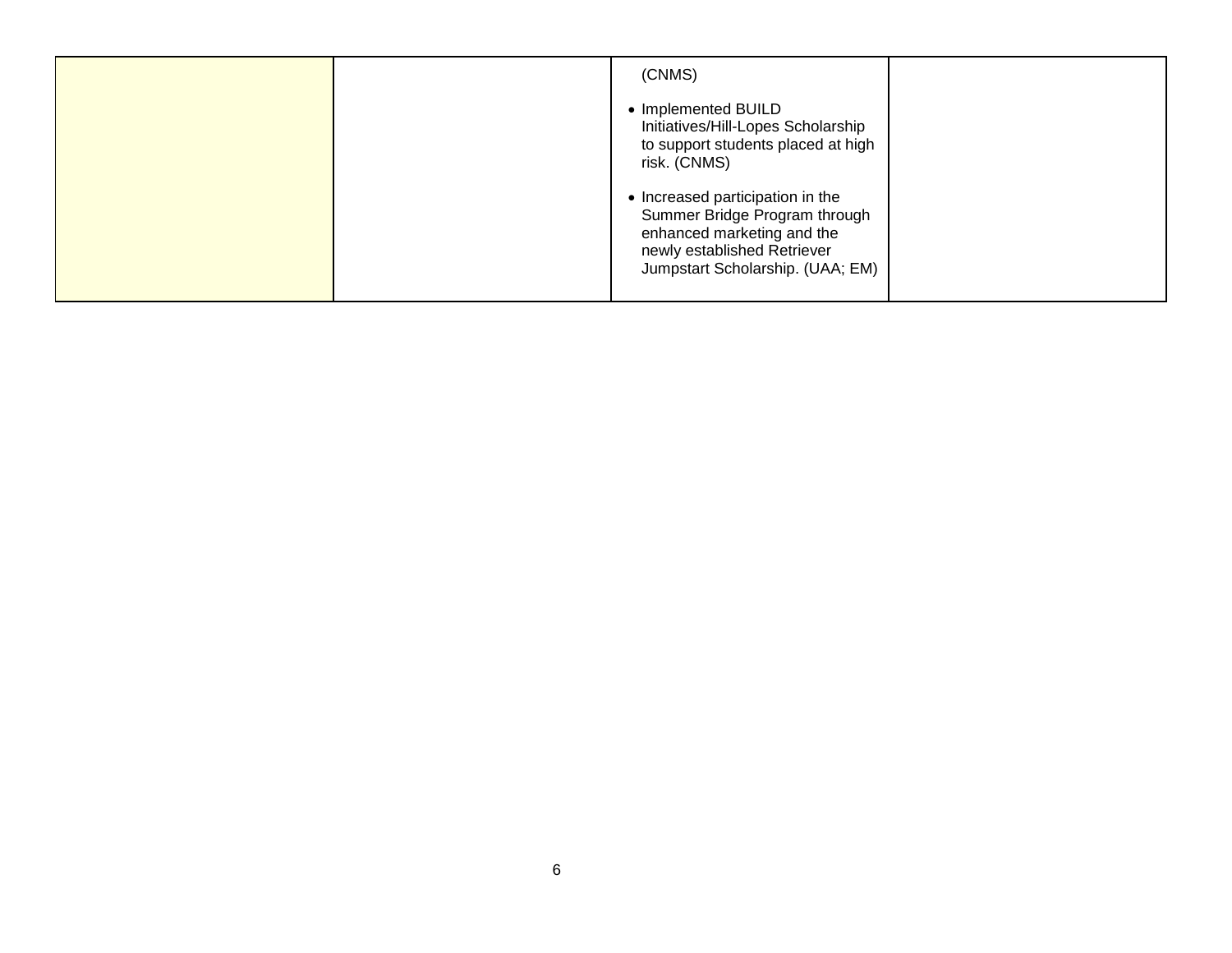| (CNMS)                                                                                                                                              |
|-----------------------------------------------------------------------------------------------------------------------------------------------------|
| • Implemented BUILD<br>Initiatives/Hill-Lopes Scholarship<br>to support students placed at high<br>risk. (CNMS)<br>• Increased participation in the |
| Summer Bridge Program through<br>enhanced marketing and the<br>newly established Retriever<br>Jumpstart Scholarship. (UAA; EM)                      |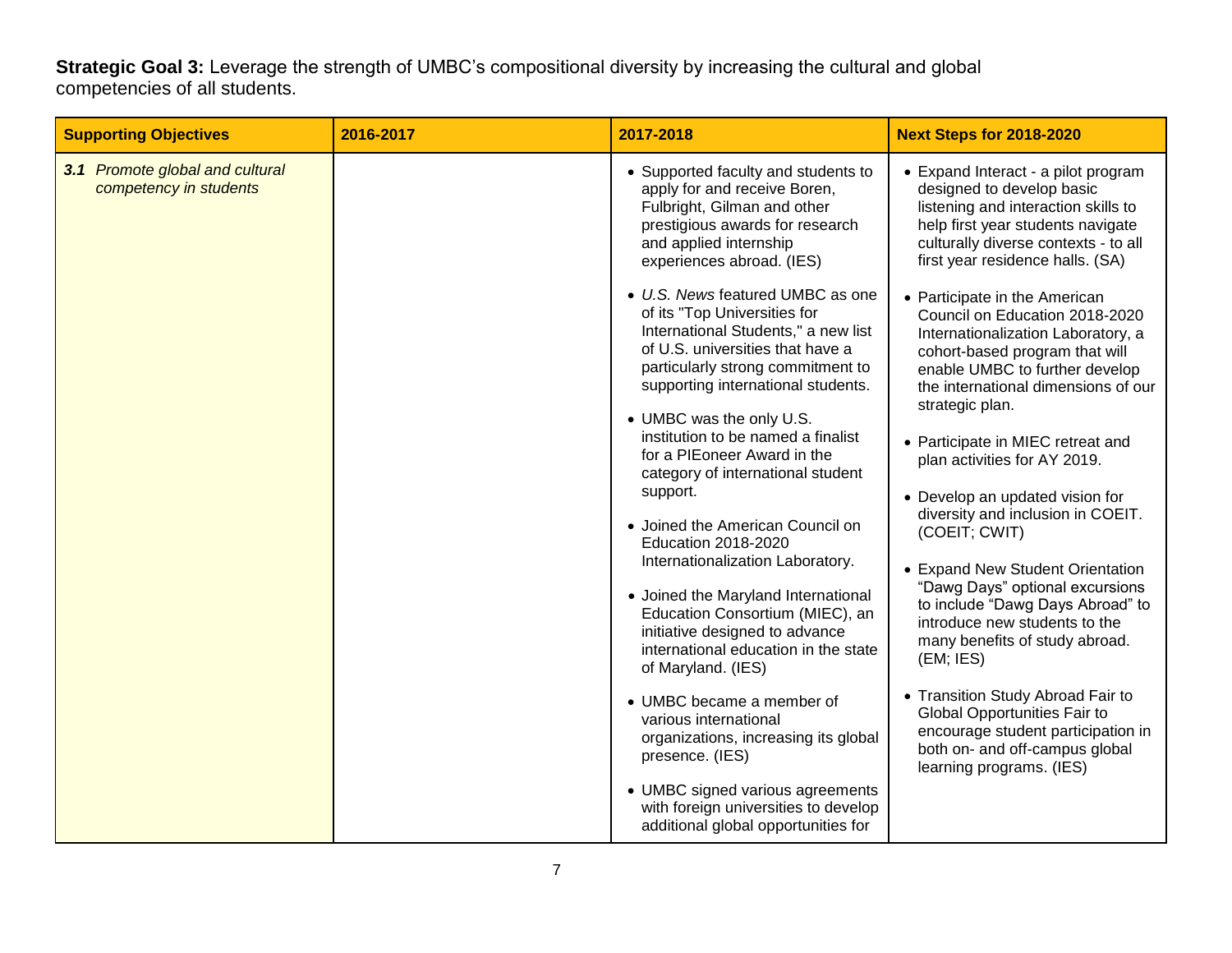**Strategic Goal 3:** Leverage the strength of UMBC's compositional diversity by increasing the cultural and global competencies of all students.

| <b>Supporting Objectives</b>                              | 2016-2017 | 2017-2018                                                                                                                                                                                                                                                                                                                                                                                                                                                                                                                                                                                                                                                                                                                                                                                                                                                                                                      | <b>Next Steps for 2018-2020</b>                                                                                                                                                                                                                                                                                                                                     |
|-----------------------------------------------------------|-----------|----------------------------------------------------------------------------------------------------------------------------------------------------------------------------------------------------------------------------------------------------------------------------------------------------------------------------------------------------------------------------------------------------------------------------------------------------------------------------------------------------------------------------------------------------------------------------------------------------------------------------------------------------------------------------------------------------------------------------------------------------------------------------------------------------------------------------------------------------------------------------------------------------------------|---------------------------------------------------------------------------------------------------------------------------------------------------------------------------------------------------------------------------------------------------------------------------------------------------------------------------------------------------------------------|
| 3.1 Promote global and cultural<br>competency in students |           | • Supported faculty and students to<br>apply for and receive Boren,<br>Fulbright, Gilman and other<br>prestigious awards for research<br>and applied internship<br>experiences abroad. (IES)<br>• U.S. News featured UMBC as one<br>of its "Top Universities for<br>International Students," a new list<br>of U.S. universities that have a<br>particularly strong commitment to<br>supporting international students.<br>• UMBC was the only U.S.<br>institution to be named a finalist<br>for a PIEoneer Award in the<br>category of international student<br>support.<br>• Joined the American Council on<br><b>Education 2018-2020</b><br>Internationalization Laboratory.<br>• Joined the Maryland International<br>Education Consortium (MIEC), an<br>initiative designed to advance<br>international education in the state<br>of Maryland. (IES)<br>• UMBC became a member of<br>various international | • Expand Interact - a pilot program<br>designed to develop basic<br>listening and interaction skills to<br>help first year students navigate<br>culturally diverse contexts - to all<br>first year residence halls. (SA)<br>• Participate in the American<br>Council on Education 2018-2020<br>Internationalization Laboratory, a<br>cohort-based program that will |
|                                                           |           |                                                                                                                                                                                                                                                                                                                                                                                                                                                                                                                                                                                                                                                                                                                                                                                                                                                                                                                | enable UMBC to further develop<br>the international dimensions of our<br>strategic plan.<br>• Participate in MIEC retreat and                                                                                                                                                                                                                                       |
|                                                           |           |                                                                                                                                                                                                                                                                                                                                                                                                                                                                                                                                                                                                                                                                                                                                                                                                                                                                                                                | plan activities for AY 2019.<br>• Develop an updated vision for<br>diversity and inclusion in COEIT.                                                                                                                                                                                                                                                                |
|                                                           |           |                                                                                                                                                                                                                                                                                                                                                                                                                                                                                                                                                                                                                                                                                                                                                                                                                                                                                                                | (COEIT; CWIT)<br>• Expand New Student Orientation                                                                                                                                                                                                                                                                                                                   |
|                                                           |           |                                                                                                                                                                                                                                                                                                                                                                                                                                                                                                                                                                                                                                                                                                                                                                                                                                                                                                                | "Dawg Days" optional excursions<br>to include "Dawg Days Abroad" to<br>introduce new students to the<br>many benefits of study abroad.<br>(EM; IES)                                                                                                                                                                                                                 |
|                                                           |           | organizations, increasing its global<br>presence. (IES)                                                                                                                                                                                                                                                                                                                                                                                                                                                                                                                                                                                                                                                                                                                                                                                                                                                        | • Transition Study Abroad Fair to<br>Global Opportunities Fair to<br>encourage student participation in<br>both on- and off-campus global<br>learning programs. (IES)                                                                                                                                                                                               |
|                                                           |           | • UMBC signed various agreements<br>with foreign universities to develop<br>additional global opportunities for                                                                                                                                                                                                                                                                                                                                                                                                                                                                                                                                                                                                                                                                                                                                                                                                |                                                                                                                                                                                                                                                                                                                                                                     |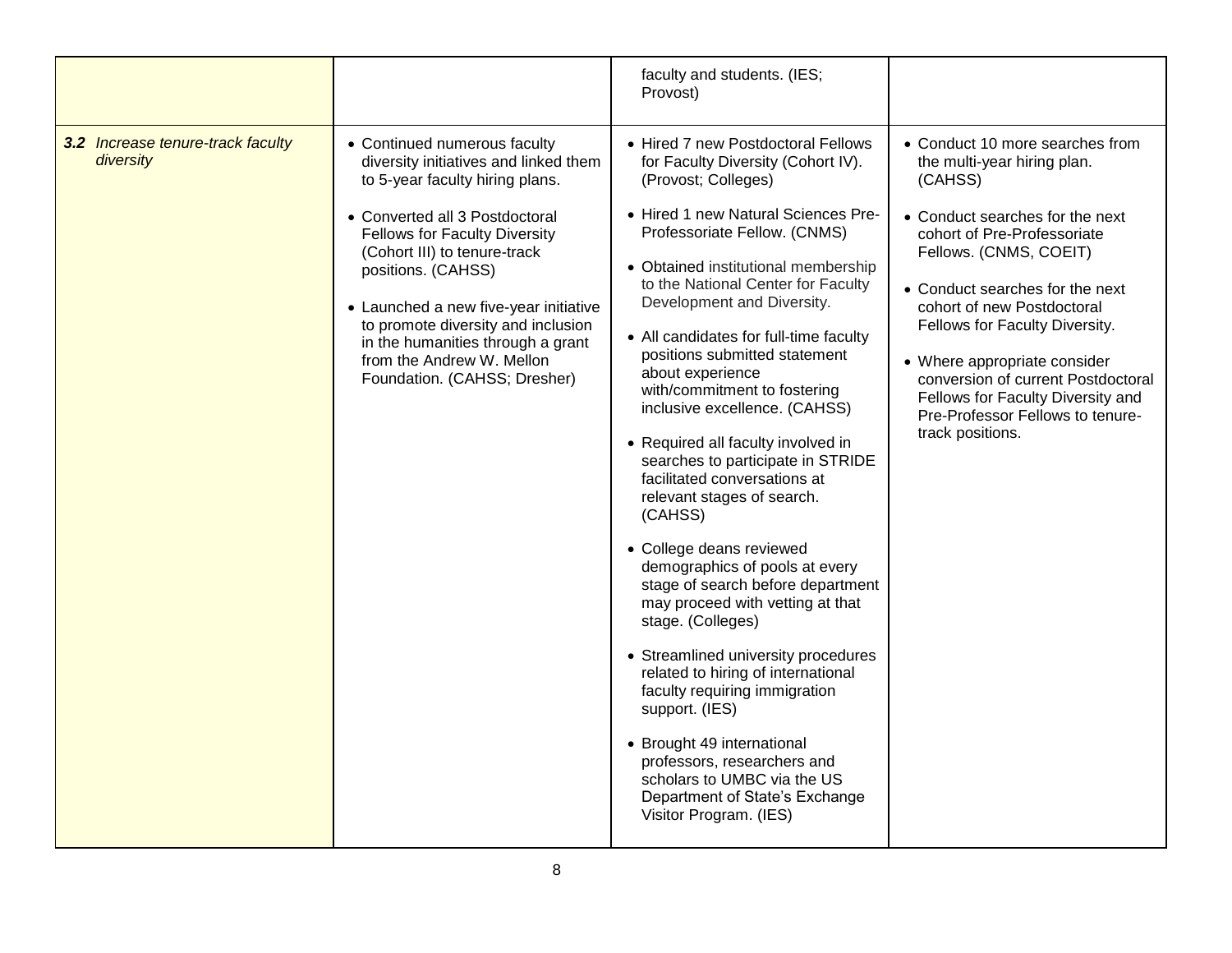|                                                |                                                                                                                                                                                                                                                                                                                                                                                                                           | faculty and students. (IES;<br>Provost)                                                                                                                                                                                                                                                                                                                                                                                                                                                                                                                                                                                                                                                                                                                                                                                                                                                                                                                                                                                                                   |                                                                                                                                                                                                                                                                                                                                                                                                                                             |
|------------------------------------------------|---------------------------------------------------------------------------------------------------------------------------------------------------------------------------------------------------------------------------------------------------------------------------------------------------------------------------------------------------------------------------------------------------------------------------|-----------------------------------------------------------------------------------------------------------------------------------------------------------------------------------------------------------------------------------------------------------------------------------------------------------------------------------------------------------------------------------------------------------------------------------------------------------------------------------------------------------------------------------------------------------------------------------------------------------------------------------------------------------------------------------------------------------------------------------------------------------------------------------------------------------------------------------------------------------------------------------------------------------------------------------------------------------------------------------------------------------------------------------------------------------|---------------------------------------------------------------------------------------------------------------------------------------------------------------------------------------------------------------------------------------------------------------------------------------------------------------------------------------------------------------------------------------------------------------------------------------------|
| 3.2 Increase tenure-track faculty<br>diversity | • Continued numerous faculty<br>diversity initiatives and linked them<br>to 5-year faculty hiring plans.<br>• Converted all 3 Postdoctoral<br><b>Fellows for Faculty Diversity</b><br>(Cohort III) to tenure-track<br>positions. (CAHSS)<br>• Launched a new five-year initiative<br>to promote diversity and inclusion<br>in the humanities through a grant<br>from the Andrew W. Mellon<br>Foundation. (CAHSS; Dresher) | • Hired 7 new Postdoctoral Fellows<br>for Faculty Diversity (Cohort IV).<br>(Provost; Colleges)<br>• Hired 1 new Natural Sciences Pre-<br>Professoriate Fellow. (CNMS)<br>• Obtained institutional membership<br>to the National Center for Faculty<br>Development and Diversity.<br>• All candidates for full-time faculty<br>positions submitted statement<br>about experience<br>with/commitment to fostering<br>inclusive excellence. (CAHSS)<br>• Required all faculty involved in<br>searches to participate in STRIDE<br>facilitated conversations at<br>relevant stages of search.<br>(CAHSS)<br>• College deans reviewed<br>demographics of pools at every<br>stage of search before department<br>may proceed with vetting at that<br>stage. (Colleges)<br>• Streamlined university procedures<br>related to hiring of international<br>faculty requiring immigration<br>support. (IES)<br>• Brought 49 international<br>professors, researchers and<br>scholars to UMBC via the US<br>Department of State's Exchange<br>Visitor Program. (IES) | • Conduct 10 more searches from<br>the multi-year hiring plan.<br>(CAHSS)<br>• Conduct searches for the next<br>cohort of Pre-Professoriate<br>Fellows. (CNMS, COEIT)<br>• Conduct searches for the next<br>cohort of new Postdoctoral<br>Fellows for Faculty Diversity.<br>• Where appropriate consider<br>conversion of current Postdoctoral<br>Fellows for Faculty Diversity and<br>Pre-Professor Fellows to tenure-<br>track positions. |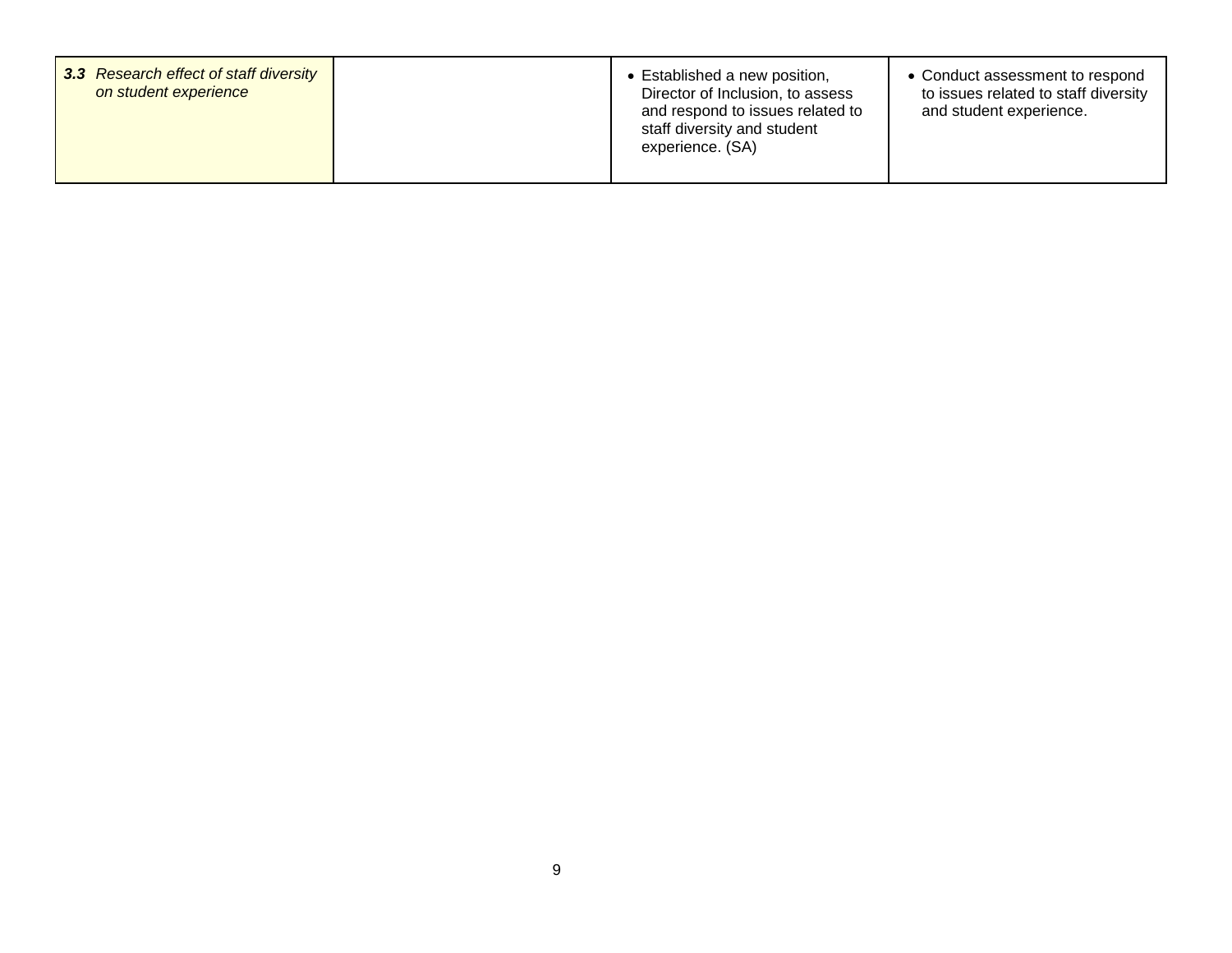| 3.3 Research effect of staff diversity<br>on student experience |  | • Established a new position,<br>Director of Inclusion, to assess<br>and respond to issues related to<br>staff diversity and student<br>experience. (SA) | • Conduct assessment to respond<br>to issues related to staff diversity<br>and student experience. |
|-----------------------------------------------------------------|--|----------------------------------------------------------------------------------------------------------------------------------------------------------|----------------------------------------------------------------------------------------------------|
|-----------------------------------------------------------------|--|----------------------------------------------------------------------------------------------------------------------------------------------------------|----------------------------------------------------------------------------------------------------|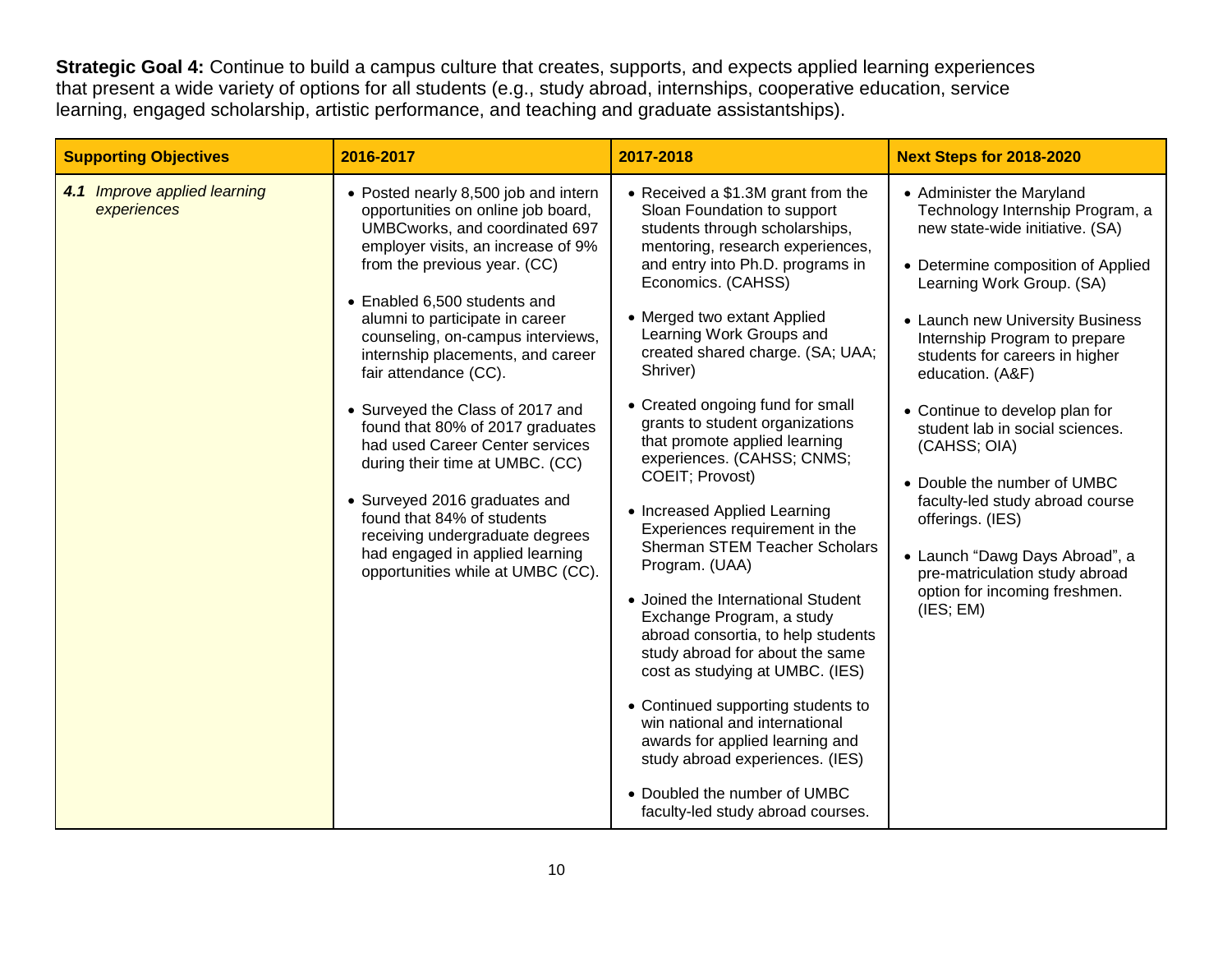**Strategic Goal 4:** Continue to build a campus culture that creates, supports, and expects applied learning experiences that present a wide variety of options for all students (e.g., study abroad, internships, cooperative education, service learning, engaged scholarship, artistic performance, and teaching and graduate assistantships).

| <b>Supporting Objectives</b>                | 2016-2017                                                                                                                                                                                                                                                                                                                                                                                                                                                                                                                                                                                                                                                                        | 2017-2018                                                                                                                                                                                                                                                                                                                                                                                                                                                                                                                                                                                                                                                                                                                                                                                                                                                                                                                                                                                           | <b>Next Steps for 2018-2020</b>                                                                                                                                                                                                                                                                                                                                                                                                                                                                                                                                                             |
|---------------------------------------------|----------------------------------------------------------------------------------------------------------------------------------------------------------------------------------------------------------------------------------------------------------------------------------------------------------------------------------------------------------------------------------------------------------------------------------------------------------------------------------------------------------------------------------------------------------------------------------------------------------------------------------------------------------------------------------|-----------------------------------------------------------------------------------------------------------------------------------------------------------------------------------------------------------------------------------------------------------------------------------------------------------------------------------------------------------------------------------------------------------------------------------------------------------------------------------------------------------------------------------------------------------------------------------------------------------------------------------------------------------------------------------------------------------------------------------------------------------------------------------------------------------------------------------------------------------------------------------------------------------------------------------------------------------------------------------------------------|---------------------------------------------------------------------------------------------------------------------------------------------------------------------------------------------------------------------------------------------------------------------------------------------------------------------------------------------------------------------------------------------------------------------------------------------------------------------------------------------------------------------------------------------------------------------------------------------|
| 4.1 Improve applied learning<br>experiences | • Posted nearly 8,500 job and intern<br>opportunities on online job board,<br>UMBCworks, and coordinated 697<br>employer visits, an increase of 9%<br>from the previous year. (CC)<br>• Enabled 6,500 students and<br>alumni to participate in career<br>counseling, on-campus interviews,<br>internship placements, and career<br>fair attendance (CC).<br>• Surveyed the Class of 2017 and<br>found that 80% of 2017 graduates<br>had used Career Center services<br>during their time at UMBC. (CC)<br>• Surveyed 2016 graduates and<br>found that 84% of students<br>receiving undergraduate degrees<br>had engaged in applied learning<br>opportunities while at UMBC (CC). | • Received a \$1.3M grant from the<br>Sloan Foundation to support<br>students through scholarships,<br>mentoring, research experiences,<br>and entry into Ph.D. programs in<br>Economics. (CAHSS)<br>• Merged two extant Applied<br>Learning Work Groups and<br>created shared charge. (SA; UAA;<br>Shriver)<br>• Created ongoing fund for small<br>grants to student organizations<br>that promote applied learning<br>experiences. (CAHSS; CNMS;<br>COEIT; Provost)<br>• Increased Applied Learning<br>Experiences requirement in the<br><b>Sherman STEM Teacher Scholars</b><br>Program. (UAA)<br>• Joined the International Student<br>Exchange Program, a study<br>abroad consortia, to help students<br>study abroad for about the same<br>cost as studying at UMBC. (IES)<br>• Continued supporting students to<br>win national and international<br>awards for applied learning and<br>study abroad experiences. (IES)<br>• Doubled the number of UMBC<br>faculty-led study abroad courses. | • Administer the Maryland<br>Technology Internship Program, a<br>new state-wide initiative. (SA)<br>• Determine composition of Applied<br>Learning Work Group. (SA)<br>• Launch new University Business<br>Internship Program to prepare<br>students for careers in higher<br>education. (A&F)<br>• Continue to develop plan for<br>student lab in social sciences.<br>(CAHSS; OIA)<br>• Double the number of UMBC<br>faculty-led study abroad course<br>offerings. (IES)<br>• Launch "Dawg Days Abroad", a<br>pre-matriculation study abroad<br>option for incoming freshmen.<br>(IES; EM) |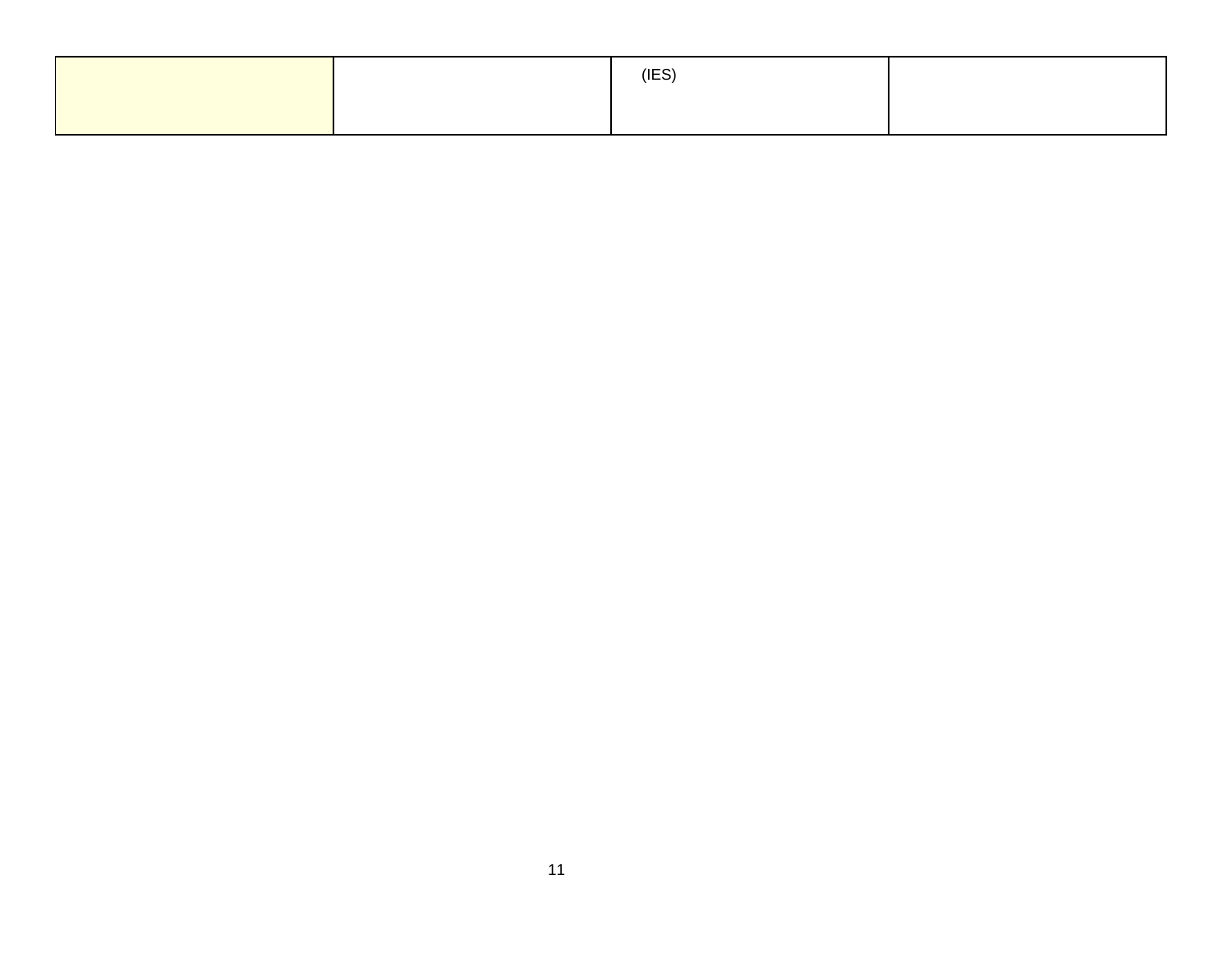|  | (IES) |  |
|--|-------|--|
|  |       |  |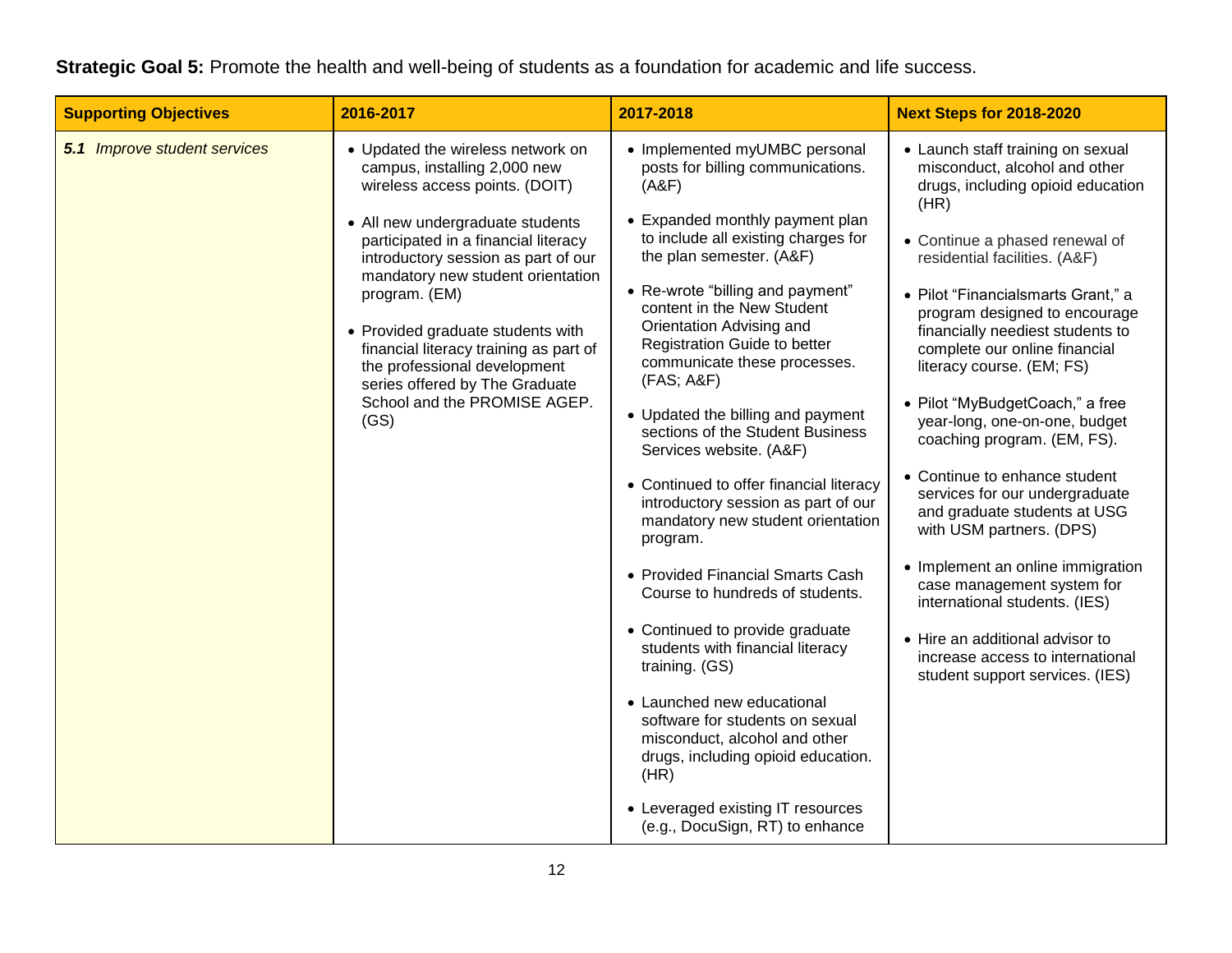#### **Strategic Goal 5:** Promote the health and well-being of students as a foundation for academic and life success.

| <b>Supporting Objectives</b>        | 2016-2017                                                                                                                                                                                                                                                                                                                                                                                                                                                             | 2017-2018                                                                                                                                                                                                                                                                                                                                                                                                                                                                                                                                                                                                                                                                                                                                                            | <b>Next Steps for 2018-2020</b>                                                                                                                                                                                                                                                                                                                                                                                                                                                                                                                                                                                                                                                                                                                                                                             |
|-------------------------------------|-----------------------------------------------------------------------------------------------------------------------------------------------------------------------------------------------------------------------------------------------------------------------------------------------------------------------------------------------------------------------------------------------------------------------------------------------------------------------|----------------------------------------------------------------------------------------------------------------------------------------------------------------------------------------------------------------------------------------------------------------------------------------------------------------------------------------------------------------------------------------------------------------------------------------------------------------------------------------------------------------------------------------------------------------------------------------------------------------------------------------------------------------------------------------------------------------------------------------------------------------------|-------------------------------------------------------------------------------------------------------------------------------------------------------------------------------------------------------------------------------------------------------------------------------------------------------------------------------------------------------------------------------------------------------------------------------------------------------------------------------------------------------------------------------------------------------------------------------------------------------------------------------------------------------------------------------------------------------------------------------------------------------------------------------------------------------------|
| <b>5.1 Improve student services</b> | • Updated the wireless network on<br>campus, installing 2,000 new<br>wireless access points. (DOIT)<br>• All new undergraduate students<br>participated in a financial literacy<br>introductory session as part of our<br>mandatory new student orientation<br>program. (EM)<br>• Provided graduate students with<br>financial literacy training as part of<br>the professional development<br>series offered by The Graduate<br>School and the PROMISE AGEP.<br>(GS) | • Implemented myUMBC personal<br>posts for billing communications.<br>(A&F)<br>• Expanded monthly payment plan<br>to include all existing charges for<br>the plan semester. (A&F)<br>• Re-wrote "billing and payment"<br>content in the New Student<br>Orientation Advising and<br>Registration Guide to better<br>communicate these processes.<br>(FAS; A&F)<br>• Updated the billing and payment<br>sections of the Student Business<br>Services website. (A&F)<br>• Continued to offer financial literacy<br>introductory session as part of our<br>mandatory new student orientation<br>program.<br>• Provided Financial Smarts Cash<br>Course to hundreds of students.<br>• Continued to provide graduate<br>students with financial literacy<br>training. (GS) | • Launch staff training on sexual<br>misconduct, alcohol and other<br>drugs, including opioid education<br>(HR)<br>• Continue a phased renewal of<br>residential facilities. (A&F)<br>• Pilot "Financialsmarts Grant," a<br>program designed to encourage<br>financially neediest students to<br>complete our online financial<br>literacy course. (EM; FS)<br>• Pilot "MyBudgetCoach," a free<br>year-long, one-on-one, budget<br>coaching program. (EM, FS).<br>• Continue to enhance student<br>services for our undergraduate<br>and graduate students at USG<br>with USM partners. (DPS)<br>• Implement an online immigration<br>case management system for<br>international students. (IES)<br>• Hire an additional advisor to<br>increase access to international<br>student support services. (IES) |
|                                     |                                                                                                                                                                                                                                                                                                                                                                                                                                                                       | • Launched new educational<br>software for students on sexual<br>misconduct, alcohol and other<br>drugs, including opioid education.<br>(HR)<br>• Leveraged existing IT resources<br>(e.g., DocuSign, RT) to enhance                                                                                                                                                                                                                                                                                                                                                                                                                                                                                                                                                 |                                                                                                                                                                                                                                                                                                                                                                                                                                                                                                                                                                                                                                                                                                                                                                                                             |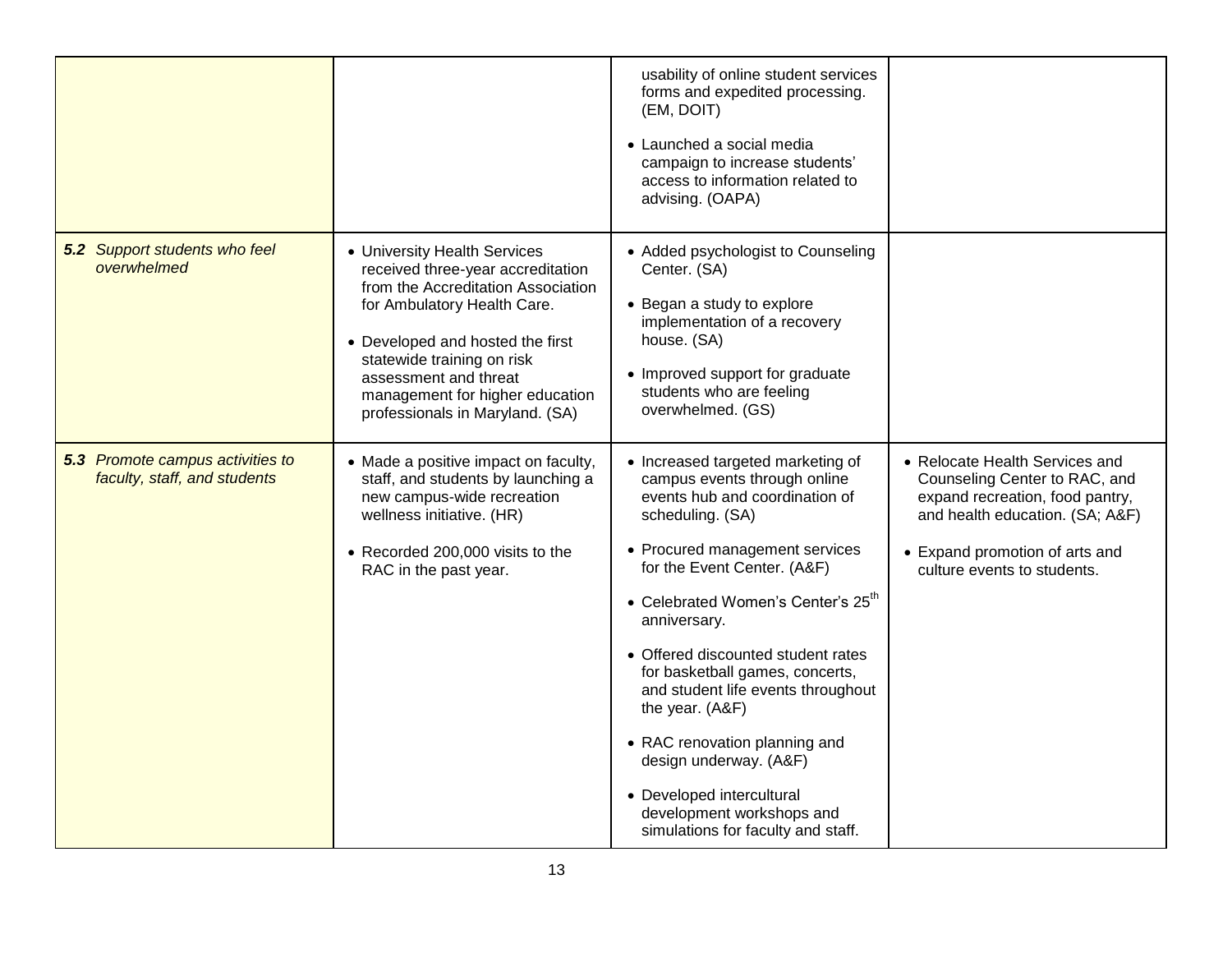|                                                                         |                                                                                                                                                                                                                                                                                                         | usability of online student services<br>forms and expedited processing.<br>(EM, DOIT)<br>• Launched a social media<br>campaign to increase students'<br>access to information related to<br>advising. (OAPA)                                                                                                                                                                                                                                                                                                                                            |                                                                                                                                                                                                        |
|-------------------------------------------------------------------------|---------------------------------------------------------------------------------------------------------------------------------------------------------------------------------------------------------------------------------------------------------------------------------------------------------|---------------------------------------------------------------------------------------------------------------------------------------------------------------------------------------------------------------------------------------------------------------------------------------------------------------------------------------------------------------------------------------------------------------------------------------------------------------------------------------------------------------------------------------------------------|--------------------------------------------------------------------------------------------------------------------------------------------------------------------------------------------------------|
| <b>5.2</b> Support students who feel<br>overwhelmed                     | • University Health Services<br>received three-year accreditation<br>from the Accreditation Association<br>for Ambulatory Health Care.<br>• Developed and hosted the first<br>statewide training on risk<br>assessment and threat<br>management for higher education<br>professionals in Maryland. (SA) | • Added psychologist to Counseling<br>Center. (SA)<br>• Began a study to explore<br>implementation of a recovery<br>house. (SA)<br>• Improved support for graduate<br>students who are feeling<br>overwhelmed. (GS)                                                                                                                                                                                                                                                                                                                                     |                                                                                                                                                                                                        |
| <b>5.3</b> Promote campus activities to<br>faculty, staff, and students | • Made a positive impact on faculty,<br>staff, and students by launching a<br>new campus-wide recreation<br>wellness initiative. (HR)<br>• Recorded 200,000 visits to the<br>RAC in the past year.                                                                                                      | • Increased targeted marketing of<br>campus events through online<br>events hub and coordination of<br>scheduling. (SA)<br>• Procured management services<br>for the Event Center. (A&F)<br>• Celebrated Women's Center's 25 <sup>th</sup><br>anniversary.<br>• Offered discounted student rates<br>for basketball games, concerts,<br>and student life events throughout<br>the year. (A&F)<br>• RAC renovation planning and<br>design underway. (A&F)<br>• Developed intercultural<br>development workshops and<br>simulations for faculty and staff. | • Relocate Health Services and<br>Counseling Center to RAC, and<br>expand recreation, food pantry,<br>and health education. (SA; A&F)<br>• Expand promotion of arts and<br>culture events to students. |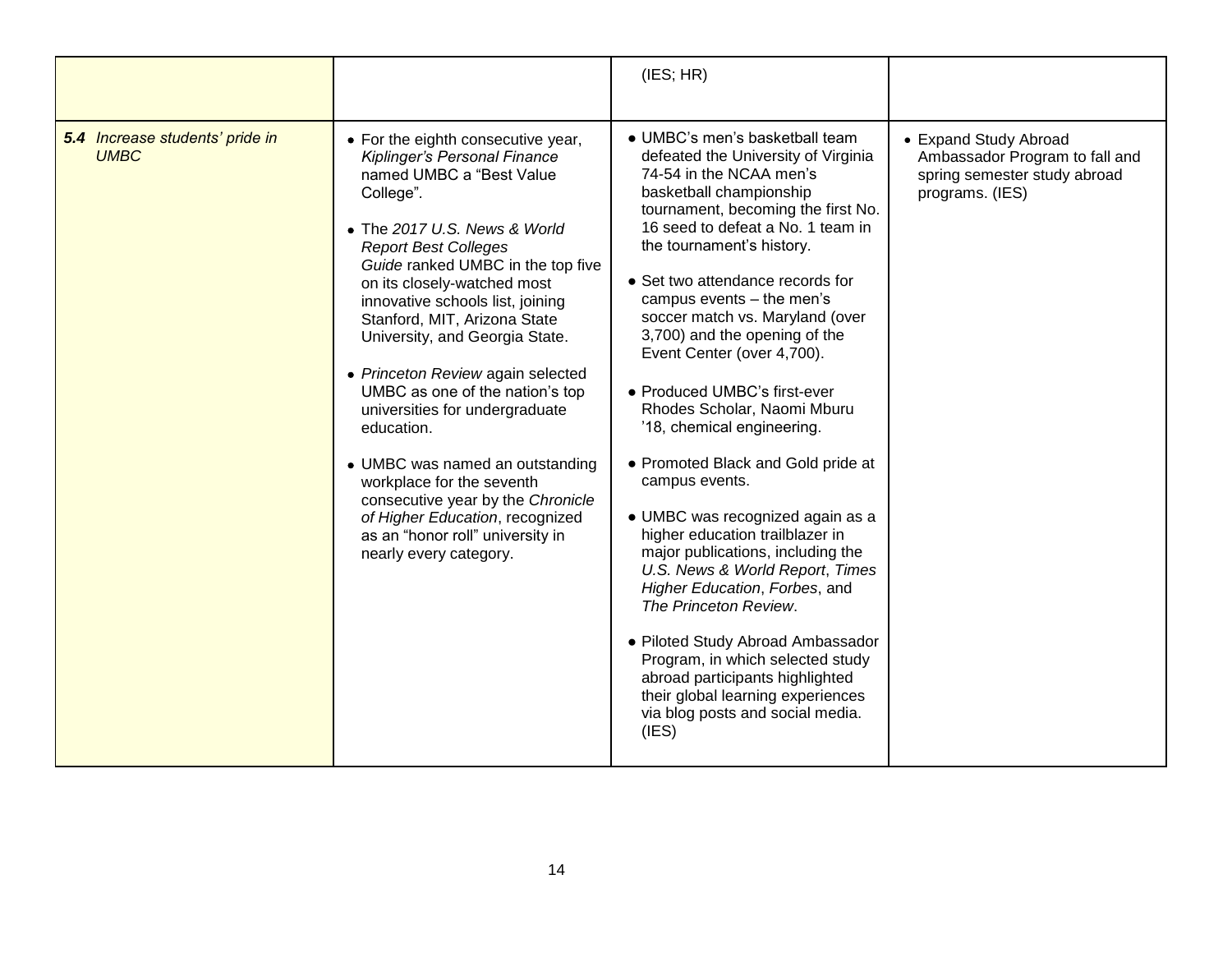|                                                |                                                                                                                                                                                                                                                                                                                                                                                                                                                                                                                                                                                                                                                                                    | (IES; HR)                                                                                                                                                                                                                                                                                                                                                                                                                                                                                                                                                                                                                                                                                                                                                                                                                                                                                                                                                          |                                                                                                            |
|------------------------------------------------|------------------------------------------------------------------------------------------------------------------------------------------------------------------------------------------------------------------------------------------------------------------------------------------------------------------------------------------------------------------------------------------------------------------------------------------------------------------------------------------------------------------------------------------------------------------------------------------------------------------------------------------------------------------------------------|--------------------------------------------------------------------------------------------------------------------------------------------------------------------------------------------------------------------------------------------------------------------------------------------------------------------------------------------------------------------------------------------------------------------------------------------------------------------------------------------------------------------------------------------------------------------------------------------------------------------------------------------------------------------------------------------------------------------------------------------------------------------------------------------------------------------------------------------------------------------------------------------------------------------------------------------------------------------|------------------------------------------------------------------------------------------------------------|
| 5.4 Increase students' pride in<br><b>UMBC</b> | • For the eighth consecutive year,<br>Kiplinger's Personal Finance<br>named UMBC a "Best Value<br>College".<br>• The 2017 U.S. News & World<br><b>Report Best Colleges</b><br>Guide ranked UMBC in the top five<br>on its closely-watched most<br>innovative schools list, joining<br>Stanford, MIT, Arizona State<br>University, and Georgia State.<br>• Princeton Review again selected<br>UMBC as one of the nation's top<br>universities for undergraduate<br>education.<br>• UMBC was named an outstanding<br>workplace for the seventh<br>consecutive year by the Chronicle<br>of Higher Education, recognized<br>as an "honor roll" university in<br>nearly every category. | • UMBC's men's basketball team<br>defeated the University of Virginia<br>74-54 in the NCAA men's<br>basketball championship<br>tournament, becoming the first No.<br>16 seed to defeat a No. 1 team in<br>the tournament's history.<br>• Set two attendance records for<br>campus events - the men's<br>soccer match vs. Maryland (over<br>3,700) and the opening of the<br>Event Center (over 4,700).<br>• Produced UMBC's first-ever<br>Rhodes Scholar, Naomi Mburu<br>'18, chemical engineering.<br>• Promoted Black and Gold pride at<br>campus events.<br>· UMBC was recognized again as a<br>higher education trailblazer in<br>major publications, including the<br>U.S. News & World Report, Times<br>Higher Education, Forbes, and<br>The Princeton Review.<br>• Piloted Study Abroad Ambassador<br>Program, in which selected study<br>abroad participants highlighted<br>their global learning experiences<br>via blog posts and social media.<br>(IES) | • Expand Study Abroad<br>Ambassador Program to fall and<br>spring semester study abroad<br>programs. (IES) |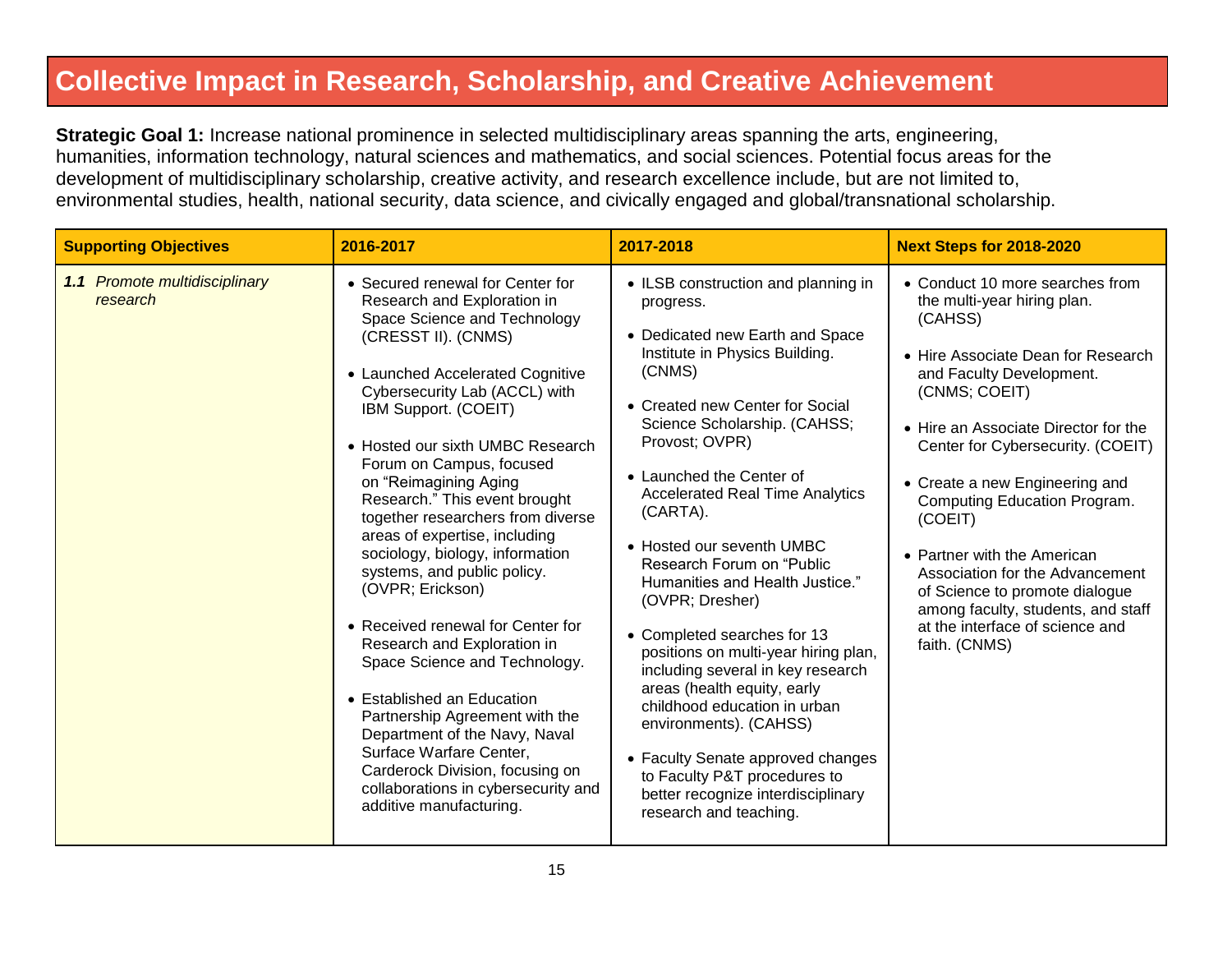#### **Collective Impact in Research, Scholarship, and Creative Achievement**

**Strategic Goal 1:** Increase national prominence in selected multidisciplinary areas spanning the arts, engineering, humanities, information technology, natural sciences and mathematics, and social sciences. Potential focus areas for the development of multidisciplinary scholarship, creative activity, and research excellence include, but are not limited to, environmental studies, health, national security, data science, and civically engaged and global/transnational scholarship.

| <b>Supporting Objectives</b>              | 2016-2017                                                                                                                                                                                                                                                                                                                                                                                                                                                                                                                                                                                                                                                                                                                                                                                                                                       | 2017-2018                                                                                                                                                                                                                                                                                                                                                                                                                                                                                                                                                                                                                                                                                                                                                         | <b>Next Steps for 2018-2020</b>                                                                                                                                                                                                                                                                                                                                                                                                                                                                                      |
|-------------------------------------------|-------------------------------------------------------------------------------------------------------------------------------------------------------------------------------------------------------------------------------------------------------------------------------------------------------------------------------------------------------------------------------------------------------------------------------------------------------------------------------------------------------------------------------------------------------------------------------------------------------------------------------------------------------------------------------------------------------------------------------------------------------------------------------------------------------------------------------------------------|-------------------------------------------------------------------------------------------------------------------------------------------------------------------------------------------------------------------------------------------------------------------------------------------------------------------------------------------------------------------------------------------------------------------------------------------------------------------------------------------------------------------------------------------------------------------------------------------------------------------------------------------------------------------------------------------------------------------------------------------------------------------|----------------------------------------------------------------------------------------------------------------------------------------------------------------------------------------------------------------------------------------------------------------------------------------------------------------------------------------------------------------------------------------------------------------------------------------------------------------------------------------------------------------------|
| 1.1 Promote multidisciplinary<br>research | • Secured renewal for Center for<br>Research and Exploration in<br>Space Science and Technology<br>(CRESST II). (CNMS)<br>• Launched Accelerated Cognitive<br>Cybersecurity Lab (ACCL) with<br>IBM Support. (COEIT)<br>• Hosted our sixth UMBC Research<br>Forum on Campus, focused<br>on "Reimagining Aging<br>Research." This event brought<br>together researchers from diverse<br>areas of expertise, including<br>sociology, biology, information<br>systems, and public policy.<br>(OVPR; Erickson)<br>• Received renewal for Center for<br>Research and Exploration in<br>Space Science and Technology.<br>• Established an Education<br>Partnership Agreement with the<br>Department of the Navy, Naval<br>Surface Warfare Center,<br>Carderock Division, focusing on<br>collaborations in cybersecurity and<br>additive manufacturing. | • ILSB construction and planning in<br>progress.<br>• Dedicated new Earth and Space<br>Institute in Physics Building.<br>(CNMS)<br>• Created new Center for Social<br>Science Scholarship. (CAHSS;<br>Provost; OVPR)<br>• Launched the Center of<br><b>Accelerated Real Time Analytics</b><br>(CARTA).<br>• Hosted our seventh UMBC<br>Research Forum on "Public"<br>Humanities and Health Justice."<br>(OVPR; Dresher)<br>• Completed searches for 13<br>positions on multi-year hiring plan,<br>including several in key research<br>areas (health equity, early<br>childhood education in urban<br>environments). (CAHSS)<br>• Faculty Senate approved changes<br>to Faculty P&T procedures to<br>better recognize interdisciplinary<br>research and teaching. | • Conduct 10 more searches from<br>the multi-year hiring plan.<br>(CAHSS)<br>• Hire Associate Dean for Research<br>and Faculty Development.<br>(CNMS; COEIT)<br>• Hire an Associate Director for the<br>Center for Cybersecurity. (COEIT)<br>• Create a new Engineering and<br>Computing Education Program.<br>(COEIT)<br>• Partner with the American<br>Association for the Advancement<br>of Science to promote dialogue<br>among faculty, students, and staff<br>at the interface of science and<br>faith. (CNMS) |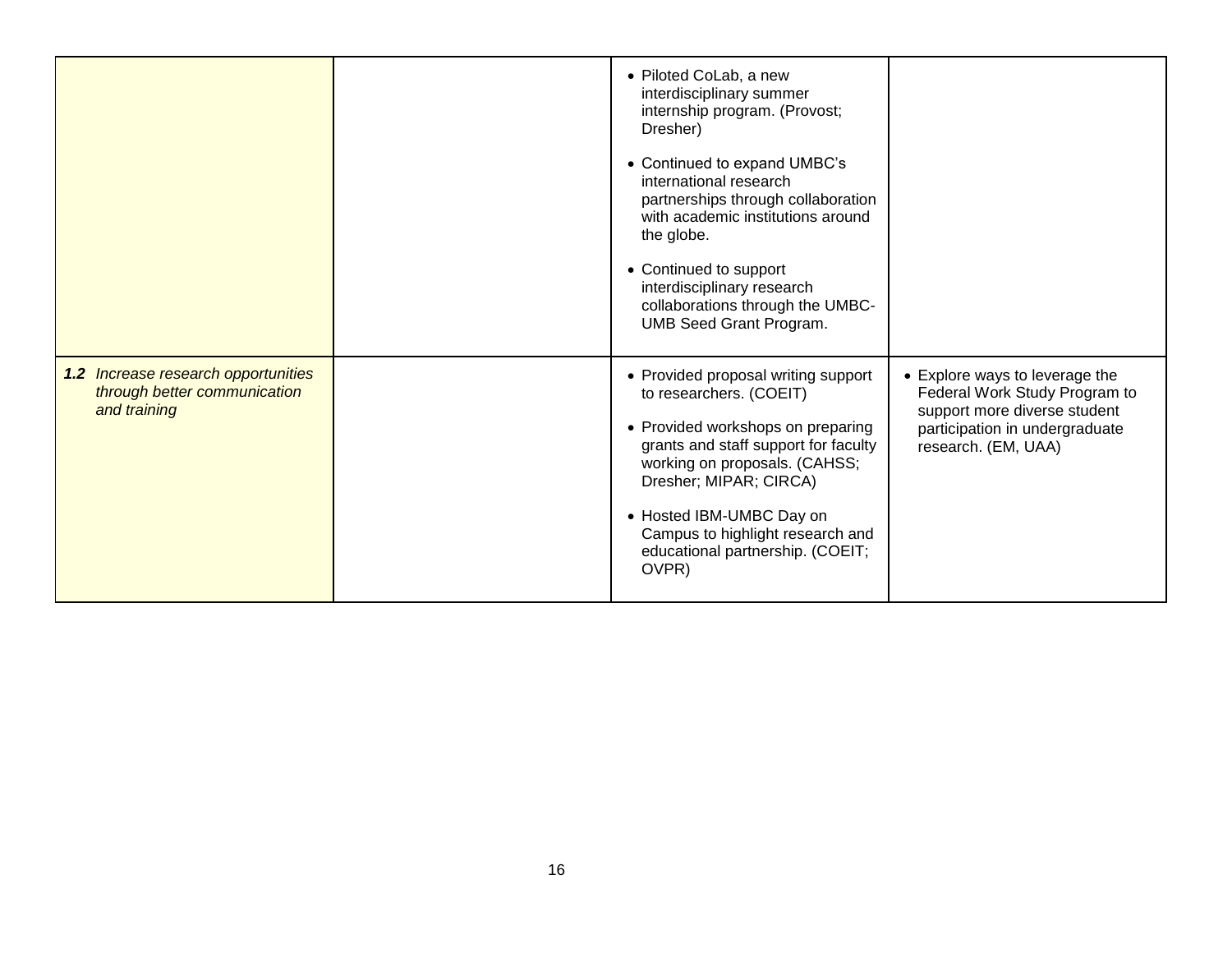|                                                                                     | • Piloted CoLab, a new<br>interdisciplinary summer<br>internship program. (Provost;<br>Dresher)<br>• Continued to expand UMBC's<br>international research<br>partnerships through collaboration<br>with academic institutions around<br>the globe.<br>• Continued to support<br>interdisciplinary research<br>collaborations through the UMBC-<br><b>UMB Seed Grant Program.</b> |                                                                                                                                                          |
|-------------------------------------------------------------------------------------|----------------------------------------------------------------------------------------------------------------------------------------------------------------------------------------------------------------------------------------------------------------------------------------------------------------------------------------------------------------------------------|----------------------------------------------------------------------------------------------------------------------------------------------------------|
| 1.2 Increase research opportunities<br>through better communication<br>and training | • Provided proposal writing support<br>to researchers. (COEIT)<br>• Provided workshops on preparing<br>grants and staff support for faculty<br>working on proposals. (CAHSS;<br>Dresher; MIPAR; CIRCA)<br>• Hosted IBM-UMBC Day on<br>Campus to highlight research and<br>educational partnership. (COEIT;<br>OVPR)                                                              | • Explore ways to leverage the<br>Federal Work Study Program to<br>support more diverse student<br>participation in undergraduate<br>research. (EM, UAA) |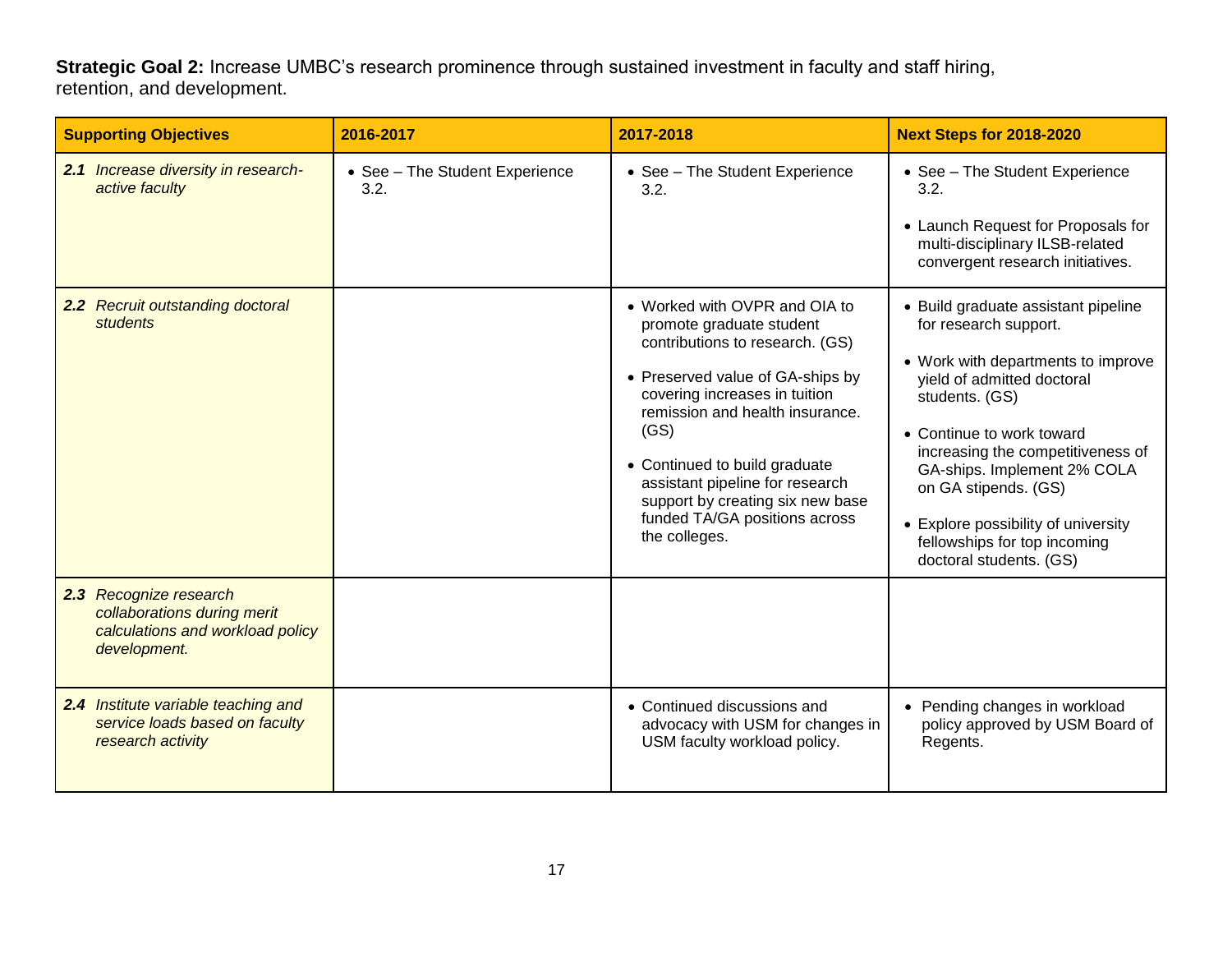**Strategic Goal 2:** Increase UMBC's research prominence through sustained investment in faculty and staff hiring, retention, and development.

| <b>Supporting Objectives</b>                                                                              | 2016-2017                              | 2017-2018                                                                                                                                                                                                                                                                                                                                                                                                        | <b>Next Steps for 2018-2020</b>                                                                                                                                                                                                                                                                                                                                                                                                                                                                           |
|-----------------------------------------------------------------------------------------------------------|----------------------------------------|------------------------------------------------------------------------------------------------------------------------------------------------------------------------------------------------------------------------------------------------------------------------------------------------------------------------------------------------------------------------------------------------------------------|-----------------------------------------------------------------------------------------------------------------------------------------------------------------------------------------------------------------------------------------------------------------------------------------------------------------------------------------------------------------------------------------------------------------------------------------------------------------------------------------------------------|
| 2.1 Increase diversity in research-<br>active faculty<br>2.2 Recruit outstanding doctoral<br>students     | • See - The Student Experience<br>3.2. | • See - The Student Experience<br>3.2.<br>• Worked with OVPR and OIA to<br>promote graduate student<br>contributions to research. (GS)<br>• Preserved value of GA-ships by<br>covering increases in tuition<br>remission and health insurance.<br>(GS)<br>• Continued to build graduate<br>assistant pipeline for research<br>support by creating six new base<br>funded TA/GA positions across<br>the colleges. | • See - The Student Experience<br>3.2.<br>• Launch Request for Proposals for<br>multi-disciplinary ILSB-related<br>convergent research initiatives.<br>• Build graduate assistant pipeline<br>for research support.<br>• Work with departments to improve<br>yield of admitted doctoral<br>students. (GS)<br>• Continue to work toward<br>increasing the competitiveness of<br>GA-ships. Implement 2% COLA<br>on GA stipends. (GS)<br>• Explore possibility of university<br>fellowships for top incoming |
| 2.3 Recognize research<br>collaborations during merit<br>calculations and workload policy<br>development. |                                        |                                                                                                                                                                                                                                                                                                                                                                                                                  | doctoral students. (GS)                                                                                                                                                                                                                                                                                                                                                                                                                                                                                   |
| 2.4 Institute variable teaching and<br>service loads based on faculty<br>research activity                |                                        | • Continued discussions and<br>advocacy with USM for changes in<br>USM faculty workload policy.                                                                                                                                                                                                                                                                                                                  | • Pending changes in workload<br>policy approved by USM Board of<br>Regents.                                                                                                                                                                                                                                                                                                                                                                                                                              |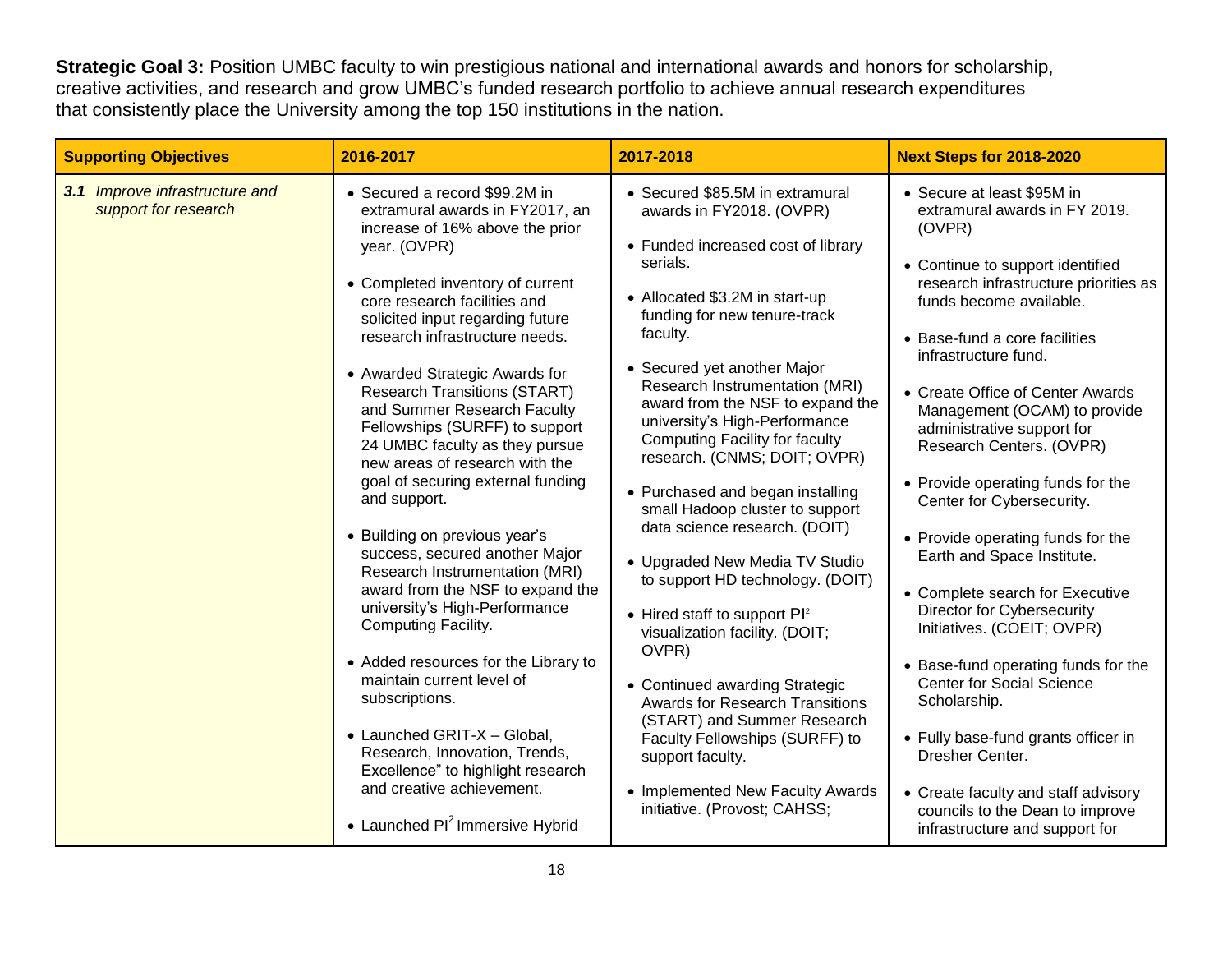**Strategic Goal 3:** Position UMBC faculty to win prestigious national and international awards and honors for scholarship, creative activities, and research and grow UMBC's funded research portfolio to achieve annual research expenditures that consistently place the University among the top 150 institutions in the nation.

| <b>Supporting Objectives</b>                           | 2016-2017                                                                                                                                                                                                                                                                                                                                                                                                                                                                                                                                                                                                                                                                                                                                                                                                                                                                                                                                                                                        | 2017-2018                                                                                                                                                                                                                                                                                                                                                                                                                                                                                                                                                                                                                                                                                                                                                                                                                                                                                                   | <b>Next Steps for 2018-2020</b>                                                                                                                                                                                                                                                                                                                                                                                                                                                                                                                                                                                                                                                                                                                                                                                                                                           |
|--------------------------------------------------------|--------------------------------------------------------------------------------------------------------------------------------------------------------------------------------------------------------------------------------------------------------------------------------------------------------------------------------------------------------------------------------------------------------------------------------------------------------------------------------------------------------------------------------------------------------------------------------------------------------------------------------------------------------------------------------------------------------------------------------------------------------------------------------------------------------------------------------------------------------------------------------------------------------------------------------------------------------------------------------------------------|-------------------------------------------------------------------------------------------------------------------------------------------------------------------------------------------------------------------------------------------------------------------------------------------------------------------------------------------------------------------------------------------------------------------------------------------------------------------------------------------------------------------------------------------------------------------------------------------------------------------------------------------------------------------------------------------------------------------------------------------------------------------------------------------------------------------------------------------------------------------------------------------------------------|---------------------------------------------------------------------------------------------------------------------------------------------------------------------------------------------------------------------------------------------------------------------------------------------------------------------------------------------------------------------------------------------------------------------------------------------------------------------------------------------------------------------------------------------------------------------------------------------------------------------------------------------------------------------------------------------------------------------------------------------------------------------------------------------------------------------------------------------------------------------------|
| 3.1 Improve infrastructure and<br>support for research | • Secured a record \$99.2M in<br>extramural awards in FY2017, an<br>increase of 16% above the prior<br>year. (OVPR)<br>• Completed inventory of current<br>core research facilities and<br>solicited input regarding future<br>research infrastructure needs.<br>• Awarded Strategic Awards for<br><b>Research Transitions (START)</b><br>and Summer Research Faculty<br>Fellowships (SURFF) to support<br>24 UMBC faculty as they pursue<br>new areas of research with the<br>goal of securing external funding<br>and support.<br>• Building on previous year's<br>success, secured another Major<br>Research Instrumentation (MRI)<br>award from the NSF to expand the<br>university's High-Performance<br>Computing Facility.<br>• Added resources for the Library to<br>maintain current level of<br>subscriptions.<br>• Launched GRIT-X - Global,<br>Research, Innovation, Trends,<br>Excellence" to highlight research<br>and creative achievement.<br>• Launched $Pl^2$ Immersive Hybrid | • Secured \$85.5M in extramural<br>awards in FY2018. (OVPR)<br>• Funded increased cost of library<br>serials.<br>• Allocated \$3.2M in start-up<br>funding for new tenure-track<br>faculty.<br>• Secured yet another Major<br>Research Instrumentation (MRI)<br>award from the NSF to expand the<br>university's High-Performance<br><b>Computing Facility for faculty</b><br>research. (CNMS; DOIT; OVPR)<br>• Purchased and began installing<br>small Hadoop cluster to support<br>data science research. (DOIT)<br>• Upgraded New Media TV Studio<br>to support HD technology. (DOIT)<br>• Hired staff to support $Pl^2$<br>visualization facility. (DOIT;<br>OVPR)<br>• Continued awarding Strategic<br><b>Awards for Research Transitions</b><br>(START) and Summer Research<br>Faculty Fellowships (SURFF) to<br>support faculty.<br>• Implemented New Faculty Awards<br>initiative. (Provost; CAHSS; | • Secure at least \$95M in<br>extramural awards in FY 2019.<br>(OVPR)<br>• Continue to support identified<br>research infrastructure priorities as<br>funds become available.<br>• Base-fund a core facilities<br>infrastructure fund.<br>• Create Office of Center Awards<br>Management (OCAM) to provide<br>administrative support for<br>Research Centers. (OVPR)<br>• Provide operating funds for the<br>Center for Cybersecurity.<br>• Provide operating funds for the<br>Earth and Space Institute.<br>• Complete search for Executive<br>Director for Cybersecurity<br>Initiatives. (COEIT; OVPR)<br>• Base-fund operating funds for the<br><b>Center for Social Science</b><br>Scholarship.<br>• Fully base-fund grants officer in<br>Dresher Center.<br>• Create faculty and staff advisory<br>councils to the Dean to improve<br>infrastructure and support for |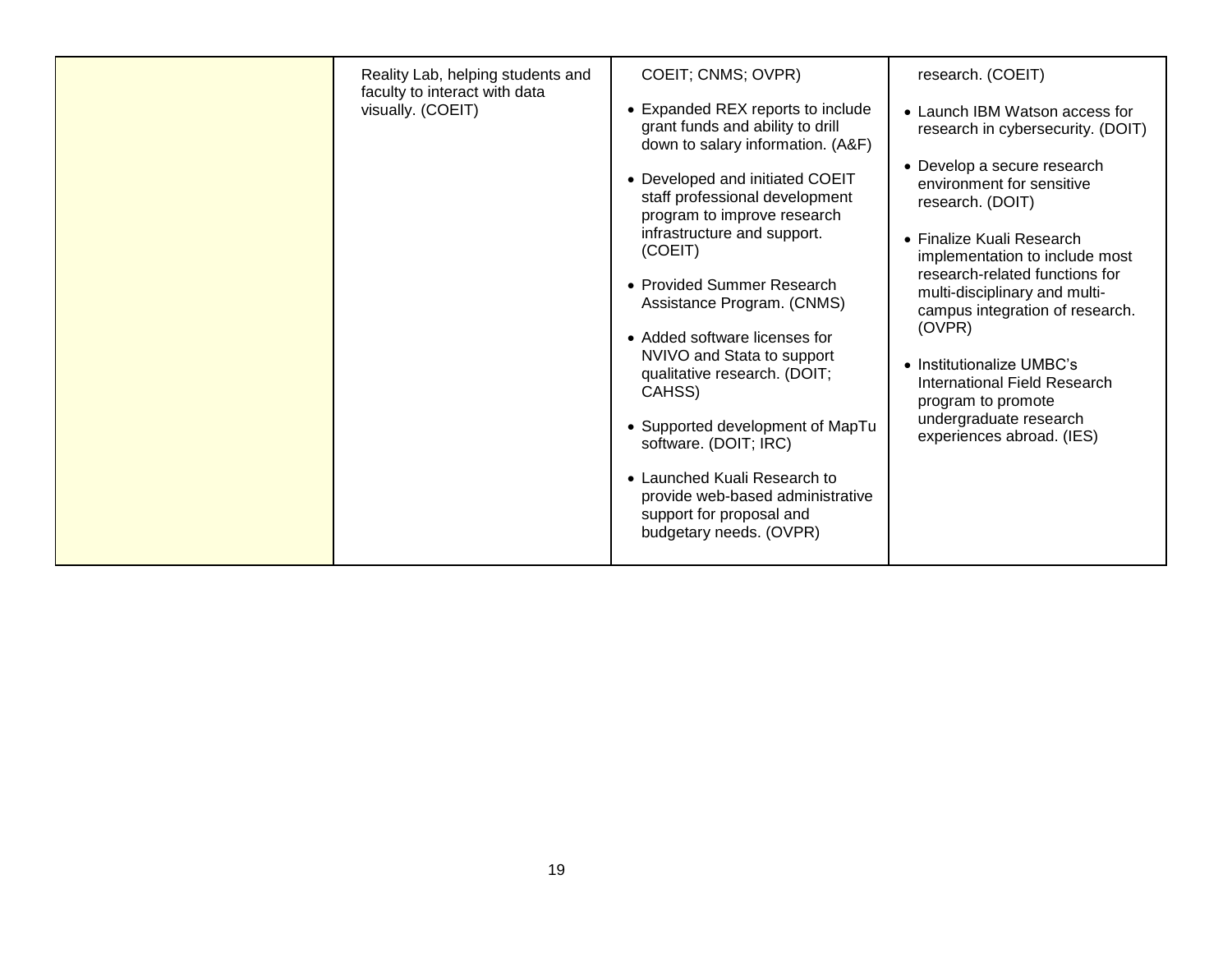| Reality Lab, helping students and<br>faculty to interact with data<br>visually. (COEIT) | COEIT; CNMS; OVPR)<br>• Expanded REX reports to include<br>grant funds and ability to drill<br>down to salary information. (A&F)                                                                                                                                                                                                                                                                                                                                                                        | research. (COEIT)<br>• Launch IBM Watson access for<br>research in cybersecurity. (DOIT)<br>• Develop a secure research                                                                                                                                                                                                                                                |
|-----------------------------------------------------------------------------------------|---------------------------------------------------------------------------------------------------------------------------------------------------------------------------------------------------------------------------------------------------------------------------------------------------------------------------------------------------------------------------------------------------------------------------------------------------------------------------------------------------------|------------------------------------------------------------------------------------------------------------------------------------------------------------------------------------------------------------------------------------------------------------------------------------------------------------------------------------------------------------------------|
|                                                                                         | • Developed and initiated COEIT<br>staff professional development<br>program to improve research<br>infrastructure and support.<br>(COEIT)<br>• Provided Summer Research<br>Assistance Program. (CNMS)<br>• Added software licenses for<br>NVIVO and Stata to support<br>qualitative research. (DOIT;<br>CAHSS)<br>• Supported development of MapTu<br>software. (DOIT; IRC)<br>• Launched Kuali Research to<br>provide web-based administrative<br>support for proposal and<br>budgetary needs. (OVPR) | environment for sensitive<br>research. (DOIT)<br>• Finalize Kuali Research<br>implementation to include most<br>research-related functions for<br>multi-disciplinary and multi-<br>campus integration of research.<br>(OVPR)<br>• Institutionalize UMBC's<br>International Field Research<br>program to promote<br>undergraduate research<br>experiences abroad. (IES) |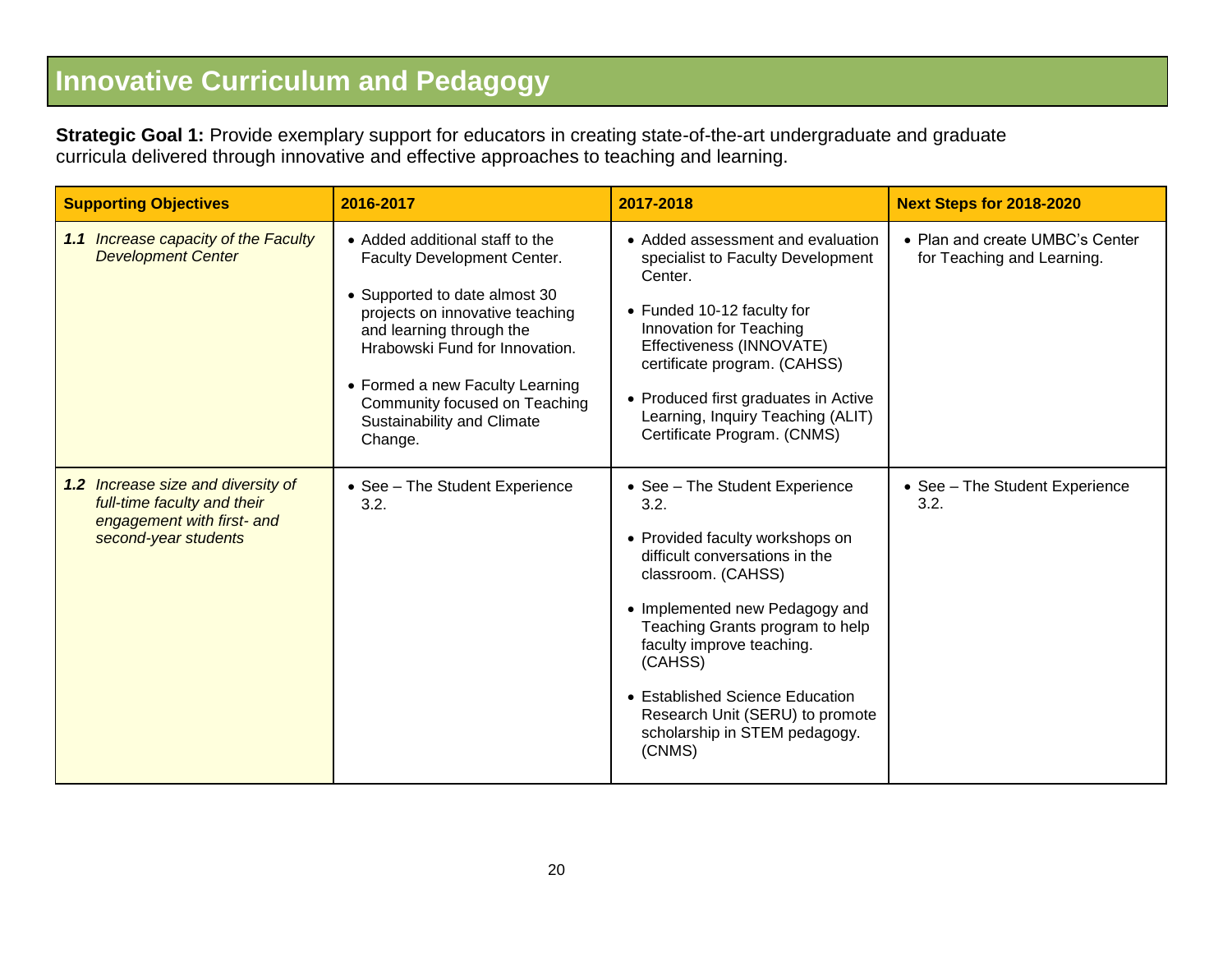## **Innovative Curriculum and Pedagogy**

**Strategic Goal 1:** Provide exemplary support for educators in creating state-of-the-art undergraduate and graduate curricula delivered through innovative and effective approaches to teaching and learning.

| <b>Supporting Objectives</b>                                                                                            | 2016-2017                                                                                                                                                                                                                                                                                                     | 2017-2018                                                                                                                                                                                                                                                                                                                                                       | <b>Next Steps for 2018-2020</b>                               |
|-------------------------------------------------------------------------------------------------------------------------|---------------------------------------------------------------------------------------------------------------------------------------------------------------------------------------------------------------------------------------------------------------------------------------------------------------|-----------------------------------------------------------------------------------------------------------------------------------------------------------------------------------------------------------------------------------------------------------------------------------------------------------------------------------------------------------------|---------------------------------------------------------------|
| 1.1 Increase capacity of the Faculty<br><b>Development Center</b>                                                       | • Added additional staff to the<br>Faculty Development Center.<br>• Supported to date almost 30<br>projects on innovative teaching<br>and learning through the<br>Hrabowski Fund for Innovation.<br>• Formed a new Faculty Learning<br>Community focused on Teaching<br>Sustainability and Climate<br>Change. | • Added assessment and evaluation<br>specialist to Faculty Development<br>Center.<br>• Funded 10-12 faculty for<br>Innovation for Teaching<br>Effectiveness (INNOVATE)<br>certificate program. (CAHSS)<br>• Produced first graduates in Active<br>Learning, Inquiry Teaching (ALIT)<br>Certificate Program. (CNMS)                                              | • Plan and create UMBC's Center<br>for Teaching and Learning. |
| 1.2 Increase size and diversity of<br>full-time faculty and their<br>engagement with first- and<br>second-year students | • See - The Student Experience<br>3.2.                                                                                                                                                                                                                                                                        | • See - The Student Experience<br>3.2.<br>• Provided faculty workshops on<br>difficult conversations in the<br>classroom. (CAHSS)<br>• Implemented new Pedagogy and<br>Teaching Grants program to help<br>faculty improve teaching.<br>(CAHSS)<br>• Established Science Education<br>Research Unit (SERU) to promote<br>scholarship in STEM pedagogy.<br>(CNMS) | • See - The Student Experience<br>3.2.                        |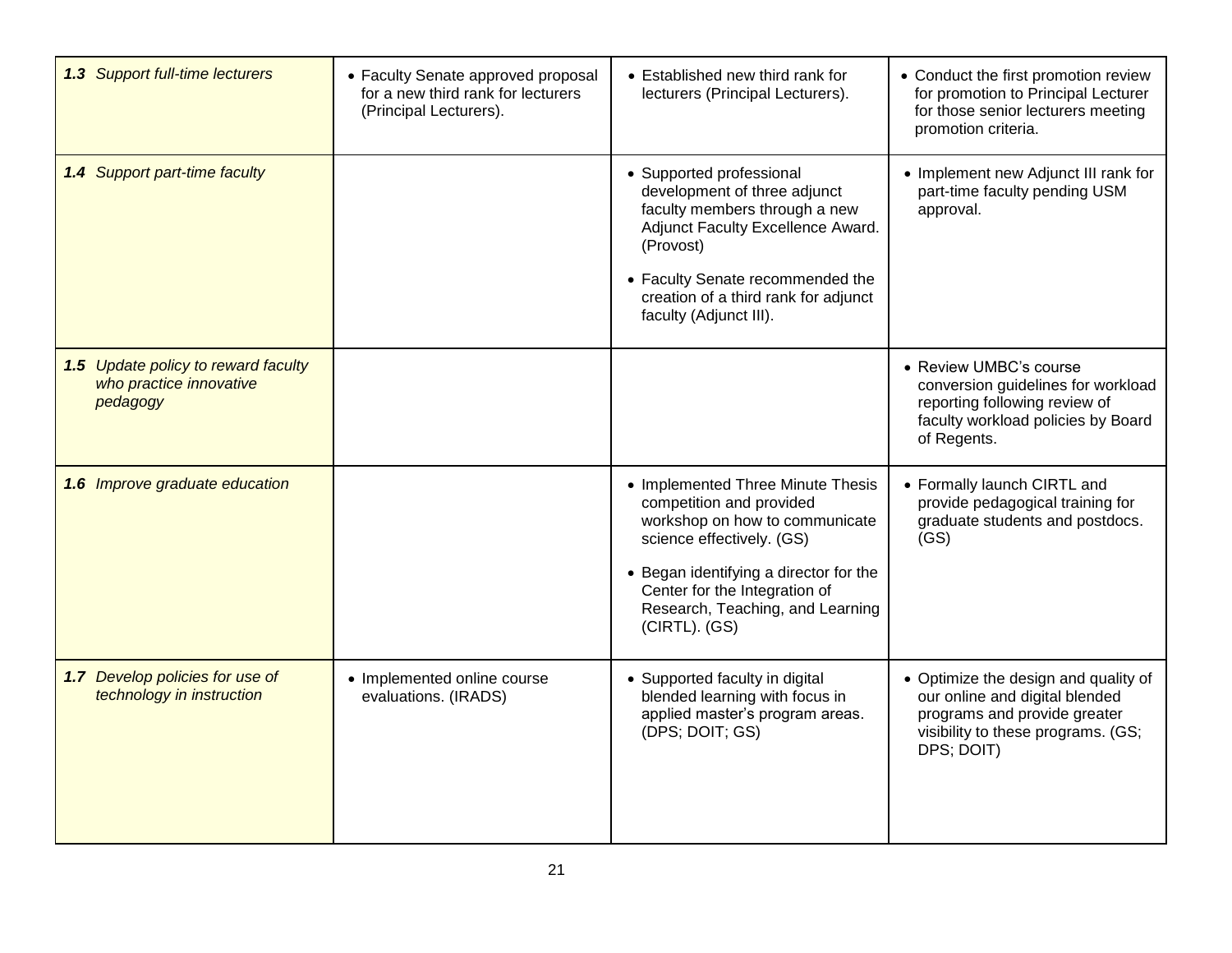| 1.3 Support full-time lecturers                                            | • Faculty Senate approved proposal<br>for a new third rank for lecturers<br>(Principal Lecturers). | • Established new third rank for<br>lecturers (Principal Lecturers).                                                                                                                                                                                         | • Conduct the first promotion review<br>for promotion to Principal Lecturer<br>for those senior lecturers meeting<br>promotion criteria.                   |
|----------------------------------------------------------------------------|----------------------------------------------------------------------------------------------------|--------------------------------------------------------------------------------------------------------------------------------------------------------------------------------------------------------------------------------------------------------------|------------------------------------------------------------------------------------------------------------------------------------------------------------|
| 1.4 Support part-time faculty                                              |                                                                                                    | • Supported professional<br>development of three adjunct<br>faculty members through a new<br>Adjunct Faculty Excellence Award.<br>(Provost)<br>• Faculty Senate recommended the<br>creation of a third rank for adjunct<br>faculty (Adjunct III).            | • Implement new Adjunct III rank for<br>part-time faculty pending USM<br>approval.                                                                         |
| 1.5 Update policy to reward faculty<br>who practice innovative<br>pedagogy |                                                                                                    |                                                                                                                                                                                                                                                              | • Review UMBC's course<br>conversion guidelines for workload<br>reporting following review of<br>faculty workload policies by Board<br>of Regents.         |
| 1.6 Improve graduate education                                             |                                                                                                    | • Implemented Three Minute Thesis<br>competition and provided<br>workshop on how to communicate<br>science effectively. (GS)<br>• Began identifying a director for the<br>Center for the Integration of<br>Research, Teaching, and Learning<br>(CIRTL). (GS) | • Formally launch CIRTL and<br>provide pedagogical training for<br>graduate students and postdocs.<br>(GS)                                                 |
| 1.7 Develop policies for use of<br>technology in instruction               | • Implemented online course<br>evaluations. (IRADS)                                                | • Supported faculty in digital<br>blended learning with focus in<br>applied master's program areas.<br>(DPS; DOIT; GS)                                                                                                                                       | • Optimize the design and quality of<br>our online and digital blended<br>programs and provide greater<br>visibility to these programs. (GS;<br>DPS; DOIT) |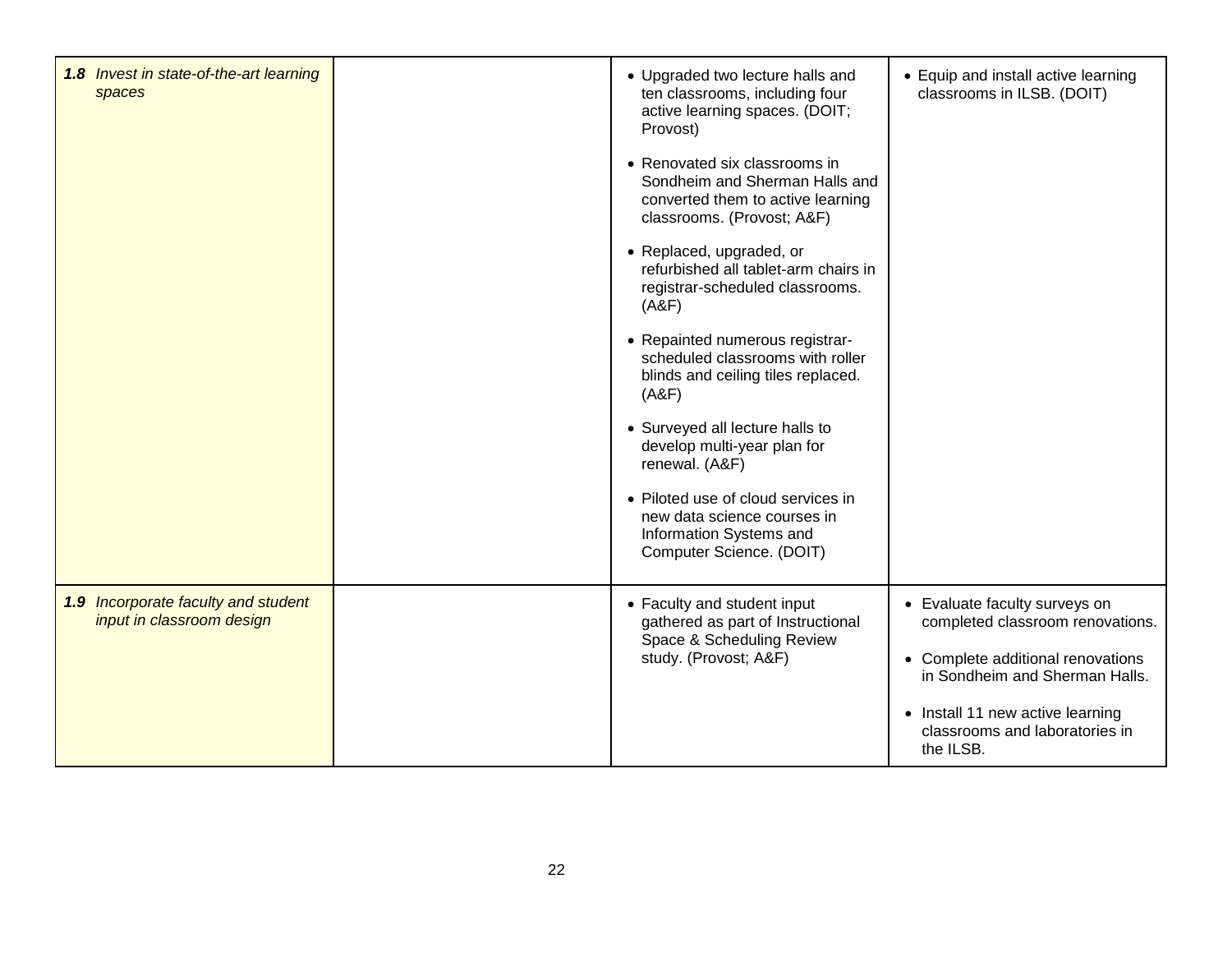| 1.8 Invest in state-of-the-art learning<br>spaces                |                                                    | • Upgraded two lecture halls and<br>ten classrooms, including four<br>active learning spaces. (DOIT;<br>Provost)                   | • Equip and install active learning<br>classrooms in ILSB. (DOIT)               |
|------------------------------------------------------------------|----------------------------------------------------|------------------------------------------------------------------------------------------------------------------------------------|---------------------------------------------------------------------------------|
|                                                                  |                                                    | • Renovated six classrooms in<br>Sondheim and Sherman Halls and<br>converted them to active learning<br>classrooms. (Provost; A&F) |                                                                                 |
|                                                                  |                                                    | • Replaced, upgraded, or<br>refurbished all tablet-arm chairs in<br>registrar-scheduled classrooms.<br>(A&F)                       |                                                                                 |
|                                                                  |                                                    | • Repainted numerous registrar-<br>scheduled classrooms with roller<br>blinds and ceiling tiles replaced.<br>(A&F)                 |                                                                                 |
|                                                                  |                                                    | • Surveyed all lecture halls to<br>develop multi-year plan for<br>renewal. (A&F)                                                   |                                                                                 |
|                                                                  |                                                    | • Piloted use of cloud services in<br>new data science courses in<br>Information Systems and<br>Computer Science. (DOIT)           |                                                                                 |
| 1.9 Incorporate faculty and student<br>input in classroom design |                                                    | • Faculty and student input<br>gathered as part of Instructional                                                                   | • Evaluate faculty surveys on<br>completed classroom renovations.               |
|                                                                  | Space & Scheduling Review<br>study. (Provost; A&F) | • Complete additional renovations<br>in Sondheim and Sherman Halls.                                                                |                                                                                 |
|                                                                  |                                                    |                                                                                                                                    | • Install 11 new active learning<br>classrooms and laboratories in<br>the ILSB. |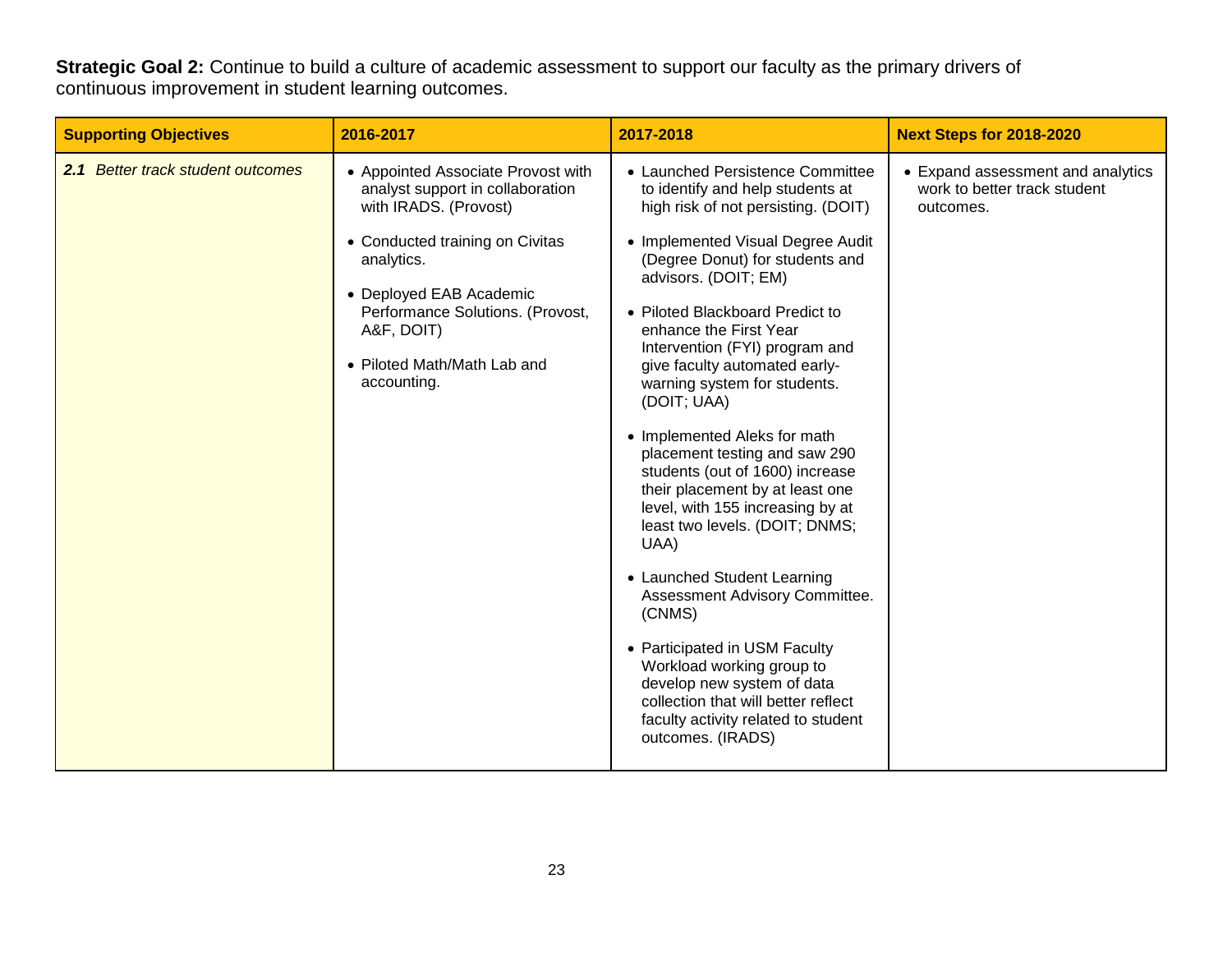**Strategic Goal 2:** Continue to build a culture of academic assessment to support our faculty as the primary drivers of continuous improvement in student learning outcomes.

| <b>Supporting Objectives</b>      | 2016-2017                                                                                                                                                                                                                                                                   | 2017-2018                                                                                                                                                                                                                                                                                                                                                                                                                                                                                                                                                                                                                                                                                                                                                                                                                                                                                 | <b>Next Steps for 2018-2020</b>                                                |
|-----------------------------------|-----------------------------------------------------------------------------------------------------------------------------------------------------------------------------------------------------------------------------------------------------------------------------|-------------------------------------------------------------------------------------------------------------------------------------------------------------------------------------------------------------------------------------------------------------------------------------------------------------------------------------------------------------------------------------------------------------------------------------------------------------------------------------------------------------------------------------------------------------------------------------------------------------------------------------------------------------------------------------------------------------------------------------------------------------------------------------------------------------------------------------------------------------------------------------------|--------------------------------------------------------------------------------|
| 2.1 Better track student outcomes | • Appointed Associate Provost with<br>analyst support in collaboration<br>with IRADS. (Provost)<br>• Conducted training on Civitas<br>analytics.<br>• Deployed EAB Academic<br>Performance Solutions. (Provost,<br>A&F, DOIT)<br>• Piloted Math/Math Lab and<br>accounting. | • Launched Persistence Committee<br>to identify and help students at<br>high risk of not persisting. (DOIT)<br>• Implemented Visual Degree Audit<br>(Degree Donut) for students and<br>advisors. (DOIT; EM)<br>• Piloted Blackboard Predict to<br>enhance the First Year<br>Intervention (FYI) program and<br>give faculty automated early-<br>warning system for students.<br>(DOIT; UAA)<br>• Implemented Aleks for math<br>placement testing and saw 290<br>students (out of 1600) increase<br>their placement by at least one<br>level, with 155 increasing by at<br>least two levels. (DOIT; DNMS;<br>UAA)<br>• Launched Student Learning<br>Assessment Advisory Committee.<br>(CNMS)<br>• Participated in USM Faculty<br>Workload working group to<br>develop new system of data<br>collection that will better reflect<br>faculty activity related to student<br>outcomes. (IRADS) | • Expand assessment and analytics<br>work to better track student<br>outcomes. |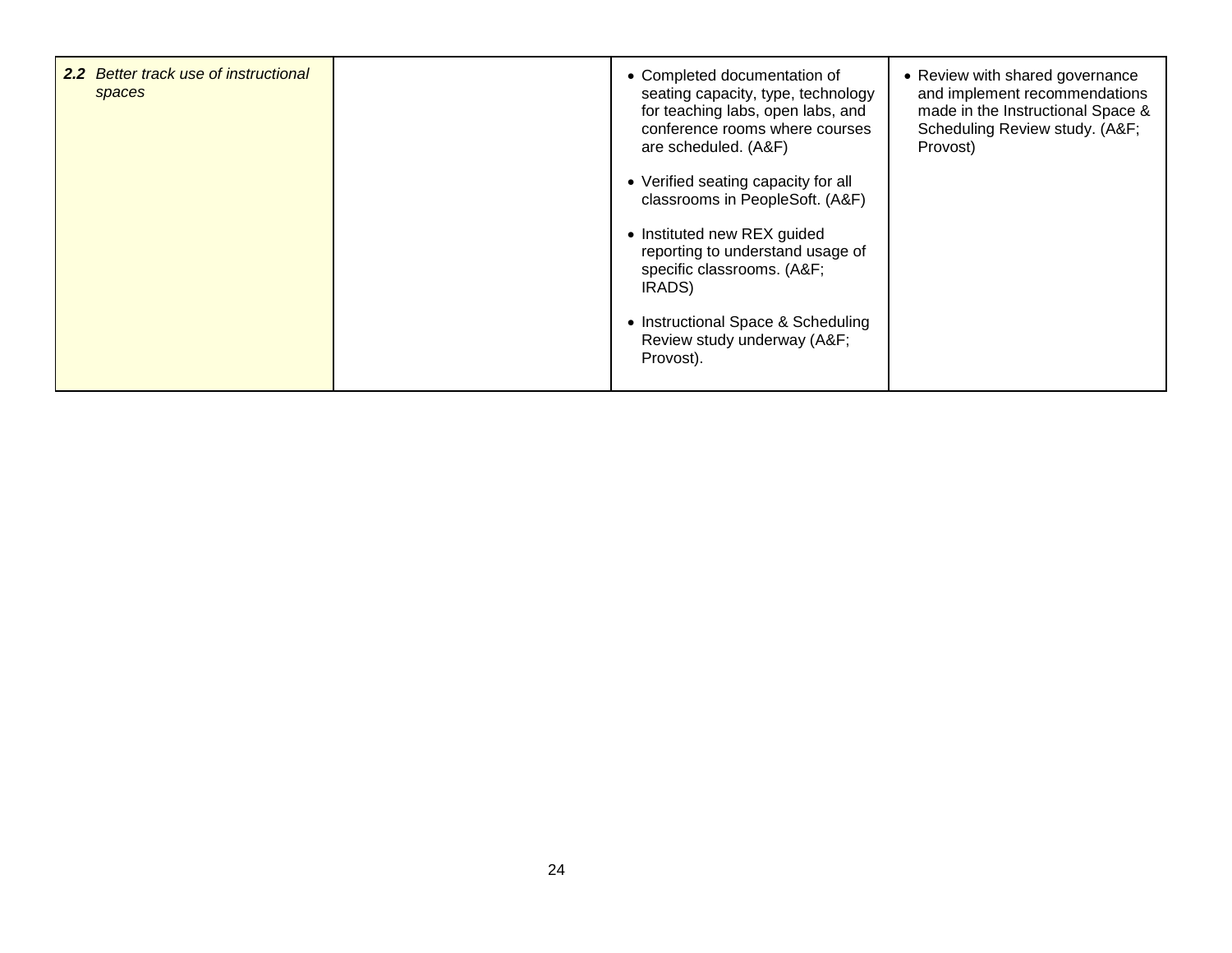| <b>2.2</b> Better track use of instructional<br>spaces | • Completed documentation of<br>seating capacity, type, technology<br>for teaching labs, open labs, and<br>conference rooms where courses<br>are scheduled. (A&F) | • Review with shared governance<br>and implement recommendations<br>made in the Instructional Space &<br>Scheduling Review study. (A&F<br>Provost) |
|--------------------------------------------------------|-------------------------------------------------------------------------------------------------------------------------------------------------------------------|----------------------------------------------------------------------------------------------------------------------------------------------------|
|                                                        | • Verified seating capacity for all<br>classrooms in PeopleSoft. (A&F)                                                                                            |                                                                                                                                                    |
|                                                        | • Instituted new REX guided<br>reporting to understand usage of<br>specific classrooms. (A&F<br>IRADS)                                                            |                                                                                                                                                    |
|                                                        | • Instructional Space & Scheduling<br>Review study underway (A&F<br>Provost).                                                                                     |                                                                                                                                                    |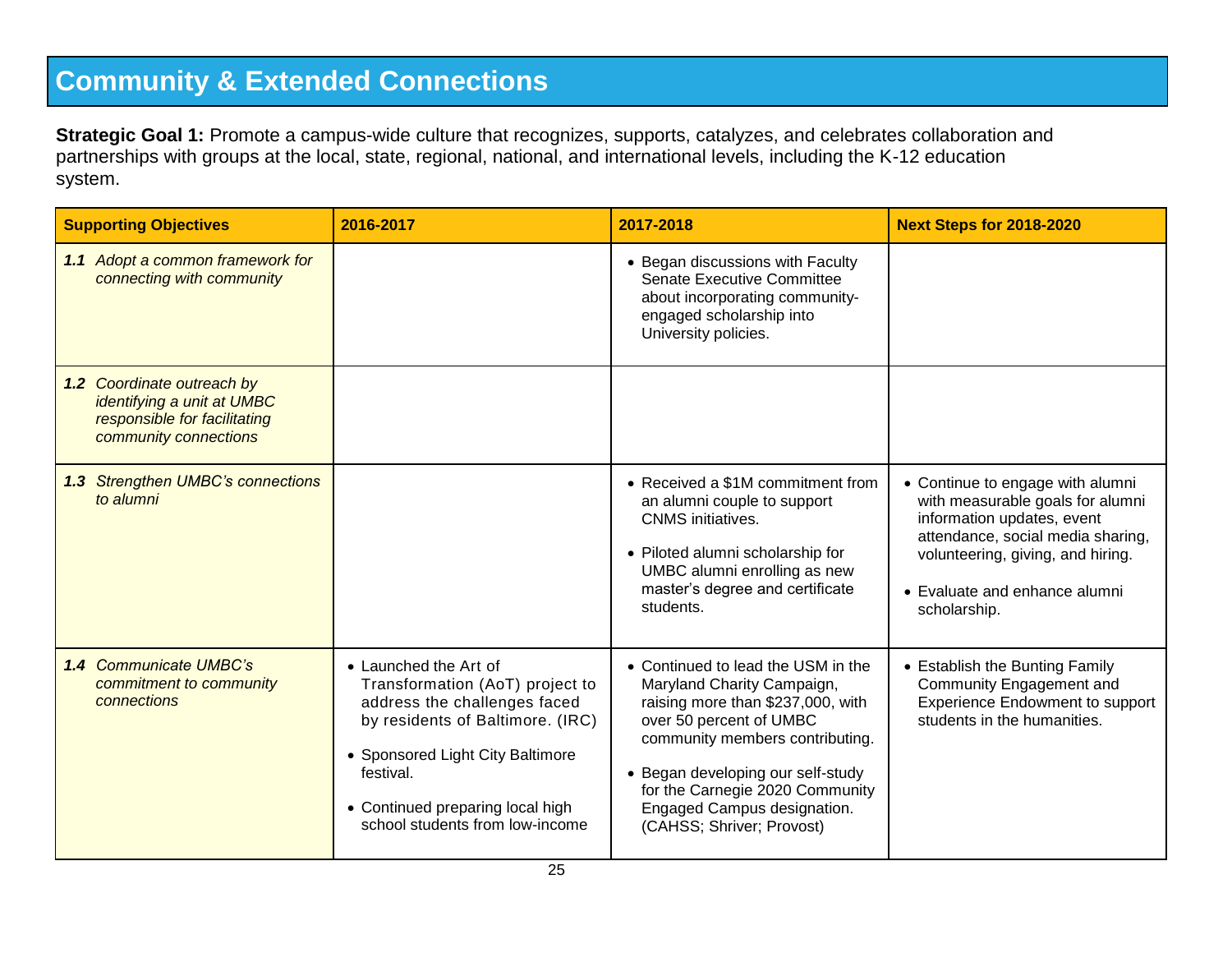## **Community & Extended Connections**

**Strategic Goal 1:** Promote a campus-wide culture that recognizes, supports, catalyzes, and celebrates collaboration and partnerships with groups at the local, state, regional, national, and international levels, including the K-12 education system.

| <b>Supporting Objectives</b>                                                                                      | 2016-2017                                                                                                                                                                                                                                            | 2017-2018                                                                                                                                                                                                                                                                                               | <b>Next Steps for 2018-2020</b>                                                                                                                                                                                               |
|-------------------------------------------------------------------------------------------------------------------|------------------------------------------------------------------------------------------------------------------------------------------------------------------------------------------------------------------------------------------------------|---------------------------------------------------------------------------------------------------------------------------------------------------------------------------------------------------------------------------------------------------------------------------------------------------------|-------------------------------------------------------------------------------------------------------------------------------------------------------------------------------------------------------------------------------|
| 1.1 Adopt a common framework for<br>connecting with community                                                     |                                                                                                                                                                                                                                                      | • Began discussions with Faculty<br><b>Senate Executive Committee</b><br>about incorporating community-<br>engaged scholarship into<br>University policies.                                                                                                                                             |                                                                                                                                                                                                                               |
| 1.2 Coordinate outreach by<br>identifying a unit at UMBC<br>responsible for facilitating<br>community connections |                                                                                                                                                                                                                                                      |                                                                                                                                                                                                                                                                                                         |                                                                                                                                                                                                                               |
| 1.3 Strengthen UMBC's connections<br>to alumni                                                                    |                                                                                                                                                                                                                                                      | • Received a \$1M commitment from<br>an alumni couple to support<br><b>CNMS</b> initiatives.<br>• Piloted alumni scholarship for<br>UMBC alumni enrolling as new<br>master's degree and certificate<br>students.                                                                                        | • Continue to engage with alumni<br>with measurable goals for alumni<br>information updates, event<br>attendance, social media sharing,<br>volunteering, giving, and hiring.<br>• Evaluate and enhance alumni<br>scholarship. |
| <b>1.4 Communicate UMBC's</b><br>commitment to community<br>connections                                           | • Launched the Art of<br>Transformation (AoT) project to<br>address the challenges faced<br>by residents of Baltimore. (IRC)<br>• Sponsored Light City Baltimore<br>festival.<br>• Continued preparing local high<br>school students from low-income | • Continued to lead the USM in the<br>Maryland Charity Campaign,<br>raising more than \$237,000, with<br>over 50 percent of UMBC<br>community members contributing.<br>• Began developing our self-study<br>for the Carnegie 2020 Community<br>Engaged Campus designation.<br>(CAHSS; Shriver; Provost) | • Establish the Bunting Family<br>Community Engagement and<br>Experience Endowment to support<br>students in the humanities.                                                                                                  |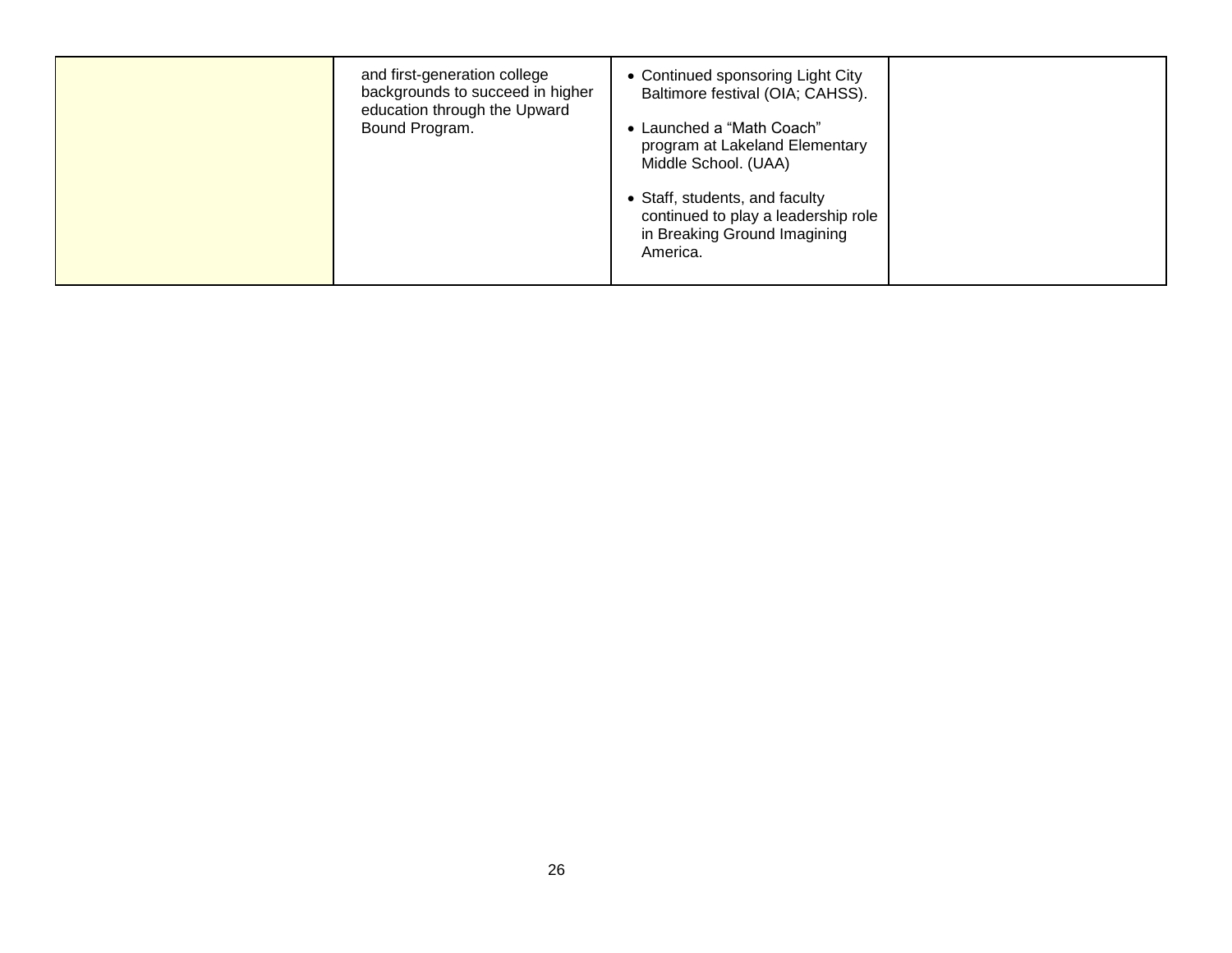| and first-generation college<br>backgrounds to succeed in higher<br>education through the Upward<br>Bound Program. | • Continued sponsoring Light City<br>Baltimore festival (OIA; CAHSS).<br>• Launched a "Math Coach"<br>program at Lakeland Elementary<br>Middle School. (UAA)<br>• Staff, students, and faculty<br>continued to play a leadership role<br>in Breaking Ground Imagining<br>America. |
|--------------------------------------------------------------------------------------------------------------------|-----------------------------------------------------------------------------------------------------------------------------------------------------------------------------------------------------------------------------------------------------------------------------------|
|--------------------------------------------------------------------------------------------------------------------|-----------------------------------------------------------------------------------------------------------------------------------------------------------------------------------------------------------------------------------------------------------------------------------|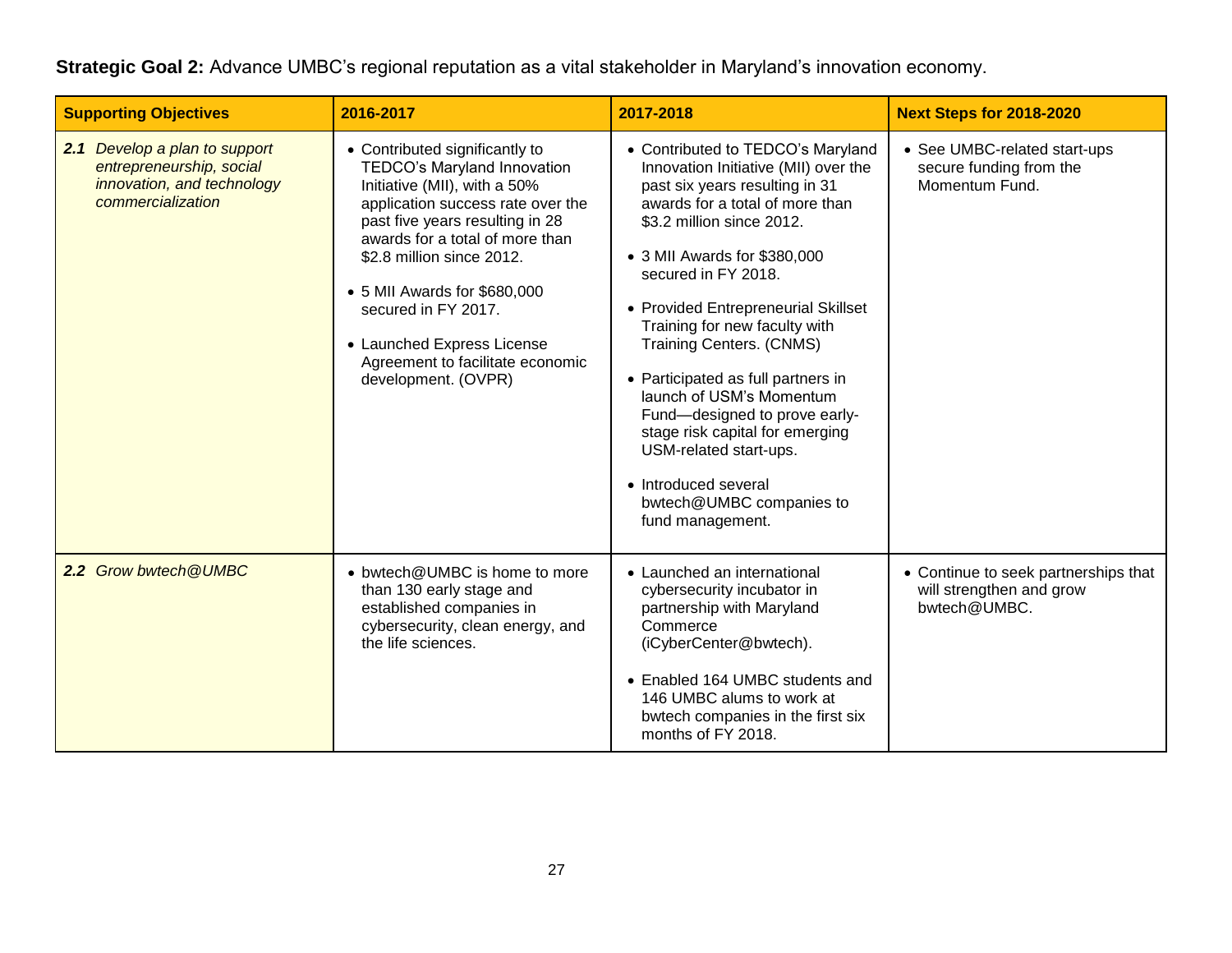**Strategic Goal 2:** Advance UMBC's regional reputation as a vital stakeholder in Maryland's innovation economy.

| <b>Supporting Objectives</b>                                                                                 | 2016-2017                                                                                                                                                                                                                                                                                                                                                                             | 2017-2018                                                                                                                                                                                                                                                                                                                                                                                                                                                                                                                                                                             | <b>Next Steps for 2018-2020</b>                                                  |
|--------------------------------------------------------------------------------------------------------------|---------------------------------------------------------------------------------------------------------------------------------------------------------------------------------------------------------------------------------------------------------------------------------------------------------------------------------------------------------------------------------------|---------------------------------------------------------------------------------------------------------------------------------------------------------------------------------------------------------------------------------------------------------------------------------------------------------------------------------------------------------------------------------------------------------------------------------------------------------------------------------------------------------------------------------------------------------------------------------------|----------------------------------------------------------------------------------|
| 2.1 Develop a plan to support<br>entrepreneurship, social<br>innovation, and technology<br>commercialization | • Contributed significantly to<br>TEDCO's Maryland Innovation<br>Initiative (MII), with a 50%<br>application success rate over the<br>past five years resulting in 28<br>awards for a total of more than<br>\$2.8 million since 2012.<br>• 5 MII Awards for \$680,000<br>secured in FY 2017.<br>• Launched Express License<br>Agreement to facilitate economic<br>development. (OVPR) | • Contributed to TEDCO's Maryland<br>Innovation Initiative (MII) over the<br>past six years resulting in 31<br>awards for a total of more than<br>\$3.2 million since 2012.<br>• 3 MII Awards for \$380,000<br>secured in FY 2018.<br>• Provided Entrepreneurial Skillset<br>Training for new faculty with<br><b>Training Centers. (CNMS)</b><br>• Participated as full partners in<br>launch of USM's Momentum<br>Fund-designed to prove early-<br>stage risk capital for emerging<br>USM-related start-ups.<br>• Introduced several<br>bwtech@UMBC companies to<br>fund management. | • See UMBC-related start-ups<br>secure funding from the<br>Momentum Fund.        |
| 2.2 Grow bwtech @UMBC                                                                                        | • bwtech@UMBC is home to more<br>than 130 early stage and<br>established companies in<br>cybersecurity, clean energy, and<br>the life sciences.                                                                                                                                                                                                                                       | • Launched an international<br>cybersecurity incubator in<br>partnership with Maryland<br>Commerce<br>(iCyberCenter@bwtech).<br>• Enabled 164 UMBC students and<br>146 UMBC alums to work at<br>bwtech companies in the first six<br>months of FY 2018.                                                                                                                                                                                                                                                                                                                               | • Continue to seek partnerships that<br>will strengthen and grow<br>bwtech@UMBC. |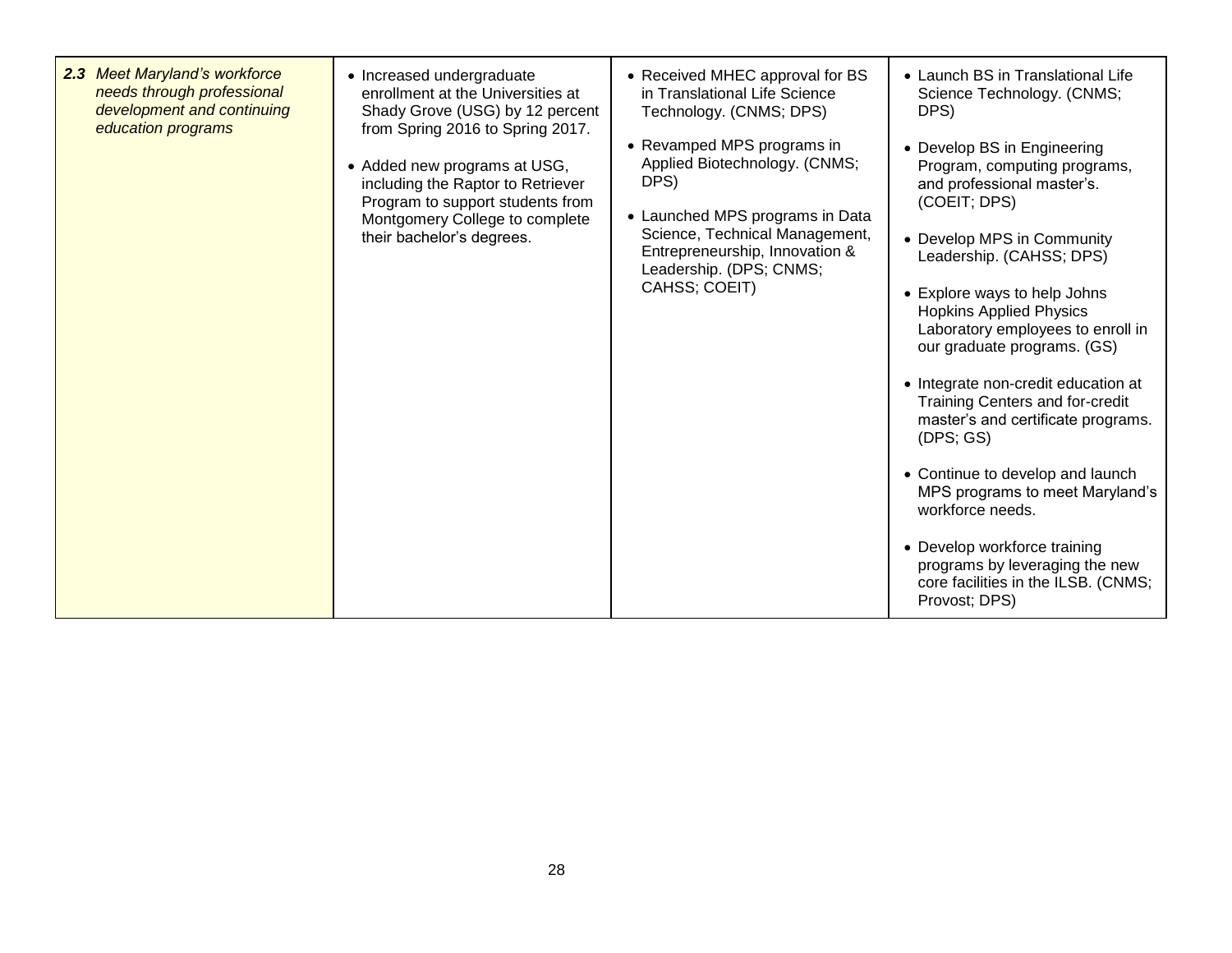| 2.3 Meet Maryland's workforce<br>needs through professional<br>development and continuing<br>education programs | • Increased undergraduate<br>enrollment at the Universities at<br>Shady Grove (USG) by 12 percent<br>from Spring 2016 to Spring 2017.<br>• Added new programs at USG,<br>including the Raptor to Retriever<br>Program to support students from<br>Montgomery College to complete<br>their bachelor's degrees. | • Received MHEC approval for BS<br>in Translational Life Science<br>Technology. (CNMS; DPS)<br>• Revamped MPS programs in<br>Applied Biotechnology. (CNMS;<br>DPS)<br>• Launched MPS programs in Data<br>Science, Technical Management,<br>Entrepreneurship, Innovation &<br>Leadership. (DPS; CNMS;<br>CAHSS; COEIT) | • Launch BS in Translational Life<br>Science Technology. (CNMS;<br>DPS)<br>• Develop BS in Engineering<br>Program, computing programs,<br>and professional master's.<br>(COEIT; DPS)<br>• Develop MPS in Community<br>Leadership. (CAHSS; DPS)<br>• Explore ways to help Johns<br><b>Hopkins Applied Physics</b><br>Laboratory employees to enroll in<br>our graduate programs. (GS)<br>• Integrate non-credit education at<br>Training Centers and for-credit<br>master's and certificate programs.<br>(DFS; GS)<br>• Continue to develop and launch<br>MPS programs to meet Maryland's<br>workforce needs.<br>• Develop workforce training<br>programs by leveraging the new<br>core facilities in the ILSB. (CNMS;<br>Provost; DPS) |
|-----------------------------------------------------------------------------------------------------------------|---------------------------------------------------------------------------------------------------------------------------------------------------------------------------------------------------------------------------------------------------------------------------------------------------------------|-----------------------------------------------------------------------------------------------------------------------------------------------------------------------------------------------------------------------------------------------------------------------------------------------------------------------|----------------------------------------------------------------------------------------------------------------------------------------------------------------------------------------------------------------------------------------------------------------------------------------------------------------------------------------------------------------------------------------------------------------------------------------------------------------------------------------------------------------------------------------------------------------------------------------------------------------------------------------------------------------------------------------------------------------------------------------|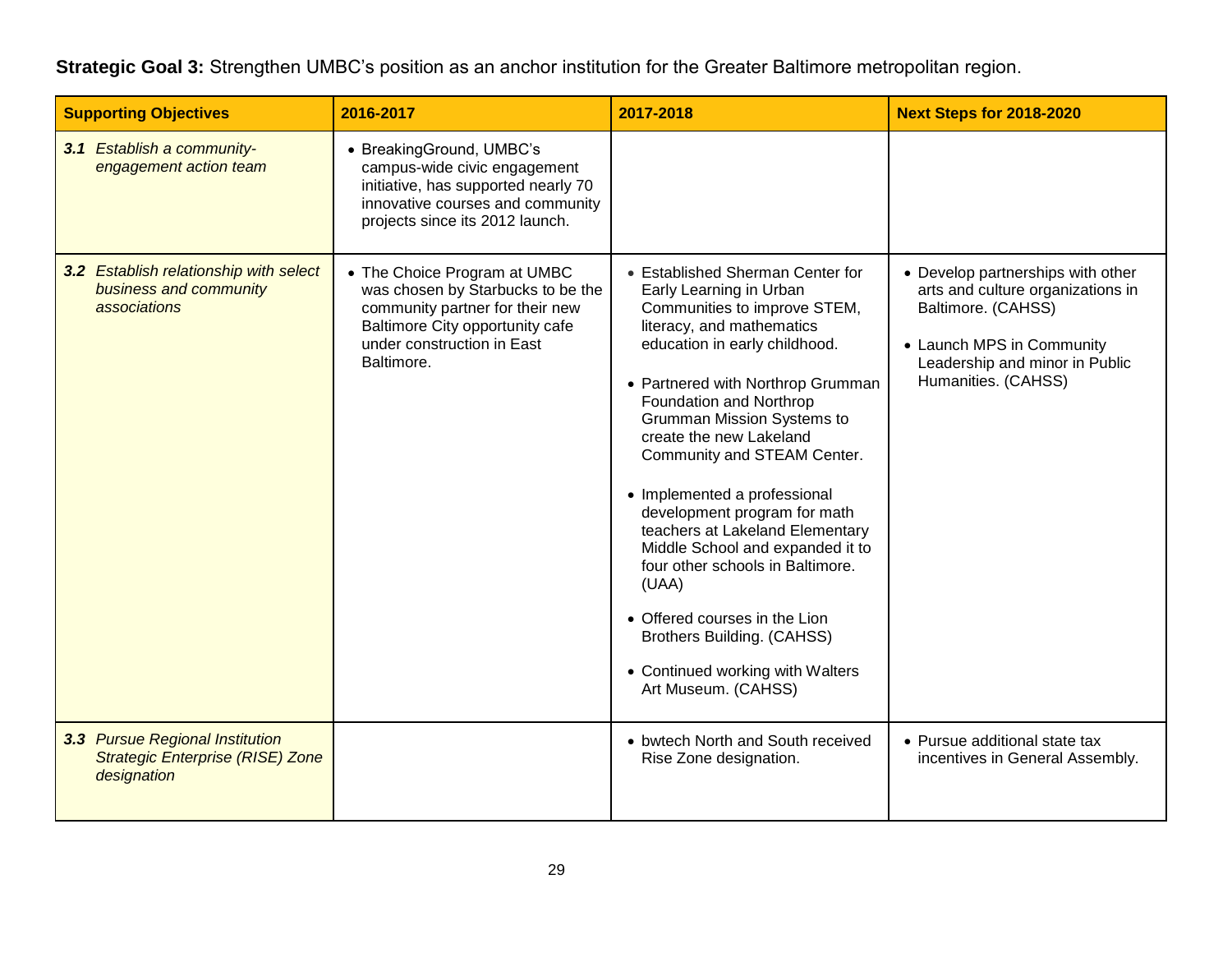**Strategic Goal 3:** Strengthen UMBC's position as an anchor institution for the Greater Baltimore metropolitan region.

| <b>Supporting Objectives</b>                                                              | 2016-2017                                                                                                                                                                           | 2017-2018                                                                                                                                                                                                                                                                                                                                                                                                                                                                                                                                                                                                                              | <b>Next Steps for 2018-2020</b>                                                                                                                                                    |
|-------------------------------------------------------------------------------------------|-------------------------------------------------------------------------------------------------------------------------------------------------------------------------------------|----------------------------------------------------------------------------------------------------------------------------------------------------------------------------------------------------------------------------------------------------------------------------------------------------------------------------------------------------------------------------------------------------------------------------------------------------------------------------------------------------------------------------------------------------------------------------------------------------------------------------------------|------------------------------------------------------------------------------------------------------------------------------------------------------------------------------------|
| 3.1 Establish a community-<br>engagement action team                                      | • BreakingGround, UMBC's<br>campus-wide civic engagement<br>initiative, has supported nearly 70<br>innovative courses and community<br>projects since its 2012 launch.              |                                                                                                                                                                                                                                                                                                                                                                                                                                                                                                                                                                                                                                        |                                                                                                                                                                                    |
| 3.2 Establish relationship with select<br>business and community<br>associations          | • The Choice Program at UMBC<br>was chosen by Starbucks to be the<br>community partner for their new<br>Baltimore City opportunity cafe<br>under construction in East<br>Baltimore. | • Established Sherman Center for<br>Early Learning in Urban<br>Communities to improve STEM,<br>literacy, and mathematics<br>education in early childhood.<br>• Partnered with Northrop Grumman<br>Foundation and Northrop<br><b>Grumman Mission Systems to</b><br>create the new Lakeland<br>Community and STEAM Center.<br>• Implemented a professional<br>development program for math<br>teachers at Lakeland Elementary<br>Middle School and expanded it to<br>four other schools in Baltimore.<br>(UAA)<br>• Offered courses in the Lion<br>Brothers Building. (CAHSS)<br>• Continued working with Walters<br>Art Museum. (CAHSS) | • Develop partnerships with other<br>arts and culture organizations in<br>Baltimore. (CAHSS)<br>• Launch MPS in Community<br>Leadership and minor in Public<br>Humanities. (CAHSS) |
| 3.3 Pursue Regional Institution<br><b>Strategic Enterprise (RISE) Zone</b><br>designation |                                                                                                                                                                                     | • bwtech North and South received<br>Rise Zone designation.                                                                                                                                                                                                                                                                                                                                                                                                                                                                                                                                                                            | • Pursue additional state tax<br>incentives in General Assembly.                                                                                                                   |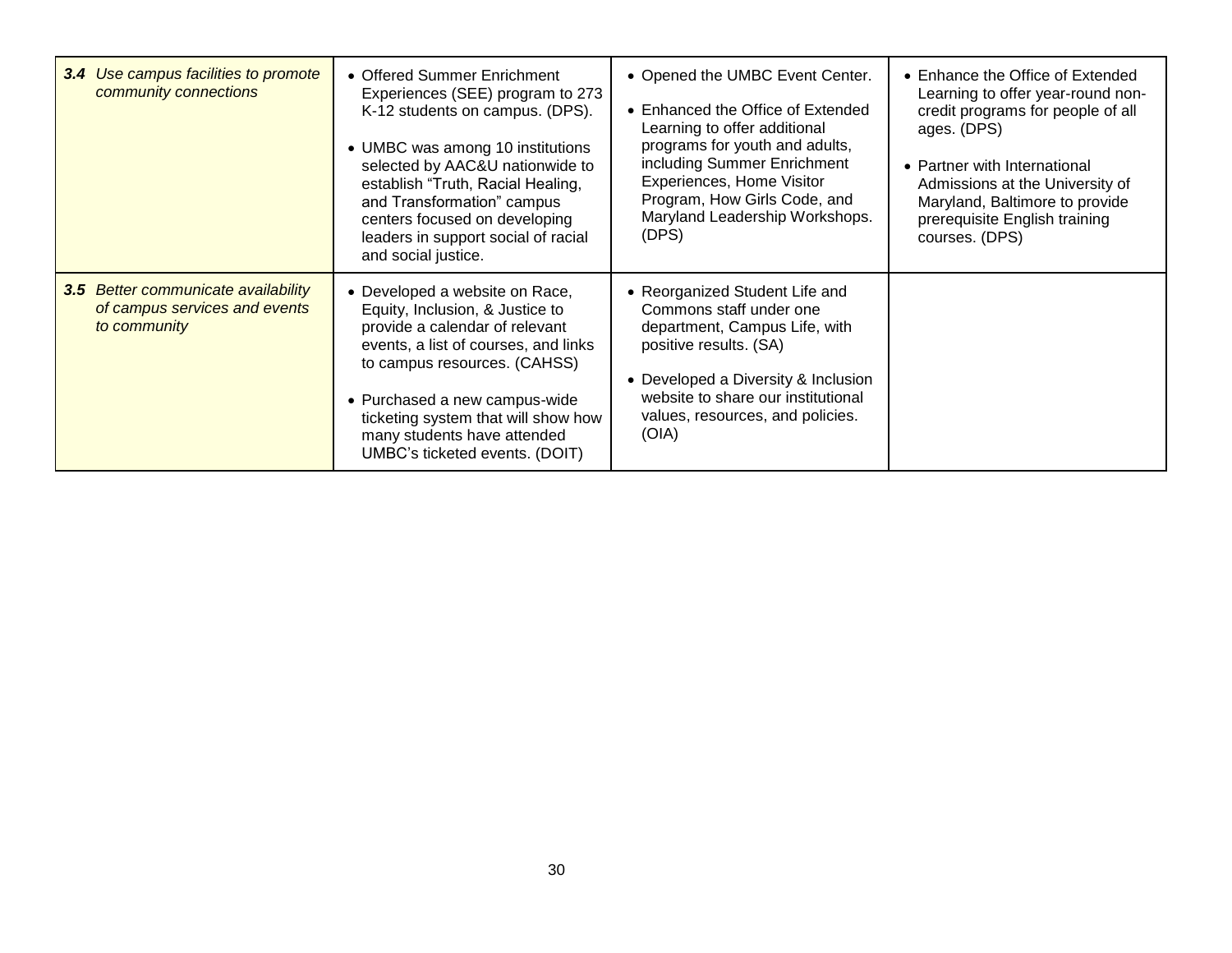| 3.4 Use campus facilities to promote<br>community connections                        | • Offered Summer Enrichment<br>Experiences (SEE) program to 273<br>K-12 students on campus. (DPS).<br>• UMBC was among 10 institutions<br>selected by AAC&U nationwide to<br>establish "Truth, Racial Healing,<br>and Transformation" campus<br>centers focused on developing<br>leaders in support social of racial<br>and social justice. | • Opened the UMBC Event Center.<br>• Enhanced the Office of Extended<br>Learning to offer additional<br>programs for youth and adults,<br>including Summer Enrichment<br>Experiences, Home Visitor<br>Program, How Girls Code, and<br>Maryland Leadership Workshops.<br>(DPS) | • Enhance the Office of Extended<br>Learning to offer year-round non-<br>credit programs for people of all<br>ages. (DPS)<br>• Partner with International<br>Admissions at the University of<br>Maryland, Baltimore to provide<br>prerequisite English training<br>courses. (DPS) |
|--------------------------------------------------------------------------------------|---------------------------------------------------------------------------------------------------------------------------------------------------------------------------------------------------------------------------------------------------------------------------------------------------------------------------------------------|-------------------------------------------------------------------------------------------------------------------------------------------------------------------------------------------------------------------------------------------------------------------------------|-----------------------------------------------------------------------------------------------------------------------------------------------------------------------------------------------------------------------------------------------------------------------------------|
| 3.5 Better communicate availability<br>of campus services and events<br>to community | • Developed a website on Race,<br>Equity, Inclusion, & Justice to<br>provide a calendar of relevant<br>events, a list of courses, and links<br>to campus resources. (CAHSS)<br>• Purchased a new campus-wide<br>ticketing system that will show how<br>many students have attended<br>UMBC's ticketed events. (DOIT)                        | • Reorganized Student Life and<br>Commons staff under one<br>department, Campus Life, with<br>positive results. (SA)<br>• Developed a Diversity & Inclusion<br>website to share our institutional<br>values, resources, and policies.<br>(OIA)                                |                                                                                                                                                                                                                                                                                   |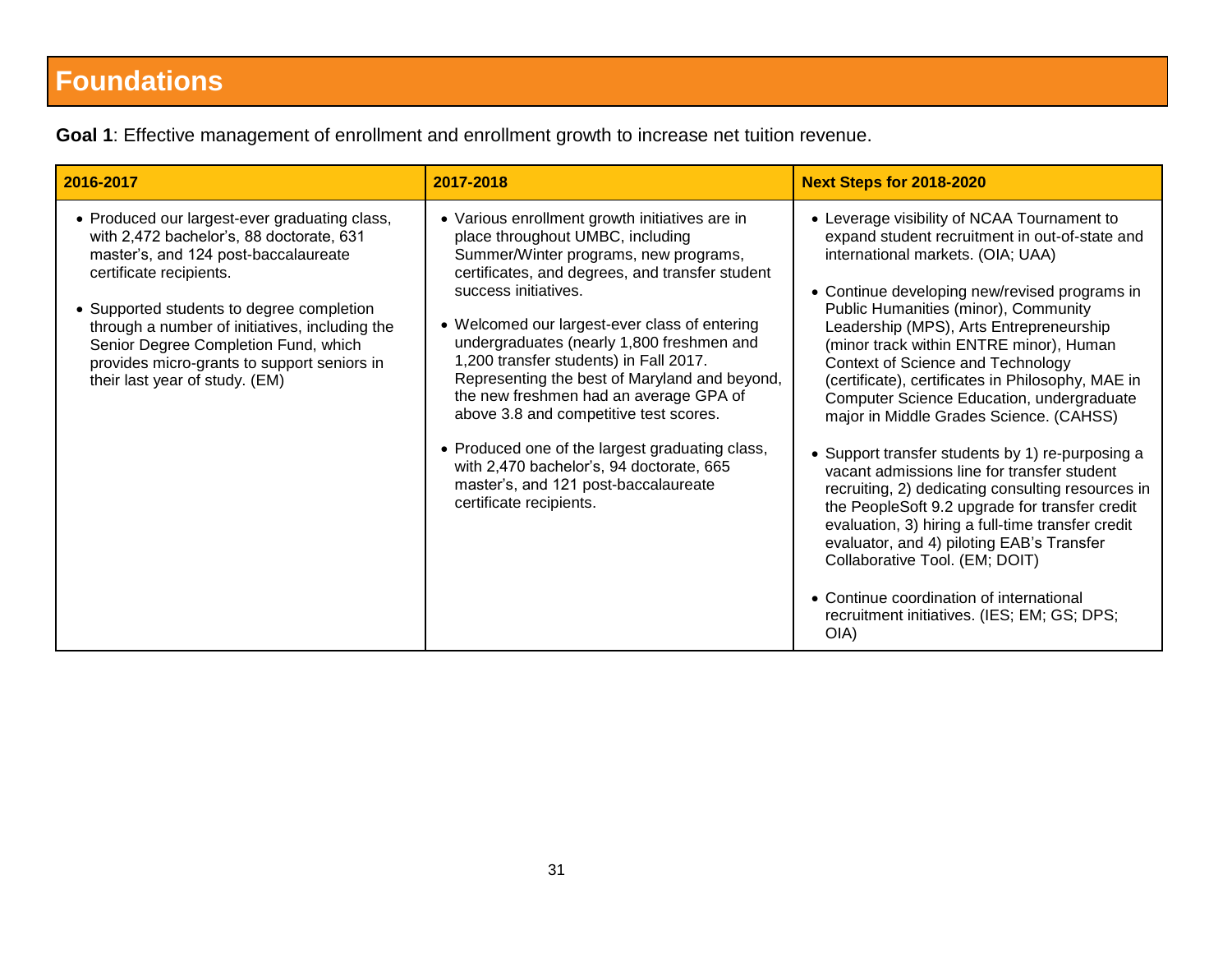# **Foundations**

| 2016-2017                                                                                                                                                                                                                                                                                                                                                                            | 2017-2018                                                                                                                                                                                                                                                                                                                                                                                                                                                                                                                                                                                                                                             | <b>Next Steps for 2018-2020</b>                                                                                                                                                                                                                                                                                                                                                                                                                                                                                                                                                                                                                                                                                                                                                                                                                                                                                                                      |
|--------------------------------------------------------------------------------------------------------------------------------------------------------------------------------------------------------------------------------------------------------------------------------------------------------------------------------------------------------------------------------------|-------------------------------------------------------------------------------------------------------------------------------------------------------------------------------------------------------------------------------------------------------------------------------------------------------------------------------------------------------------------------------------------------------------------------------------------------------------------------------------------------------------------------------------------------------------------------------------------------------------------------------------------------------|------------------------------------------------------------------------------------------------------------------------------------------------------------------------------------------------------------------------------------------------------------------------------------------------------------------------------------------------------------------------------------------------------------------------------------------------------------------------------------------------------------------------------------------------------------------------------------------------------------------------------------------------------------------------------------------------------------------------------------------------------------------------------------------------------------------------------------------------------------------------------------------------------------------------------------------------------|
| • Produced our largest-ever graduating class,<br>with 2,472 bachelor's, 88 doctorate, 631<br>master's, and 124 post-baccalaureate<br>certificate recipients.<br>• Supported students to degree completion<br>through a number of initiatives, including the<br>Senior Degree Completion Fund, which<br>provides micro-grants to support seniors in<br>their last year of study. (EM) | • Various enrollment growth initiatives are in<br>place throughout UMBC, including<br>Summer/Winter programs, new programs,<br>certificates, and degrees, and transfer student<br>success initiatives.<br>• Welcomed our largest-ever class of entering<br>undergraduates (nearly 1,800 freshmen and<br>1,200 transfer students) in Fall 2017.<br>Representing the best of Maryland and beyond,<br>the new freshmen had an average GPA of<br>above 3.8 and competitive test scores.<br>• Produced one of the largest graduating class,<br>with 2,470 bachelor's, 94 doctorate, 665<br>master's, and 121 post-baccalaureate<br>certificate recipients. | • Leverage visibility of NCAA Tournament to<br>expand student recruitment in out-of-state and<br>international markets. (OIA; UAA)<br>• Continue developing new/revised programs in<br>Public Humanities (minor), Community<br>Leadership (MPS), Arts Entrepreneurship<br>(minor track within ENTRE minor), Human<br>Context of Science and Technology<br>(certificate), certificates in Philosophy, MAE in<br>Computer Science Education, undergraduate<br>major in Middle Grades Science. (CAHSS)<br>• Support transfer students by 1) re-purposing a<br>vacant admissions line for transfer student<br>recruiting, 2) dedicating consulting resources in<br>the PeopleSoft 9.2 upgrade for transfer credit<br>evaluation, 3) hiring a full-time transfer credit<br>evaluator, and 4) piloting EAB's Transfer<br>Collaborative Tool. (EM; DOIT)<br>• Continue coordination of international<br>recruitment initiatives. (IES; EM; GS; DPS;<br>OIA) |

**Goal 1**: Effective management of enrollment and enrollment growth to increase net tuition revenue.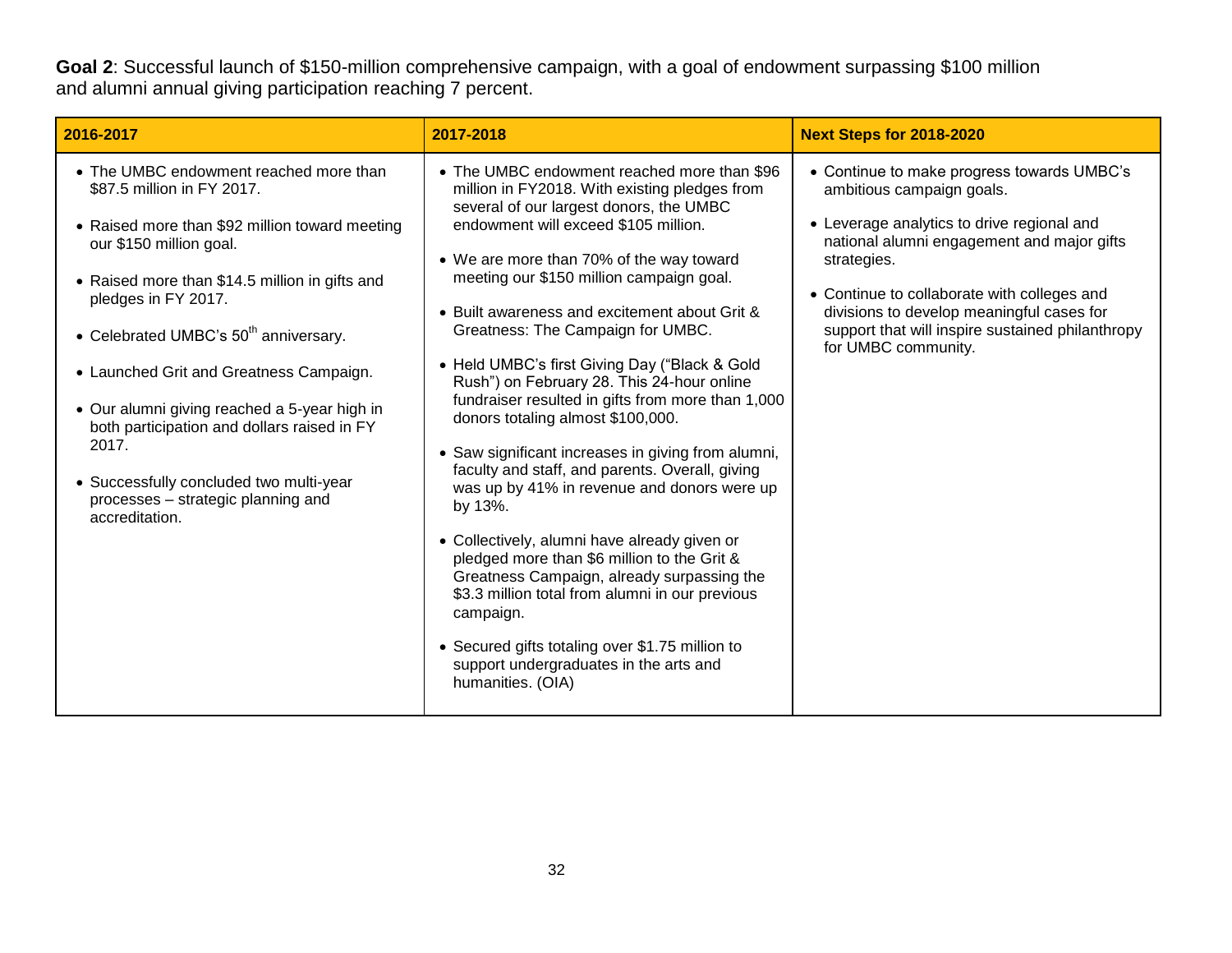**Goal 2**: Successful launch of \$150-million comprehensive campaign, with a goal of endowment surpassing \$100 million and alumni annual giving participation reaching 7 percent.

| 2016-2017                                                                                                                                                                                                                                                                                                                                                                                                                                                                                                                             | 2017-2018                                                                                                                                                                                                                                                                                                                                                                                                                                                                                                                                                                                                                                                                                                                                                                                                                                                                                                                                                                                                                                                | <b>Next Steps for 2018-2020</b>                                                                                                                                                                                                                                                                                                                           |
|---------------------------------------------------------------------------------------------------------------------------------------------------------------------------------------------------------------------------------------------------------------------------------------------------------------------------------------------------------------------------------------------------------------------------------------------------------------------------------------------------------------------------------------|----------------------------------------------------------------------------------------------------------------------------------------------------------------------------------------------------------------------------------------------------------------------------------------------------------------------------------------------------------------------------------------------------------------------------------------------------------------------------------------------------------------------------------------------------------------------------------------------------------------------------------------------------------------------------------------------------------------------------------------------------------------------------------------------------------------------------------------------------------------------------------------------------------------------------------------------------------------------------------------------------------------------------------------------------------|-----------------------------------------------------------------------------------------------------------------------------------------------------------------------------------------------------------------------------------------------------------------------------------------------------------------------------------------------------------|
| • The UMBC endowment reached more than<br>\$87.5 million in FY 2017.<br>• Raised more than \$92 million toward meeting<br>our \$150 million goal.<br>• Raised more than \$14.5 million in gifts and<br>pledges in FY 2017.<br>• Celebrated UMBC's 50 <sup>th</sup> anniversary.<br>• Launched Grit and Greatness Campaign.<br>• Our alumni giving reached a 5-year high in<br>both participation and dollars raised in FY<br>2017.<br>• Successfully concluded two multi-year<br>processes - strategic planning and<br>accreditation. | • The UMBC endowment reached more than \$96<br>million in FY2018. With existing pledges from<br>several of our largest donors, the UMBC<br>endowment will exceed \$105 million.<br>• We are more than 70% of the way toward<br>meeting our \$150 million campaign goal.<br>• Built awareness and excitement about Grit &<br>Greatness: The Campaign for UMBC.<br>• Held UMBC's first Giving Day ("Black & Gold<br>Rush") on February 28. This 24-hour online<br>fundraiser resulted in gifts from more than 1,000<br>donors totaling almost \$100,000.<br>• Saw significant increases in giving from alumni,<br>faculty and staff, and parents. Overall, giving<br>was up by 41% in revenue and donors were up<br>by 13%.<br>• Collectively, alumni have already given or<br>pledged more than \$6 million to the Grit &<br>Greatness Campaign, already surpassing the<br>\$3.3 million total from alumni in our previous<br>campaign.<br>• Secured gifts totaling over \$1.75 million to<br>support undergraduates in the arts and<br>humanities. (OIA) | • Continue to make progress towards UMBC's<br>ambitious campaign goals.<br>• Leverage analytics to drive regional and<br>national alumni engagement and major gifts<br>strategies.<br>• Continue to collaborate with colleges and<br>divisions to develop meaningful cases for<br>support that will inspire sustained philanthropy<br>for UMBC community. |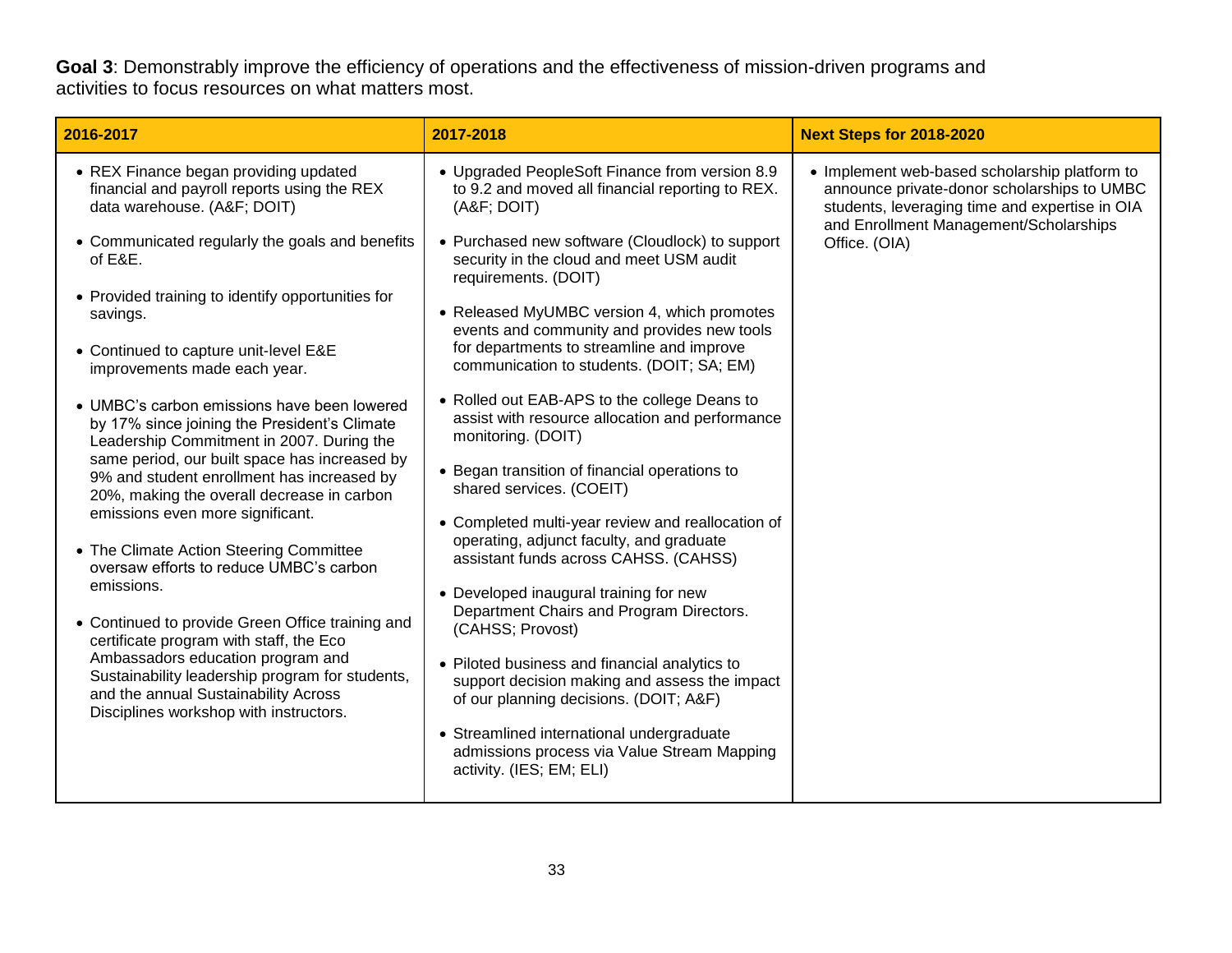**Goal 3**: Demonstrably improve the efficiency of operations and the effectiveness of mission-driven programs and activities to focus resources on what matters most.

| 2016-2017                                                                                                                                                                                                                                                                                                                                                                                                                                                                                                                                                                                                                                               | 2017-2018                                                                                                                                                                                                                                                                                                                                                                                                                                                                                                                                                                                                                                                                  | <b>Next Steps for 2018-2020</b>                                                                                                                                                                           |
|---------------------------------------------------------------------------------------------------------------------------------------------------------------------------------------------------------------------------------------------------------------------------------------------------------------------------------------------------------------------------------------------------------------------------------------------------------------------------------------------------------------------------------------------------------------------------------------------------------------------------------------------------------|----------------------------------------------------------------------------------------------------------------------------------------------------------------------------------------------------------------------------------------------------------------------------------------------------------------------------------------------------------------------------------------------------------------------------------------------------------------------------------------------------------------------------------------------------------------------------------------------------------------------------------------------------------------------------|-----------------------------------------------------------------------------------------------------------------------------------------------------------------------------------------------------------|
| • REX Finance began providing updated<br>financial and payroll reports using the REX<br>data warehouse. (A&F DOIT)<br>• Communicated regularly the goals and benefits<br>of E&E.<br>• Provided training to identify opportunities for<br>savings.<br>• Continued to capture unit-level E&E<br>improvements made each year.<br>• UMBC's carbon emissions have been lowered                                                                                                                                                                                                                                                                               | • Upgraded PeopleSoft Finance from version 8.9<br>to 9.2 and moved all financial reporting to REX.<br>(A&F DOIT)<br>• Purchased new software (Cloudlock) to support<br>security in the cloud and meet USM audit<br>requirements. (DOIT)<br>• Released MyUMBC version 4, which promotes<br>events and community and provides new tools<br>for departments to streamline and improve<br>communication to students. (DOIT; SA; EM)<br>• Rolled out EAB-APS to the college Deans to                                                                                                                                                                                            | • Implement web-based scholarship platform to<br>announce private-donor scholarships to UMBC<br>students, leveraging time and expertise in OIA<br>and Enrollment Management/Scholarships<br>Office. (OIA) |
| by 17% since joining the President's Climate<br>Leadership Commitment in 2007. During the<br>same period, our built space has increased by<br>9% and student enrollment has increased by<br>20%, making the overall decrease in carbon<br>emissions even more significant.<br>• The Climate Action Steering Committee<br>oversaw efforts to reduce UMBC's carbon<br>emissions.<br>• Continued to provide Green Office training and<br>certificate program with staff, the Eco<br>Ambassadors education program and<br>Sustainability leadership program for students,<br>and the annual Sustainability Across<br>Disciplines workshop with instructors. | assist with resource allocation and performance<br>monitoring. (DOIT)<br>• Began transition of financial operations to<br>shared services. (COEIT)<br>• Completed multi-year review and reallocation of<br>operating, adjunct faculty, and graduate<br>assistant funds across CAHSS. (CAHSS)<br>• Developed inaugural training for new<br>Department Chairs and Program Directors.<br>(CAHSS; Provost)<br>• Piloted business and financial analytics to<br>support decision making and assess the impact<br>of our planning decisions. (DOIT; A&F)<br>• Streamlined international undergraduate<br>admissions process via Value Stream Mapping<br>activity. (IES; EM; ELI) |                                                                                                                                                                                                           |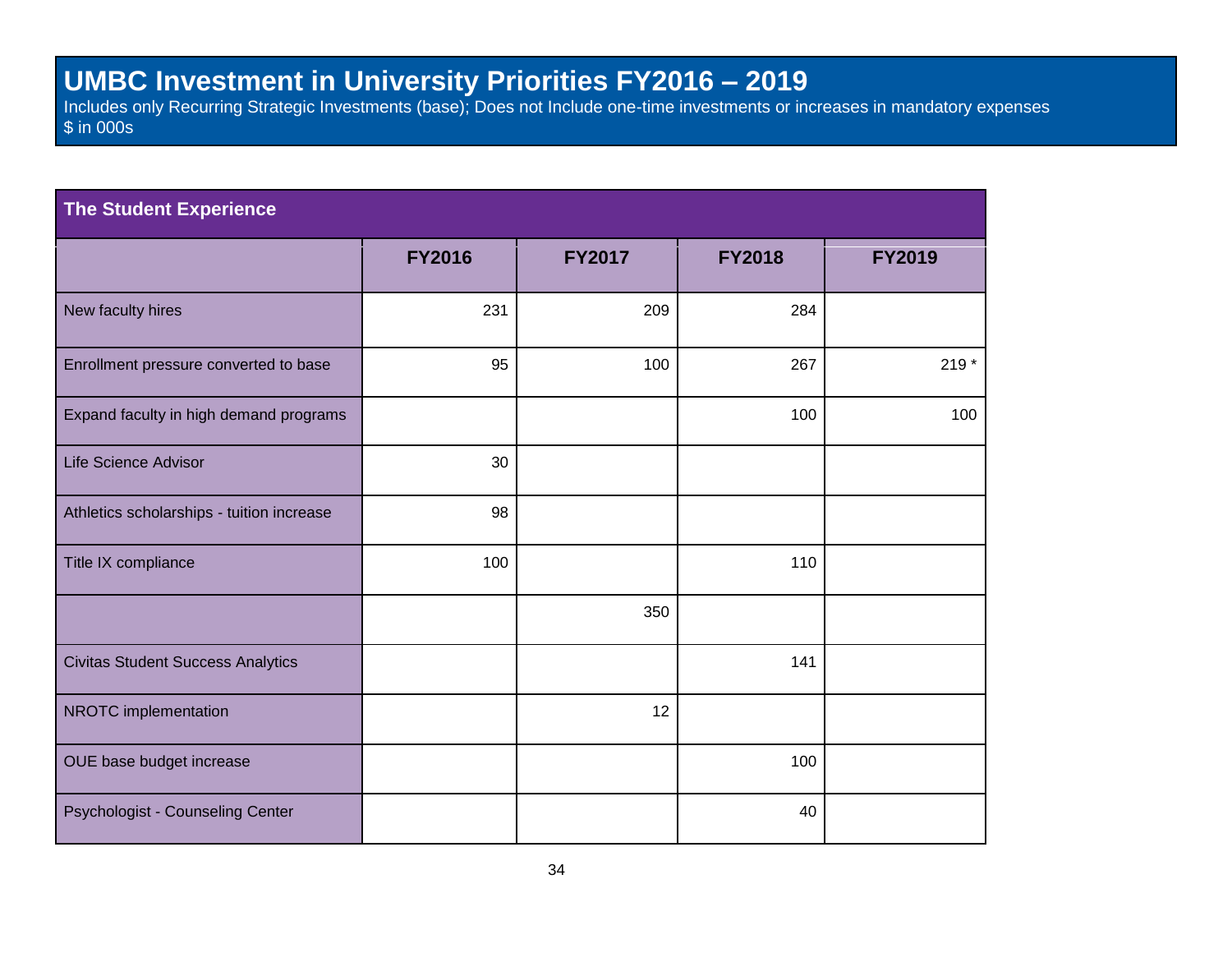#### **UMBC Investment in University Priorities FY2016 – 2019**

Includes only Recurring Strategic Investments (base); Does not Include one-time investments or increases in mandatory expenses \$ in 000s

| <b>The Student Experience</b>             |               |               |               |               |  |
|-------------------------------------------|---------------|---------------|---------------|---------------|--|
|                                           | <b>FY2016</b> | <b>FY2017</b> | <b>FY2018</b> | <b>FY2019</b> |  |
| New faculty hires                         | 231           | 209           | 284           |               |  |
| Enrollment pressure converted to base     | 95            | 100           | 267           | $219*$        |  |
| Expand faculty in high demand programs    |               |               | 100           | 100           |  |
| Life Science Advisor                      | 30            |               |               |               |  |
| Athletics scholarships - tuition increase | 98            |               |               |               |  |
| Title IX compliance                       | 100           |               | 110           |               |  |
|                                           |               | 350           |               |               |  |
| <b>Civitas Student Success Analytics</b>  |               |               | 141           |               |  |
| NROTC implementation                      |               | 12            |               |               |  |
| OUE base budget increase                  |               |               | 100           |               |  |
| Psychologist - Counseling Center          |               |               | 40            |               |  |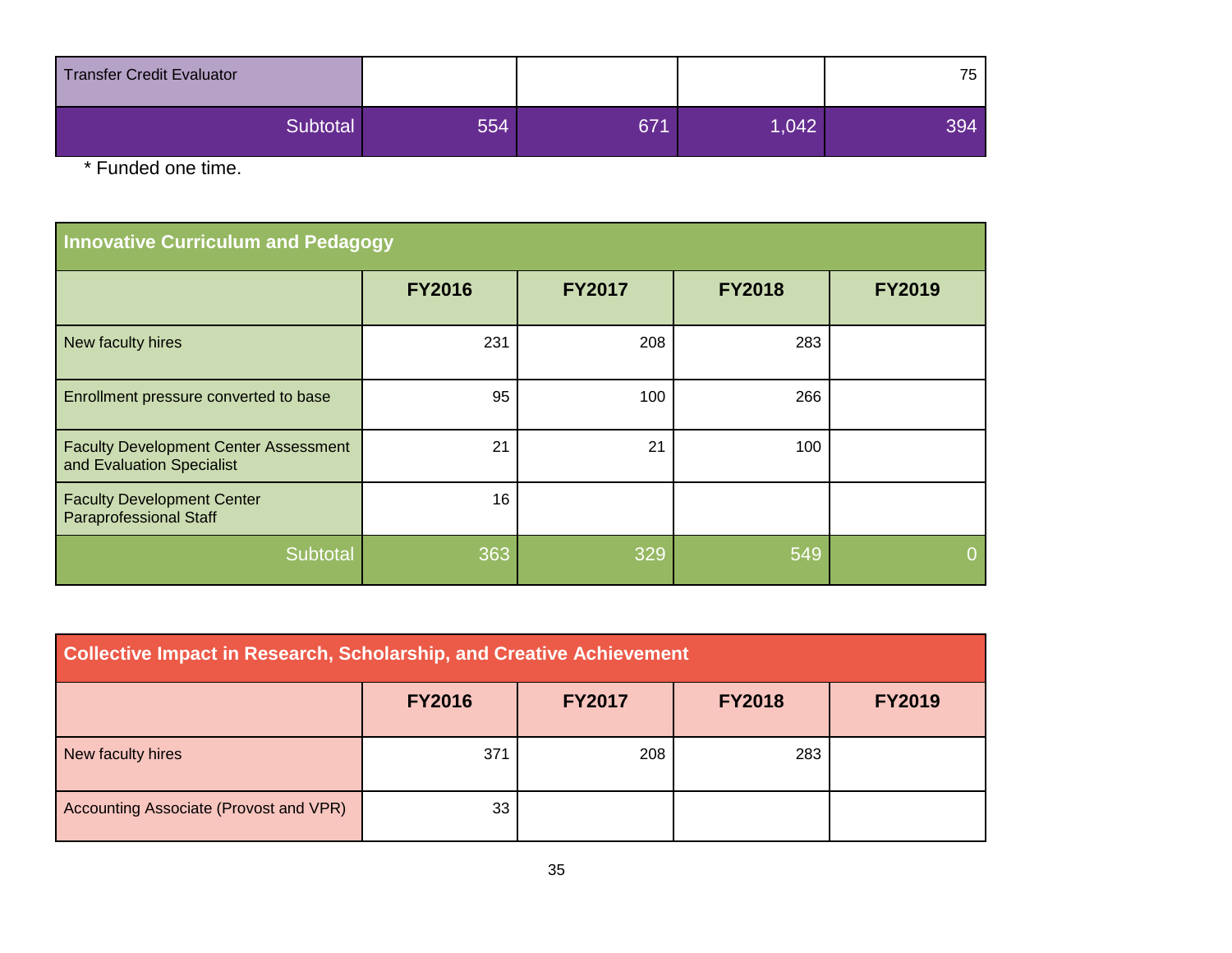| Transfer Credit Evaluator |     |     |       | 75  |
|---------------------------|-----|-----|-------|-----|
| Subtotal                  | 554 | 671 | 1,042 | 394 |

\* Funded one time.

| <b>Innovative Curriculum and Pedagogy</b>                                 |               |               |               |               |  |
|---------------------------------------------------------------------------|---------------|---------------|---------------|---------------|--|
|                                                                           | <b>FY2016</b> | <b>FY2017</b> | <b>FY2018</b> | <b>FY2019</b> |  |
| New faculty hires                                                         | 231           | 208           | 283           |               |  |
| Enrollment pressure converted to base                                     | 95            | 100           | 266           |               |  |
| <b>Faculty Development Center Assessment</b><br>and Evaluation Specialist | 21            | 21            | 100           |               |  |
| <b>Faculty Development Center</b><br><b>Paraprofessional Staff</b>        | 16            |               |               |               |  |
| Subtotal                                                                  | 363           | 329           | 549           |               |  |

| <b>Collective Impact in Research, Scholarship, and Creative Achievement</b> |               |               |               |               |  |
|-----------------------------------------------------------------------------|---------------|---------------|---------------|---------------|--|
|                                                                             | <b>FY2016</b> | <b>FY2017</b> | <b>FY2018</b> | <b>FY2019</b> |  |
| New faculty hires                                                           | 371           | 208           | 283           |               |  |
| Accounting Associate (Provost and VPR)                                      | 33            |               |               |               |  |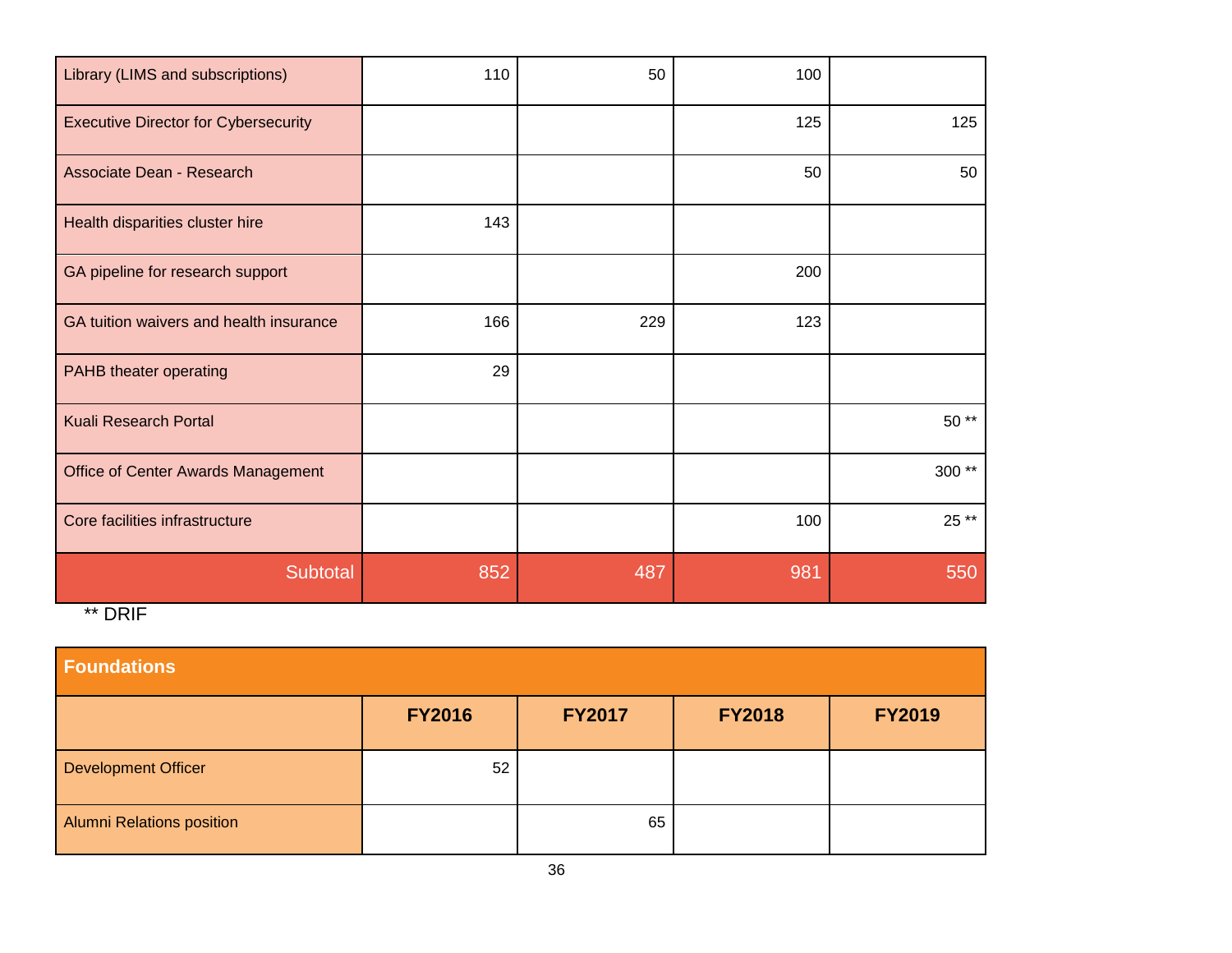| Library (LIMS and subscriptions)            | 110 | 50  | 100 |       |
|---------------------------------------------|-----|-----|-----|-------|
| <b>Executive Director for Cybersecurity</b> |     |     | 125 | 125   |
| Associate Dean - Research                   |     |     | 50  | 50    |
| Health disparities cluster hire             | 143 |     |     |       |
| GA pipeline for research support            |     |     | 200 |       |
| GA tuition waivers and health insurance     | 166 | 229 | 123 |       |
| PAHB theater operating                      | 29  |     |     |       |
| <b>Kuali Research Portal</b>                |     |     |     | 50 ** |
| Office of Center Awards Management          |     |     |     | 300** |
| Core facilities infrastructure              |     |     | 100 | 25 ** |
| Subtotal                                    | 852 | 487 | 981 | 550   |
| ** DRIF                                     |     |     |     |       |

| <b>Foundations</b>               |               |               |               |               |  |  |  |
|----------------------------------|---------------|---------------|---------------|---------------|--|--|--|
|                                  | <b>FY2016</b> | <b>FY2017</b> | <b>FY2018</b> | <b>FY2019</b> |  |  |  |
| <b>Development Officer</b>       | 52            |               |               |               |  |  |  |
| <b>Alumni Relations position</b> |               | 65            |               |               |  |  |  |